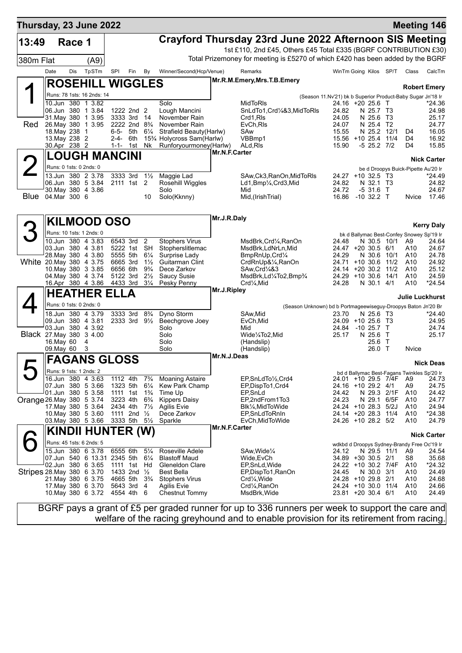| Thursday, 23 June 2022     |      |                              |                                               |                   |                                        |                                  |                                                                                 |               |                                                                                |                                                             |                         |             |                                                   | <b>Meeting 146</b>  |
|----------------------------|------|------------------------------|-----------------------------------------------|-------------------|----------------------------------------|----------------------------------|---------------------------------------------------------------------------------|---------------|--------------------------------------------------------------------------------|-------------------------------------------------------------|-------------------------|-------------|---------------------------------------------------|---------------------|
| 13:49                      |      | Race 1                       |                                               |                   |                                        |                                  |                                                                                 |               | Crayford Thursday 23rd June 2022 Afternoon SIS Meeting                         |                                                             |                         |             |                                                   |                     |
|                            |      |                              |                                               |                   |                                        |                                  |                                                                                 |               | 1st £110, 2nd £45, Others £45 Total £335 (BGRF CONTRIBUTION £30)               |                                                             |                         |             |                                                   |                     |
| 380m Flat                  |      |                              | (A9)                                          |                   |                                        |                                  |                                                                                 |               | Total Prizemoney for meeting is £5270 of which £420 has been added by the BGRF |                                                             |                         |             |                                                   |                     |
|                            | Date | Dis                          | TpSTm                                         | <b>SPI</b>        | Fin                                    | By                               | Winner/Second(Hcp/Venue)                                                        |               | Remarks                                                                        | WinTm Going Kilos SP/T                                      |                         |             | Class                                             | CalcTm              |
|                            |      |                              | <b>ROSEHILL WIGGLES</b>                       |                   |                                        |                                  |                                                                                 |               | Mr.R.M.Emery, Mrs.T.B.Emery                                                    |                                                             |                         |             |                                                   | <b>Robert Emery</b> |
|                            |      |                              | Runs: 78 1sts: 16 2nds: 14                    |                   |                                        |                                  |                                                                                 |               |                                                                                | (Season 11.Nv'21) bk b Superior Product-Baby Sugar Jn'18 Ir |                         |             |                                                   |                     |
|                            |      |                              | 10.Jun 380 1 3.82<br>06.Jun 380 1 3.84        |                   |                                        |                                  | Solo                                                                            |               | <b>MidToRIs</b>                                                                | 24.16 +20 25.6 T<br>24.82                                   |                         |             |                                                   | *24.36              |
|                            |      | 31. May 380                  | 1 3.95                                        |                   | 1222 2nd 2<br>3333 3rd                 | - 14                             | Lough Mancini<br>November Rain                                                  |               | SnLdTo1, Crd1/4&3, MidToRIs<br>Crd1.RIs                                        | 24.05                                                       | N 25.7 T3<br>N 25.6     | T3          |                                                   | 24.98<br>25.17      |
| Red                        |      |                              | 26. May 380 1 3.95                            |                   | 2222 2nd 8 <sup>3</sup> / <sub>4</sub> |                                  | November Rain                                                                   |               | EvCh, RIs                                                                      | 24.07                                                       | N 25.4 T2               |             |                                                   | 24.77               |
|                            |      | 18. May 238<br>13. May 238 2 | $\mathbf 1$                                   | $6 - 5 -$<br>2-4- | 5th<br>6th                             | $6\frac{1}{4}$                   | Strafield Beauty (Harlw)<br>15 <sup>3</sup> / <sub>4</sub> Holycross Sam(Harlw) |               | SAw<br>VBBmp1                                                                  | 15.55<br>15.56 +10 25.4 11/4                                | N 25.2                  | 12/1        | D <sub>4</sub><br>D4                              | 16.05<br>16.92      |
|                            |      | 30.Apr 238 2                 |                                               |                   | $1 - 1 - 1$ st                         | Nk                               | Runforyourmoney(Harlw)                                                          |               | ALd, RIs                                                                       | 15.90                                                       | $-5$ 25.2 $7/2$         |             | D4                                                | 15.85               |
|                            |      |                              | <b>LOUGH MANCINI</b>                          |                   |                                        |                                  |                                                                                 | Mr.N.F.Carter |                                                                                |                                                             |                         |             |                                                   | <b>Nick Carter</b>  |
|                            |      |                              | Runs: 0 1sts: 0 2nds: 0                       |                   |                                        |                                  |                                                                                 |               |                                                                                |                                                             |                         |             | be d Droopys Buick-Pipette Au'20 Ir               |                     |
|                            |      |                              | 13.Jun 380 2 3.78                             |                   | 3333 3rd                               | $1\frac{1}{2}$                   | Maggie Lad                                                                      |               | SAw, Ck3, RanOn, MidToRIs                                                      | 24.27 +10 32.5 T3<br>24.82                                  |                         |             |                                                   | *24.49              |
|                            |      |                              | 06.Jun 380 5 3.84<br>30. May 380 4 3.86       |                   | 2111 1st 2                             |                                  | Rosehill Wiggles<br>Solo                                                        |               | Ld1,Bmp1/ <sub>4</sub> ,Crd3,Mid<br>Mid                                        | 24.72                                                       | N 32.1 T3<br>$-5, 31.6$ | $\top$      |                                                   | 24.82<br>24.67      |
| <b>Blue</b>                |      | 04.Mar 300 6                 |                                               |                   |                                        | 10                               | Solo(Kknny)                                                                     |               | Mid, (IrishTrial)                                                              | 16.86                                                       | $-10, 32.2$ T           |             | Nvice                                             | 17.46               |
|                            |      |                              |                                               |                   |                                        |                                  |                                                                                 | Mr.J.R.Daly   |                                                                                |                                                             |                         |             |                                                   |                     |
|                            |      |                              | <b>KILMOOD OSO</b>                            |                   |                                        |                                  |                                                                                 |               |                                                                                |                                                             |                         |             |                                                   | <b>Kerry Daly</b>   |
|                            |      |                              | Runs: 10 1sts: 1 2nds: 0                      |                   |                                        |                                  |                                                                                 |               |                                                                                |                                                             |                         |             | bk d Ballymac Best-Confey Snowey Sp'19 Ir         |                     |
|                            |      |                              | 10.Jun 380 4 3.83<br>03.Jun 380 4 3.81        |                   | 6543 3rd<br>5222 1st                   | $\overline{2}$<br><b>SH</b>      | <b>Stophers Virus</b><br>Stopherslitlemac                                       |               | MsdBrk,Crd¼,RanOn<br>MsdBrk,LdNrLn,Mid                                         | 24.48<br>24.47 +20 30.5 6/1                                 |                         | N 30.5 10/1 | A9<br>A10                                         | 24.64<br>24.67      |
|                            |      |                              | 28. May 380 4 3.80                            |                   | 5555 5th                               | $6\frac{1}{4}$                   | Surprise Lady                                                                   |               | BmpRnUp, Crd1/4                                                                | 24.29                                                       | N 30.6                  | 10/1        | A <sub>10</sub>                                   | 24.78               |
| White 20. May 380 4 3.75   |      |                              | 10 May 380 3 3.85                             |                   | 6665 3rd<br>6656 6th                   | $1\frac{1}{2}$<br>$9\frac{3}{4}$ | Guitarman Clint<br>Dece Zarkov                                                  |               | CrdRnUp&1/ <sub>4</sub> , RanOn<br>SAw, Crd <sup>1</sup> /4&3                  | 24.71<br>24.14 +20 30.2 11/2                                | $+10,30.6$              | 11/2        | A10<br>A10                                        | 24.92<br>25.12      |
|                            |      |                              | 04 May 380 4 3.74                             |                   | 5122 3rd                               | $2\frac{1}{2}$                   | <b>Saucy Susie</b>                                                              |               | MsdBrk,Ld1/4To2,Bmp3/4                                                         | 24.29                                                       | $+10,30.6$              | 14/1        | A10                                               | 24.59               |
|                            |      |                              | 16.Apr 380 4 3.86                             |                   | 4433 3rd                               | $3\frac{1}{4}$                   | Pesky Penny                                                                     | Mr.J.Ripley   | Crd1⁄ <sub>4</sub> , Mid                                                       | 24.28                                                       | N 30.1 4/1              |             | A10                                               | $*24.54$            |
|                            |      |                              | <b>HEATHER ELLA</b>                           |                   |                                        |                                  |                                                                                 |               |                                                                                |                                                             |                         |             | Julie Luckhurst                                   |                     |
|                            |      |                              | Runs: 0 1sts: 0 2nds: 0                       |                   |                                        |                                  |                                                                                 |               | (Season Unknown) bd b Portmageewiseguy-Droopys Baton Jn'20 Br                  |                                                             |                         |             |                                                   |                     |
|                            |      |                              | 18.Jun 380 4 3.79<br>09.Jun 380 4 3.81        |                   | 3333 3rd<br>2333 3rd 91/2              | $8\frac{3}{4}$                   | Dyno Storm<br>Beechgrove Joey                                                   |               | SAw,Mid<br>EvCh, Mid                                                           | 23.70<br>$24.09$ +10 25.6                                   | N 25.6 T3               | - T3        |                                                   | $*24.40$<br>24.95   |
|                            |      |                              | 03.Jun 380 4 3.92                             |                   |                                        |                                  | Solo                                                                            |               | Mid                                                                            | 24.84                                                       | $-1025.7$               | $\top$      |                                                   | 24.74               |
| Black 27 May 380 3 4.00    |      | 16. May 60                   | 4                                             |                   |                                        |                                  | Solo<br>Solo                                                                    |               | Wide1/4To2, Mid<br>(Handslip)                                                  | 25.17                                                       | N 25.6<br>25.6 T        | $\top$      |                                                   | 25.17               |
|                            |      | 09. May 60                   | 3                                             |                   |                                        |                                  | Solo                                                                            |               | (Handslip)                                                                     |                                                             | 26.0 T                  |             | Nvice                                             |                     |
|                            |      |                              | <b>FAGANS GLOSS</b>                           |                   |                                        |                                  |                                                                                 | Mr.N.J.Deas   |                                                                                |                                                             |                         |             |                                                   | <b>Nick Deas</b>    |
|                            |      |                              | Runs: 9 1sts: 1 2nds: 2                       |                   |                                        |                                  |                                                                                 |               |                                                                                |                                                             |                         |             | bd d Ballymac Best-Fagans Twinkles Sp'20 Ir       |                     |
|                            |      |                              | 16.Jun 380 4 3.63<br>07.Jun 380 5 3.66        |                   | 1112 4th<br>1323 5th                   | $7\frac{3}{4}$<br>$6\frac{1}{4}$ | <b>Moaning Astaire</b><br>Kew Park Champ                                        |               | EP,SnLdTo1/2,Crd4<br>EP, Disp To 1, Crd4                                       | 24.01 +10 29.5 7/4F<br>24.16 +10 29.2 4/1                   |                         |             | A9<br>A <sub>9</sub>                              | 24.73<br>24.75      |
|                            |      |                              | 01.Jun 380 5 3.58                             |                   | 1111 1st                               | $1\frac{3}{4}$                   | Time Up                                                                         |               | EP, SnLd                                                                       | 24.42                                                       |                         | N 29.3 2/1F | A10                                               | 24.42               |
| Orange 26. May 380 5 3.74  |      |                              | 17. May 380 5 3.64                            |                   | 3223 4th                               | $6\frac{3}{4}$                   | <b>Kippers Daisy</b>                                                            |               | EP,2ndFrom1To3                                                                 | 24.23<br>24.24 +10 28.3                                     | N 29.1                  | 6/5F        | A <sub>10</sub>                                   | 24.77               |
|                            |      |                              | 10. May 380 5 3.60                            |                   | 2434 4th<br>1111 2nd 1/2               | $7\frac{1}{2}$                   | <b>Agilis Evie</b><br>Dece Zarkov                                               |               | Blk1/ <sub>4</sub> , MidToWide<br>EP, SnLdToRnIn                               | 24.14 +20 28.3 11/4                                         |                         | 5/2J        | A10<br>A10                                        | 24.94<br>*24.38     |
|                            |      |                              | 03. May 380 5 3.66                            |                   | 3333 5th                               | $5\frac{1}{2}$                   | Sparkle                                                                         |               | EvCh, MidToWide                                                                | 24.26 +10 28.2 5/2                                          |                         |             | A10                                               | 24.79               |
|                            |      |                              | <b>KINDII HUNTER (W)</b>                      |                   |                                        |                                  |                                                                                 | Mr.N.F.Carter |                                                                                |                                                             |                         |             |                                                   | <b>Nick Carter</b>  |
|                            |      |                              | Runs: 45 1sts: 6 2nds: 5<br>15.Jun 380 6 3.78 |                   | 6555 6th                               | $5\frac{1}{4}$                   | Roseville Adele                                                                 |               | SAw, Wide <sup>1/4</sup>                                                       |                                                             |                         | N 29.5 11/1 | wdkbd d Droopys Sydney-Brandy Free Oc'19 Ir<br>A9 |                     |
|                            |      |                              | 07.Jun 540 6 13.31 2345 5th                   |                   |                                        | $6\frac{1}{4}$                   | <b>Blastoff Maud</b>                                                            |               | Wide, EvCh                                                                     | 24.12<br>34.89 +30 30.5 2/1                                 |                         |             | S <sub>8</sub>                                    | 24.54<br>35.68      |
|                            |      |                              | 02.Jun 380 6 3.65                             |                   | 1111 1st                               | Hd                               | <b>Gleneldon Clare</b>                                                          |               | EP, SnLd, Wide                                                                 | 24.22 +10 30.2 7/4F                                         |                         |             | A10                                               | $*24.32$            |
| Stripes 28. May 380 6 3.70 |      |                              | 21. May 380 6 3.75                            |                   | 1433 2nd 1/2<br>4665 5th               | $3\frac{3}{4}$                   | <b>Best Bella</b><br><b>Stophers Virus</b>                                      |               | EP, Disp To 1, RanOn<br>Crd1⁄4, Wide                                           | 24.45<br>24.28 +10 29.8 2/1                                 | N 30.0                  | 3/1         | A10<br>A10                                        | 24.49<br>24.68      |
|                            |      |                              | 17 May 380 6 3.70                             |                   | 5643 3rd                               | 4                                | Agilis Evie                                                                     |               | Crd1⁄4, RanOn                                                                  | 24.24 +10 30.0 11/4                                         |                         |             | A10                                               | 24.66               |
|                            |      |                              | 10. May 380 6 3.72                            |                   | 4554 4th 6                             |                                  | <b>Chestnut Tommy</b>                                                           |               | MsdBrk, Wide                                                                   | 23.81 +20 30.4 6/1                                          |                         |             | A10                                               | 24.49               |
|                            |      |                              |                                               |                   |                                        |                                  |                                                                                 |               |                                                                                |                                                             |                         |             |                                                   |                     |

BGRF pays a grant of £5 per graded runner for up to 336 runners per week to support the care and welfare of the racing greyhound and to enable provision for its retirement from racing.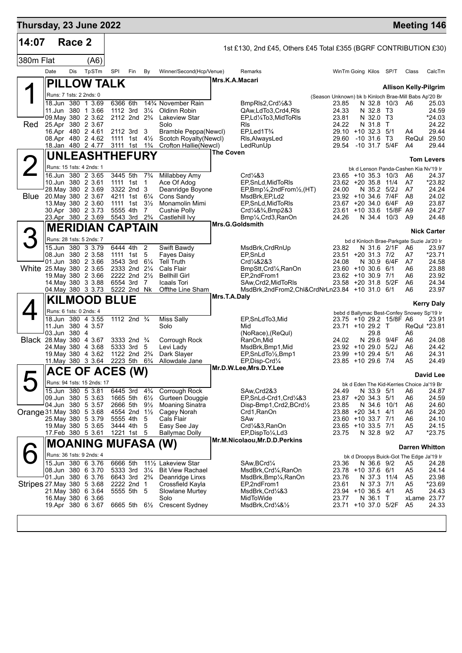| Thursday, 23 June 2022          |              |        |                                              |                                                    |                          |                                  |                                                |                  |                                                                  |                                                       |                                          |                     |                  | <b>Meeting 146</b>                          |                    |
|---------------------------------|--------------|--------|----------------------------------------------|----------------------------------------------------|--------------------------|----------------------------------|------------------------------------------------|------------------|------------------------------------------------------------------|-------------------------------------------------------|------------------------------------------|---------------------|------------------|---------------------------------------------|--------------------|
| 14:07                           |              | Race 2 |                                              |                                                    |                          |                                  |                                                |                  | 1st £130, 2nd £45, Others £45 Total £355 (BGRF CONTRIBUTION £30) |                                                       |                                          |                     |                  |                                             |                    |
| 380m Flat                       |              |        | (A6)                                         |                                                    |                          |                                  |                                                |                  |                                                                  |                                                       |                                          |                     |                  |                                             |                    |
|                                 | Date         | Dis    | TpSTm                                        | SPI                                                | Fin                      | By                               | Winner/Second(Hcp/Venue)                       | Mrs.K.A.Macari   | Remarks                                                          |                                                       | WinTm Going Kilos SP/T                   |                     |                  | Class                                       | CalcTm             |
|                                 |              |        | <b>PILLOW TALK</b>                           |                                                    |                          |                                  |                                                |                  |                                                                  |                                                       |                                          |                     |                  | <b>Allison Kelly-Pilgrim</b>                |                    |
|                                 |              |        | Runs: 7 1sts: 2 2nds: 0<br>18.Jun 380 1 3.69 | 6366 6th                                           |                          |                                  | 143/4 November Rain                            |                  |                                                                  | (Season Unknown) bk b Kinloch Brae-Mill Babs Ap'20 Br |                                          |                     | N 32.8 10/3 A6   |                                             |                    |
|                                 |              |        | 11.Jun 380 1 3.66                            | 1112 3rd                                           |                          | $3\frac{1}{4}$                   | Oldinn Robin                                   |                  | BmpRIs2, Crd1/2&3<br>QAw,LdTo3,Crd4,RIs                          | 23.85<br>24.33                                        |                                          | N 32.8 T3           |                  |                                             | 25.03<br>24.59     |
| Red                             |              |        | 09. May 380 2 3.62<br>25.Apr 380 2 3.67      | 2112 2nd 2 <sup>3</sup> / <sub>4</sub>             |                          |                                  | <b>Lakeview Star</b><br>Solo                   |                  | EP,Ld1/4To3,MidToRIs<br><b>R</b> ls                              | 23.81<br>24.22                                        |                                          | N 32.0 T3<br>N 31.8 | $\top$           |                                             | *24.03<br>24.22    |
|                                 |              |        | 16.Apr 480 2 4.61                            | 2112 3rd 3                                         |                          |                                  | Bramble Peppa(Newcl)                           |                  | EP,Led1T <sup>3</sup> /4                                         |                                                       | 29.10 +10 32.3 5/1                       |                     |                  | A4                                          | 29.44              |
|                                 |              |        | 08.Apr 480 2 4.62<br>18.Jan 480 2 4.77       | 1111 1st 41/ <sub>2</sub><br>3111 1st              |                          | $1\frac{3}{4}$                   | Scotch Royalty(Newcl)<br>Crofton Hallie(Newcl) |                  | Rls, AlwaysLed<br>LedRunUp                                       | 29.60<br>29.54                                        | $-10,31.6$<br>-10 31.7 5/4F              |                     | T3               | ReQul 29.50<br>A4                           | 29.44              |
|                                 |              |        | <b>UNLEASHTHEFURY</b>                        |                                                    |                          |                                  |                                                | <b>The Coven</b> |                                                                  |                                                       |                                          |                     |                  |                                             |                    |
|                                 |              |        | Runs: 15 1sts: 4 2nds: 1                     |                                                    |                          |                                  |                                                |                  |                                                                  |                                                       |                                          |                     |                  | bk d Lenson Panda-Cashen Kia Ny'19 Ir       | <b>Tom Levers</b>  |
|                                 |              |        | 16.Jun 380 2 3.65                            | 3445 5th                                           |                          | $7\frac{3}{4}$                   | Millabbey Amy                                  |                  | Crd <sub>4</sub> 83                                              |                                                       | 23.65 +10 35.3 10/3                      |                     |                  | A6                                          | 24.37              |
|                                 |              |        | 10.Jun 380 2 3.61<br>28. May 380 2 3.69      | 1111 1st<br>3322 2nd 3                             |                          | $\overline{1}$                   | Ace Of Adog<br>Deanridge Boyone                |                  | EP, SnLd, MidToRIs<br>EP,Bmp1/4,2ndFrom1/2,(HT)                  | 24.00                                                 | 23.62 +20 35.8 11/4                      | N 35.2              | 5/2J             | A7<br>A7                                    | *23.82<br>24.24    |
| <b>Blue</b>                     |              |        | 20. May 380 2 3.67                           | 4211 1st 61/4                                      |                          |                                  | Cons Sandy                                     |                  | MsdBrk, EP, Ld2                                                  |                                                       | 23.92 +10 34.6 7/4F                      |                     |                  | A8                                          | 24.02              |
|                                 |              |        | 13. May 380 2 3.60<br>30.Apr 380 2 3.73      | 1111 1st<br>5555 4th                               |                          | $3\frac{1}{2}$<br>$\overline{7}$ | Monamolin Mimi<br>Cushie Polly                 |                  | EP, SnLd, MidToRIs<br>Crd1/4&3/4, Bmp2&3                         |                                                       | $23.67 + 20.34.0$<br>$23.61 + 10.33.6$   |                     | 6/4F<br>15/8F A9 | A9                                          | 23.87<br>24.27     |
|                                 |              |        | 23.Apr 380 2 3.69                            | 5543 3rd                                           |                          | $2\frac{3}{4}$                   | Castlehill Ivy                                 |                  | Bmp1/ <sub>4</sub> , Crd3, RanOn                                 | 24.26                                                 |                                          |                     | N 34.4 10/3      | A9                                          | 24.48              |
|                                 |              |        | <b>MERIDIAN CAPTAIN</b>                      |                                                    |                          |                                  |                                                | Mrs.G.Goldsmith  |                                                                  |                                                       |                                          |                     |                  |                                             | <b>Nick Carter</b> |
|                                 |              |        | Runs: 28 1sts: 5 2nds: 7                     |                                                    |                          |                                  |                                                |                  |                                                                  |                                                       |                                          |                     |                  | bd d Kinloch Brae-Parkgate Suzie Ja'20 Ir   |                    |
|                                 |              |        | 15.Jun 380 3 3.79<br>08.Jun 380 2 3.58       | 6444 4th<br>1111 1st                               |                          | $\overline{2}$<br>5              | Swift Bawdy<br>Fayes Daisy                     |                  | MsdBrk, CrdRnUp<br>EP, SnLd                                      | 23.82                                                 | 23.51 +20 31.3 7/2                       |                     | N 31.6 2/1F A6   | A7                                          | 23.97<br>$*23.71$  |
|                                 |              |        | 01.Jun 380 2 3.66                            | 3543 3rd                                           |                          | $6\frac{1}{4}$                   | <b>Tell Truth</b>                              |                  | Crd <sup>1</sup> / <sub>4</sub> &2&3                             | 24.08                                                 |                                          |                     | N 30.9 6/4F      | A7                                          | 24.58              |
| White 25.May 380 2 3.65         |              |        | 19 May 380 2 3.66                            | 2333 2nd 21/4<br>2222 2nd 21/2                     |                          |                                  | Cals Flair<br><b>Bellhill Girl</b>             |                  | BmpStt, Crd1/4, RanOn<br>EP,2ndFrom1                             |                                                       | $23.60 + 10.30.6$<br>23.62 +10 30.9 7/1  |                     | 6/1              | A6<br>A6                                    | 23.88<br>23.92     |
|                                 |              |        | 14 May 380 3 3.88                            | 6554 3rd                                           |                          | 7                                | Icaals Tori                                    |                  | SAw, Crd2, MidToRIs                                              |                                                       | 23.58 +20 31.8                           |                     | 5/2F             | A6                                          | 24.34              |
|                                 |              |        | 04 May 380 3 3.73                            | 5222 2nd Nk                                        |                          |                                  | Offthe Line Sham                               | Mrs.T.A.Daly     | MsdBrk,2ndFrom2,Chl&CrdNrLn23.84 +10 31.0 6/1                    |                                                       |                                          |                     |                  | A6                                          | 23.97              |
|                                 |              |        | <b>KILMOOD BLUE</b>                          |                                                    |                          |                                  |                                                |                  |                                                                  |                                                       |                                          |                     |                  |                                             | <b>Kerry Daly</b>  |
|                                 |              |        | Runs: 6 1sts: 0 2nds: 4<br>18.Jun 380 4 3.55 | 1112 2nd <sup>3</sup> / <sub>4</sub>               |                          |                                  | <b>Miss Sally</b>                              |                  | EP,SnLdTo3,Mid                                                   |                                                       | 23.75 +10 29.2 15/8F A6                  |                     |                  | bebd d Ballymac Best-Confey Snowey Sp'19 Ir | 23.91              |
|                                 |              |        | 11.Jun 380 4 3.57                            |                                                    |                          |                                  | Solo                                           |                  | Mid                                                              |                                                       | 23.71 +10 29.2 T                         |                     |                  | ReQul *23.81                                |                    |
| <b>Black</b> 28. May 380 4 3.67 | 03.Jun 380 4 |        |                                              | 3333 2nd 3/4                                       |                          |                                  | Corrough Rock                                  |                  | (NoRace), (ReQul)<br>RanOn,Mid                                   | 24.02                                                 |                                          | 29.8<br>N 29.6      | 9/4F             | A6<br>A6                                    | 24.08              |
|                                 |              |        | 24. May 380 4 3.68                           | 5333 3rd                                           |                          | 5                                | Levi Lady                                      |                  | MsdBrk,Bmp1,Mid                                                  |                                                       | 23.92 +10 29.0                           |                     | 5/2J             | A6                                          | 24.42              |
|                                 |              |        | 19. May 380 4 3.62<br>11. May 380 3 3.64     | 1122 2nd 2 <sup>3</sup> / <sub>4</sub><br>2223 5th |                          | $6\frac{3}{4}$                   | Dark Slayer<br>Allowdale Jane                  |                  | EP, SnLdTo 1/2, Bmp1<br>EP, Disp-Crd1/4                          |                                                       | 23.99 +10 29.4<br>23.85 +10 29.6 7/4     |                     | 5/1              | A6<br>A5                                    | 24.31<br>24.49     |
|                                 |              |        | ACE OF ACES (W)                              |                                                    |                          |                                  |                                                |                  | Mr.D.W.Lee,Mrs.D.Y.Lee                                           |                                                       |                                          |                     |                  |                                             | <b>David Lee</b>   |
|                                 |              |        | Runs: 94 1sts: 15 2nds: 17                   |                                                    |                          |                                  |                                                |                  |                                                                  |                                                       |                                          |                     |                  | bk d Eden The Kid-Kerries Choice Ja'19 Br   |                    |
|                                 |              |        | 15.Jun 380 5 3.81                            | 6445 3rd                                           |                          | $4\frac{3}{4}$                   | Corrough Rock                                  |                  | SAw, Crd2&3                                                      | 24.49                                                 |                                          | N 33.9 5/1          |                  | A6                                          | 24.87              |
|                                 |              |        | 09.Jun 380 5 3.63<br>04.Jun 380 5 3.57       | 1665 5th<br>2666 5th                               |                          | $6\frac{1}{2}$<br>$9\frac{1}{2}$ | Gurteen Douggie<br><b>Moaning Sinatra</b>      |                  | EP, SnLd-Crd1, Crd1/4&3<br>Disp-Bmp1, Crd2, BCrd1/2              | 23.85                                                 | 23.87 +20 34.3                           | N 34.6              | - 5/1<br>10/1    | A6<br>A6                                    | 24.59<br>24.60     |
| Orange 31. May 380 5 3.68       |              |        |                                              | 4554 2nd 11/2                                      |                          |                                  | Cagey Norah                                    |                  | Crd1, RanOn                                                      |                                                       | 23.88 +20 34.1                           |                     | 4/1              | A6                                          | 24.20              |
|                                 |              |        | 25. May 380 5 3.79<br>19. May 380 5 3.65     | 5555 4th<br>3444 4th                               |                          | 5<br>5                           | Cals Flair<br>Easy See Jay                     |                  | SAw<br>Crd1/4&3, RanOn                                           |                                                       | 23.60 +10 33.7 7/1<br>23.65 +10 33.5 7/1 |                     |                  | A6<br>A <sub>5</sub>                        | 24.10<br>24.15     |
|                                 |              |        | 17.Feb 380 5 3.61                            |                                                    | 1221 1st 5               |                                  | Ballymac Dolly                                 |                  | EP,DispTo1/4,Ld3                                                 | 23.75                                                 |                                          | N 32.8 9/2          |                  | A7                                          | $*23.75$           |
|                                 |              |        | <b>MOANING MUFASA (W)</b>                    |                                                    |                          |                                  |                                                |                  | Mr.M.Nicolaou, Mr.D.D.Perkins                                    |                                                       |                                          |                     |                  | <b>Darren Whitton</b>                       |                    |
|                                 |              |        | Runs: 36 1sts: 9 2nds: 4                     |                                                    |                          |                                  |                                                |                  |                                                                  |                                                       |                                          |                     |                  | bk d Droopys Buick-Got The Edge Ja'19 Ir    |                    |
|                                 |              |        | 15.Jun 380 6 3.76<br>08.Jun 380 6 3.70       | 6666 5th<br>5333 3rd                               |                          | $3\frac{1}{4}$                   | 111/2 Lakeview Star<br><b>Bit View Rachael</b> |                  | SAw, BCrd1/4<br>MsdBrk,Crd¼,RanOn                                | 23.36                                                 | 23.78 +10 37.6 6/1                       | N 36.6 9/2          |                  | A5<br>A5                                    | 24.28<br>24.14     |
|                                 |              |        | 01.Jun 380 6 3.76                            | 6643 3rd                                           |                          | $2\frac{3}{4}$                   | Deanridge Linxs                                |                  | MsdBrk, Bmp1/4, RanOn                                            | 23.76                                                 |                                          | N 37.3              | 11/4             | A5                                          | 23.98              |
| Stripes 27 May 380 5 3.68       |              |        | 21. May 380 6 3.64                           |                                                    | 2222 2nd 1<br>5555 5th 5 |                                  | Crossfield Kayla<br>Slowlane Murtey            |                  | EP,2ndFrom1<br>MsdBrk,Crd¼&3                                     | 23.61                                                 | 23.94 +10 36.5                           | N 37.3 7/1          | -4/1             | A5<br>A5                                    | *23.69<br>24.43    |
|                                 |              |        | 16. May 380 6 3.66                           |                                                    |                          |                                  | Solo                                           |                  | MidToWide                                                        | 23.77                                                 |                                          | N 36.1 T            |                  | xLame 23.77                                 |                    |
|                                 |              |        | 19.Apr 380 6 3.67                            |                                                    |                          | 6665 5th 6½                      | Crescent Sydney                                |                  | MsdBrk, Crd <sup>1</sup> /4& <sup>1</sup> / <sub>2</sub>         |                                                       | 23.71 +10 37.0 5/2F                      |                     |                  | A5                                          | 24.33              |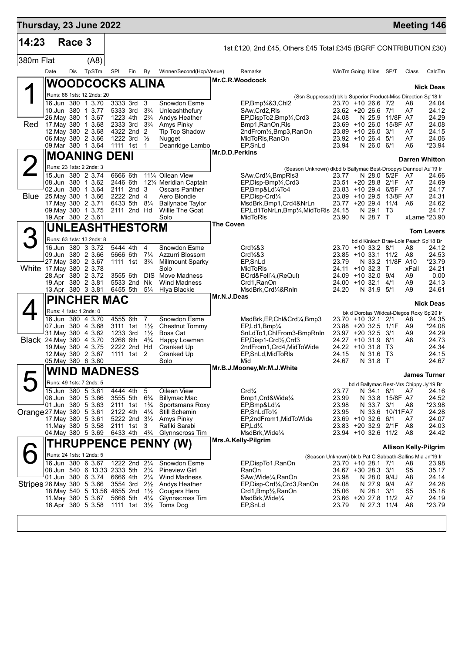| Thursday, 23 June 2022          |      |            |                                                  |                                        |                                        |                     |                                           |                  |                                                                     |                                          |                          |                  |                      | <b>Meeting 146</b>                              |
|---------------------------------|------|------------|--------------------------------------------------|----------------------------------------|----------------------------------------|---------------------|-------------------------------------------|------------------|---------------------------------------------------------------------|------------------------------------------|--------------------------|------------------|----------------------|-------------------------------------------------|
| 14:23<br>380m Flat              |      | Race 3     | (AB)                                             |                                        |                                        |                     |                                           |                  | 1st £120, 2nd £45, Others £45 Total £345 (BGRF CONTRIBUTION £30)    |                                          |                          |                  |                      |                                                 |
|                                 | Date | <b>Dis</b> | TpSTm                                            | SPI                                    | Fin                                    | By                  | Winner/Second(Hcp/Venue)                  |                  | Remarks                                                             | WinTm Going Kilos SP/T                   |                          |                  | Class                | CalcTm                                          |
|                                 |      |            |                                                  |                                        |                                        |                     |                                           |                  | Mr.C.R.Woodcock                                                     |                                          |                          |                  |                      |                                                 |
|                                 |      |            | <b>WOODCOCKS ALINA</b>                           |                                        |                                        |                     |                                           |                  |                                                                     |                                          |                          |                  |                      | <b>Nick Deas</b>                                |
|                                 |      |            | Runs: 88 1sts: 12 2nds: 20                       |                                        |                                        |                     |                                           |                  | (Ssn Suppressed) bk b Superior Product-Miss Direction Sp'18 Ir      |                                          |                          |                  |                      |                                                 |
|                                 |      |            | 16.Jun 380 1 3.70<br>10.Jun 380 1 3.77           | 3333 3rd<br>5333 3rd                   |                                        | 3<br>$3\frac{3}{4}$ | Snowdon Esme<br>Unleashthefury            |                  | $EP$ Bmp $\frac{1}{4}$ &3,Chl2<br>SAw, Crd2, RIs                    | 23.70 +10 26.6 7/2<br>23.62 +20 26.6     |                          | 7/1              | A8<br>A7             | 24.04<br>24.12                                  |
|                                 |      |            | 26.May 380 1 3.67                                | 1223 4th                               |                                        | $2\frac{3}{4}$      | Andys Heather                             |                  | EP,DispTo2,Bmp1/4,Crd3                                              | 24.08                                    | N 25.9                   | 11/8F A7         |                      | 24.29                                           |
| Red                             |      |            | 17 May 380 1 3.68<br>12. May 380 2 3.68          | 2333 3rd                               | 4322 2nd 2                             | $3\frac{3}{4}$      | Amys Pinky<br>Tip Top Shadow              |                  | Bmp1, RanOn, RIs<br>2ndFrom1/ <sub>2</sub> ,Bmp3,RanOn              | 23.69 +10 26.0<br>23.89 +10 26.0         |                          | 15/8F A7<br>3/1  | A7                   | 24.08<br>24.15                                  |
|                                 |      |            | 06. May 380 2 3.66                               | 1222 3rd                               |                                        | $\frac{1}{2}$       | Nugget                                    |                  | MidToRIs, RanOn                                                     | 23.92 +10 26.4                           |                          | 5/1              | A7                   | 24.06                                           |
|                                 |      |            | 09. Mar 380 1 3.64                               | 1111 1st                               |                                        | 1                   | Deanridge Lambo                           | Mr.D.D.Perkins   | EP, SnLd                                                            | 23.94                                    | N 26.0 6/1               |                  | A6                   | $*23.94$                                        |
|                                 |      |            | <b>MOANING</b>                                   | <b>DENI</b>                            |                                        |                     |                                           |                  |                                                                     |                                          |                          |                  |                      | <b>Darren Whitton</b>                           |
|                                 |      |            | Runs: 23 1sts: 2 2nds: 3                         |                                        |                                        |                     |                                           |                  | (Season Unknown) dkbd b Ballymac Best-Droopys Danneel Au'19 Ir      |                                          |                          |                  |                      |                                                 |
|                                 |      |            | 15.Jun 380 2 3.74<br>08.Jun 380 1 3.62           | 6666 6th<br>2446 6th                   |                                        |                     | 11% Oilean View<br>121/4 Meridian Captain |                  | SAw, Crd <sup>1</sup> / <sub>4</sub> , BmpRIs3<br>EP,Disp-Bmp¼,Crd3 | 23.77<br>23.51 +20 28.8 2/1F             | N 28.0 5/2F              |                  | A7<br>A7             | 24.66<br>24.69                                  |
|                                 |      |            | 02.Jun 380 1 3.64                                |                                        | 2111 2nd 3                             |                     | Oscars Panther                            |                  | EP,Bmp&Ld1/4To4                                                     | $23.83 + 10.29.4$                        |                          | 6/5F             | A7                   | 24.17                                           |
| <b>Blue</b>                     |      |            | 25. May 380 1 3.66<br>17. May 380 2 3.71         | 6433 5th                               | 2222 2nd 4                             | $8\frac{1}{4}$      | Aero Blondie<br><b>Ballynabe Taylor</b>   |                  | EP, Disp-Crd1/4<br>MsdBrk, Bmp1, Crd4&NrLn                          | 23.89 +10 29.5<br>23.77 +20 29.4         |                          | 13/8F A7<br>11/4 | A6                   | 24.31<br>24.62                                  |
|                                 |      |            | 09 May 380 1 3.75                                |                                        | 2111 2nd Hd                            |                     | Willie The Goat                           |                  | EP,Ld1ToNrLn,Bmp1/4,MidToRIs 24.15                                  |                                          | N 29.1                   | Т3               |                      | 24.17                                           |
|                                 |      |            | 19.Apr 380 2 3.61                                |                                        |                                        |                     | Solo                                      | <b>The Coven</b> | <b>MidToRIs</b>                                                     | 23.90                                    | N 28.7 T                 |                  |                      | xLame *23.90                                    |
|                                 |      |            | <b>UNLEASHTHESTORM</b>                           |                                        |                                        |                     |                                           |                  |                                                                     |                                          |                          |                  |                      | <b>Tom Levers</b>                               |
|                                 |      |            | Runs: 63 1sts: 13 2nds: 8                        |                                        |                                        |                     |                                           |                  |                                                                     |                                          |                          |                  |                      | bd d Kinloch Brae-Lols Peach Sp'18 Br           |
|                                 |      |            | 16.Jun 380 3 3.72<br>09.Jun 380 2 3.66           | 5444 4th<br>5666 6th                   |                                        | 4<br>$7\frac{1}{4}$ | Snowdon Esme<br>Azzurri Blossom           |                  | Crd <sub>4</sub> 83<br>Crd <sub>4</sub> 83                          | 23.70 +10 33.2 8/1<br>$23.85 + 10.33.1$  |                          | 11/2             | A8<br>A8             | 24.12<br>24.53                                  |
|                                 |      |            | 27. May 380 2 3.67                               |                                        | 1111 1st 3 <sup>3</sup> / <sub>4</sub> |                     | <b>Millmount Sparky</b>                   |                  | EP, SnLd                                                            | 23.79                                    | N 33.2                   | 11/8F A10        |                      | $*23.79$                                        |
| White 17. May 380 2 3.78        |      |            | 28.Apr 380 2 3.72                                | 3555 6th                               |                                        |                     | Solo<br><b>DIS</b> Move Madness           |                  | MidToRIs<br>BCrd&Fell1/4, (ReQul)                                   | 24.11<br>$24.09 + 10.32.0$               | $+10.32.3$               | T<br>9/4         | xFall<br>A9          | 24.21<br>0.00                                   |
|                                 |      |            | 19.Apr 380 2 3.81                                |                                        | 5533 2nd                               | Nk                  | <b>Wind Madness</b>                       |                  | Crd1, RanOn                                                         | $24.00 + 10.32.1$                        |                          | 4/1              | A9                   | 24.13                                           |
|                                 |      |            | 13.Apr 380 3 3.81                                | 6455 5th                               |                                        | $5\frac{1}{4}$      | Hiya Blackie                              | Mr.N.J.Deas      | MsdBrk, Crd1/4&RnIn                                                 | 24.20                                    | N 31.9 5/1               |                  | A9                   | 24.61                                           |
|                                 |      |            | <b>PINCHER MAC</b>                               |                                        |                                        |                     |                                           |                  |                                                                     |                                          |                          |                  |                      | <b>Nick Deas</b>                                |
|                                 |      |            | Runs: 4 1sts: 1 2nds: 0<br>16.Jun 380 4 3.70     | 4555 6th                               |                                        | $\overline{7}$      | Snowdon Esme                              |                  |                                                                     |                                          |                          |                  |                      | bk d Dorotas Wildcat-Diegos Roxy Sp'20 Ir       |
|                                 |      |            | 07.Jun 380 4 3.68                                | 3111 1st                               |                                        | $1\frac{1}{2}$      | Chestnut Tommy                            |                  | MsdBrk,EP,Chl&Crd¼,Bmp3<br>EP,Ld1,Bmp1/4                            | 23.70 +10 32.1<br>23.88 +20 32.5 1/1F    |                          | 2/1              | A8<br>A9             | 24.35<br>$*24.08$                               |
|                                 |      |            | 31. May 380 4 3.62                               | 1233 3rd                               |                                        | $1\frac{1}{2}$      | Boss Cat                                  |                  | SnLdTo1, ChlFrom3-BmpRnIn                                           | 23.97 +20 32.5                           |                          | 3/1              | A9                   | 24.29                                           |
| <b>Black</b> 24. May 380 4 3.70 |      |            | 19. May 380 4 3.75                               | 3266 6th                               | 2222 2nd Hd                            | $4\frac{3}{4}$      | Happy Lowman<br>Cranked Up                |                  | EP, Disp1-Crd1/2, Crd3<br>2ndFrom1, Crd4, MidToWide                 | $24.27 + 10.31.9$<br>$24.22 + 10.31.8$   |                          | 6/1<br>Т3        | A8                   | 24.73<br>24.34                                  |
|                                 |      |            | 12. May 380 2 3.67                               |                                        | 1111 1st 2                             |                     | Cranked Up                                |                  | EP, SnLd, MidToRIs                                                  | 24.15                                    | N 31.6 T3                |                  |                      | 24.15                                           |
|                                 |      |            | 05. May 380 6 3.80                               |                                        |                                        |                     | Solo                                      |                  | Mid<br>Mr.B.J.Mooney, Mr.M.J.White                                  | 24.67                                    | N 31.8 T                 |                  |                      | 24.67                                           |
|                                 |      |            | <b>WIND MADNESS</b>                              |                                        |                                        |                     |                                           |                  |                                                                     |                                          |                          |                  |                      | <b>James Turner</b>                             |
|                                 |      |            | Runs: 49 1sts: 7 2nds: 5<br>15.Jun 380 5 3.61    | 4444 4th                               |                                        | -5                  | Oilean View                               |                  | Crd <sub>4</sub>                                                    | 23.77                                    | N 34.1 8/1               |                  | A7                   | bd d Ballymac Best-Mrs Chippy Jy'19 Br<br>24.16 |
|                                 |      |            | 08.Jun 380 5 3.66                                | 3555 5th                               |                                        | $6\frac{3}{4}$      | <b>Billymac Mac</b>                       |                  | Bmp1, Crd&Wide1/4                                                   | 23.99                                    |                          | N 33.8 15/8F A7  |                      | 24.52                                           |
|                                 |      |            | 01.Jun 380 5 3.63                                | 2111 1st                               |                                        | $1\frac{3}{4}$      | Sportsmans Roxy                           |                  | EP,Bmp&Ld1/4                                                        | 23.98                                    | N 33.7 3/1               |                  | A8                   | *23.98                                          |
| Orange 27. May 380 5 3.61       |      |            | 17. May 380 5 3.61                               | 2122 4th                               | 5222 2nd 31/2                          | $4\frac{1}{4}$      | Still Schemin<br>Amys Pinky               |                  | $EP, ShLdTo\frac{1}{2}$<br>EP,2ndFrom1,MidToWide                    | 23.95<br>23.69 +10 32.6 6/1              | N 33.6                   | 10/11FA7         | A7                   | 24.28<br>24.07                                  |
|                                 |      |            | 11. May 380 5 3.58                               | 2111 1st 3                             |                                        |                     | Rafiki Sarabi                             |                  | $EP, Ld\frac{1}{4}$                                                 | 23.83 +20 32.9 2/1F                      |                          |                  | A8                   | 24.03                                           |
|                                 |      |            | 04 May 380 5 3.69                                | 6433 4th 4 <sup>3</sup> / <sub>4</sub> |                                        |                     | Glynnscross Tim                           |                  | MsdBrk, Wide <sup>1/4</sup><br>Mrs.A.Kelly-Pilgrim                  | 23.94 +10 32.6 11/2                      |                          |                  | A8                   | 24.42                                           |
|                                 |      |            |                                                  |                                        |                                        |                     | <b>THRUPPENCE PENNY (W)</b>               |                  |                                                                     |                                          |                          |                  |                      | <b>Allison Kelly-Pilgrim</b>                    |
|                                 |      |            | Runs: 24 1sts: 1 2nds: 5                         |                                        |                                        |                     |                                           |                  | (Season Unknown) bk b Pat C Sabbath-Sallins Mia Jn'19 Ir            |                                          |                          |                  |                      |                                                 |
|                                 |      |            | 16.Jun 380 6 3.67<br>08.Jun 540 6 13.33 2333 5th |                                        | 1222 2nd 21/4                          | $2\frac{3}{4}$      | Snowdon Esme<br><b>Pineview Girl</b>      |                  | EP, Disp To 1, RanOn<br>RanOn                                       | 23.70 +10 28.1 7/1<br>34.67 +30 28.3 3/1 |                          |                  | A8<br>S <sub>5</sub> | 23.98<br>35.17                                  |
|                                 |      |            | 01.Jun 380 6 3.74                                | 6666 4th                               |                                        | $2\frac{1}{4}$      | <b>Wind Madness</b>                       |                  | SAw, Wide 1/4, RanOn                                                | 23.98                                    | N 28.0 9/4J              |                  | A8                   | 24.14                                           |
| Stripes 26. May 380 5 3.66      |      |            | 18. May 540 5 13.56 4655 2nd 11/2                |                                        | 3554 3rd 21/ <sub>2</sub>              |                     | Andys Heather<br>Cougars Hero             |                  | EP, Disp-Crd1/4, Crd3, RanOn<br>Crd1, Bmp1/2, RanOn                 | 24.08<br>35.06                           | N 27.9 9/4<br>N 28.1 3/1 |                  | A7<br>S <sub>5</sub> | 24.28<br>35.18                                  |
|                                 |      |            | 11 May 380 5 3.67                                | 5666 5th                               |                                        | $4\frac{1}{4}$      | Glynnscross Tim                           |                  | MsdBrk, Wide <sup>1/4</sup>                                         | 23.66 +20 27.8 11/2                      |                          |                  | A7                   | 24.19                                           |
|                                 |      |            | 16.Apr 380 5 3.58                                |                                        |                                        |                     | 1111 1st $3\frac{1}{2}$ Toms Dog          |                  | EP,SnLd                                                             | 23.79                                    | N 27.3 11/4              |                  | A <sub>8</sub>       | *23.79                                          |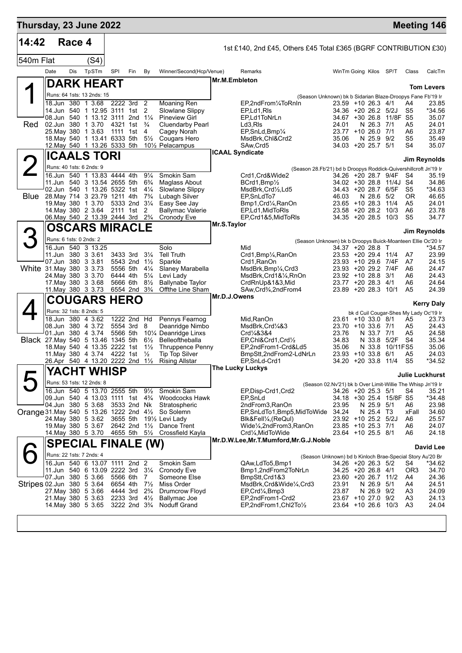| Thursday, 23 June 2022             |                                                              |        |                            |     |                                                    |                                  |                                                                         |               |                                                                                    |                                            |                  |                         |                                        | <b>Meeting 146</b>     |
|------------------------------------|--------------------------------------------------------------|--------|----------------------------|-----|----------------------------------------------------|----------------------------------|-------------------------------------------------------------------------|---------------|------------------------------------------------------------------------------------|--------------------------------------------|------------------|-------------------------|----------------------------------------|------------------------|
| 14:42                              |                                                              | Race 4 |                            |     |                                                    |                                  |                                                                         |               | 1st £140, 2nd £45, Others £45 Total £365 (BGRF CONTRIBUTION £30)                   |                                            |                  |                         |                                        |                        |
| 540m Flat                          |                                                              |        | (S4)                       |     |                                                    |                                  |                                                                         |               |                                                                                    |                                            |                  |                         |                                        |                        |
|                                    | Date                                                         | Dis    | TpSTm                      | SPI | Fin                                                | By                               | Winner/Second(Hcp/Venue)                                                |               | Remarks                                                                            | WinTm Going Kilos SP/T                     |                  |                         | Class                                  | CalcTm                 |
|                                    |                                                              |        | <b>DARK HEART</b>          |     |                                                    |                                  |                                                                         | Mr.M.Embleton |                                                                                    |                                            |                  |                         |                                        | <b>Tom Levers</b>      |
|                                    |                                                              |        | Runs: 64 1sts: 13 2nds: 15 |     |                                                    |                                  |                                                                         |               | (Season Unknown) bk b Sidarian Blaze-Droopys Fane Fb'19 Ir                         |                                            |                  |                         |                                        |                        |
|                                    | 18.Jun 380 1 3.68                                            |        | 14.Jun 540 1 12.95 3111    |     | 2222 3rd 2<br>1st                                  | 2                                | Moaning Ren<br>Slowlane Slippy                                          |               | EP,2ndFrom1/4ToRnIn<br>EP,Ld1,RIs                                                  | $23.59 + 1026.34/1$<br>34.36 +20 26.2 5/2J |                  |                         | A4<br>S5                               | 23.85<br>*34.56        |
|                                    | 08.Jun 540 1 13.12 3111 2nd 11/4                             |        |                            |     |                                                    |                                  | <b>Pineview Girl</b>                                                    |               | EP.Ld1ToNrLn                                                                       |                                            |                  | 34.67 +30 26.8 11/8F S5 |                                        | 35.07                  |
| <b>Red</b>                         | 02.Jun 380 1 3.70<br>25. May 380 1 3.63                      |        |                            |     | 4321 1st<br>1111 1st                               | $\frac{3}{4}$<br>4               | <b>Cluendarby Pearl</b><br>Cagey Norah                                  |               | Ld3,RIs<br>EP, SnLd, Bmp <sup>1</sup> /4                                           | 24.01<br>23.77 +10 26.0 7/1                | N 26.3           | 7/1                     | A5<br>A6                               | 24.01<br>23.87         |
|                                    | 18. May 540 1 13.41 6333 5th<br>12. May 540 1 13.26 5333 5th |        |                            |     |                                                    | $5\frac{1}{2}$                   | Cougars Hero<br>101/2 Pelacampus                                        |               | MsdBrk, Chl&Crd2<br>SAw, Crd5                                                      | 35.06<br>34.03 +20 25.7 5/1                | N 25.9           | 9/2                     | S <sub>5</sub><br>S4                   | 35.49<br>35.07         |
|                                    |                                                              |        | <b>ICAALS TORI</b>         |     |                                                    |                                  |                                                                         |               | <b>ICAAL Syndicate</b>                                                             |                                            |                  |                         |                                        |                        |
|                                    |                                                              |        | Runs: 40 1sts: 6 2nds: 9   |     |                                                    |                                  |                                                                         |               |                                                                                    |                                            |                  |                         |                                        | Jim Reynolds           |
|                                    | 16.Jun 540 1 13.83 4444 4th                                  |        |                            |     |                                                    | $9\frac{1}{4}$                   | Smokin Sam                                                              |               | (Season 28.Fb'21) bd b Droopys Roddick-Quivershillcroft Jn'19 Ir<br>Crd1.Crd&Wide2 | 34.26 +20 28.7 9/4F                        |                  |                         | S4                                     | 35.19                  |
|                                    | 11. Jun 540 3 13.54 2655 5th<br>02.Jun 540 1 13.26 5322 1st  |        |                            |     |                                                    | $6\frac{3}{4}$<br>$4\frac{1}{4}$ | Maglass About<br>Slowlane Slippy                                        |               | BCrd1,Bmp1/2<br>MsdBrk, Crd1/2, Ld5                                                | 34.43 +20 28.7 6/5F                        |                  | 34.02 +30 28.8 11/4J S4 | S5                                     | 34.86<br>*34.63        |
| <b>Blue</b>                        | 28. May 714 3 23.79 1211 4th                                 |        |                            |     |                                                    | $7\frac{3}{4}$                   | Lubagh Silver                                                           |               | EP, SnLdTo7                                                                        | 46.03                                      | N 28.6           | 5/2                     | 0R                                     | 46.65                  |
|                                    | 19. May 380 1 3.70<br>14. May 380 2 3.64 2111 1st 2          |        |                            |     | 5333 2nd                                           | $3\frac{1}{4}$                   | Easy See Jay<br><b>Ballymac Valerie</b>                                 |               | Bmp1, Crd1/ <sub>4</sub> , RanOn<br>EP,Ld1,MidToRIs                                | $23.65 + 10.28.3$<br>$23.58 + 2028.2$      |                  | 11/4<br>10/3            | A5<br>A6                               | 24.01<br>23.78         |
|                                    | 06. May 540 2 13.39 2444 3rd                                 |        |                            |     |                                                    | $2\frac{3}{4}$                   | Cronody Eve                                                             |               | EP,Crd1&5,MidToRIs                                                                 | $34.35 + 20.28.5$                          |                  | 10/3                    | S5                                     | 34.77                  |
|                                    |                                                              |        | <b>OSCARS MIRACLE</b>      |     |                                                    |                                  |                                                                         | Mr.S.Taylor   |                                                                                    |                                            |                  |                         |                                        | Jim Reynolds           |
|                                    | Runs: 6 1sts: 0 2nds: 2                                      |        |                            |     |                                                    |                                  |                                                                         |               | (Season Unknown) bk b Droopys Buick-Moanteen Ellie Oc'20 Ir                        |                                            |                  |                         |                                        |                        |
|                                    | 16.Jun 540 3 13.25<br>11.Jun 380 3 3.61                      |        |                            |     | 3433 3rd                                           | $3\frac{1}{4}$                   | Solo<br><b>Tell Truth</b>                                               |               | Mid<br>Crd1, Bmp1/ <sub>4</sub> , RanOn                                            | 34.37 +20 28.8 T<br>23.53 +20 29.4 11/4    |                  |                         | A7                                     | *34.57<br>23.99        |
|                                    | 07.Jun 380 3 3.81                                            |        |                            |     | 5543 2nd 11/2                                      |                                  | Sparkle                                                                 |               | Crd1, RanOn                                                                        | 23.93 +10 29.6 7/4F                        |                  |                         | A7                                     | 24.15                  |
| White 31. May 380 3 3.73           | 24. May 380 3 3.70                                           |        |                            |     | 5556 5th<br>6444 4th                               | $4\frac{1}{4}$<br>$5\frac{1}{4}$ | Slaney Marabella<br>Levi Lady                                           |               | MsdBrk,Bmp¼,Crd3<br>MsdBrk,Crd1&¼,RnOn                                             | 23.93 +20 29.2<br>23.92 +10 28.8 3/1       |                  | 7/4F                    | A6<br>A6                               | 24.47<br>24.43         |
|                                    | 17 May 380 3 3.68<br>11. May 380 3 3.73                      |        |                            |     | 5666 6th<br>6554 2nd 3 <sup>3</sup> / <sub>4</sub> | $8\frac{1}{2}$                   | <b>Ballynabe Taylor</b><br>Offthe Line Sham                             |               | CrdRnUp&1&3,Mid<br>SAw, Crd <sup>3</sup> / <sub>4</sub> , 2nd From 4               | 23.77 +20 28.3<br>23.89 +20 28.3 10/1      |                  | 4/1                     | A6<br>A5                               | 24.64<br>24.39         |
|                                    |                                                              |        | <b>COUGARS HERO</b>        |     |                                                    |                                  |                                                                         | Mr.D.J.Owens  |                                                                                    |                                            |                  |                         |                                        |                        |
|                                    |                                                              |        | Runs: 32 1sts: 8 2nds: 5   |     |                                                    |                                  |                                                                         |               |                                                                                    |                                            |                  |                         | bk d Cuil Cougar-Shes My Lady Oc'19 Ir | <b>Kerry Daly</b>      |
|                                    |                                                              |        | 18.Jun 380 4 3.62          |     | 1222 2nd Hd                                        |                                  | Pennys Fearnog                                                          |               | Mid, RanOn                                                                         | 23.61 +10 33.0 8/1                         |                  |                         | A5                                     | 23.73                  |
|                                    | 08.Jun 380 4 3.72<br>01.Jun 380 4 3.74                       |        |                            |     | 5554 3rd<br>5566 5th                               | 8                                | Deanridge Nimbo<br>10% Deanridge Linxs                                  |               | MsdBrk, Crd1/4&3<br>Crd <sup>1</sup> / <sub>4</sub> &3&4                           | 23.70 +10 33.6 7/1<br>23.76                | N 33.7 7/1       |                         | A5<br>A5                               | 24.43<br>24.58         |
| Black 27. May 540 5 13.46 1345 5th |                                                              |        |                            |     |                                                    | $6\frac{1}{2}$                   | Belleoftheballa                                                         |               | EP,Chl&Crd1,Crd1/2                                                                 | 34.83                                      | N 33.8           | 5/2F                    | S4                                     | 35.34                  |
|                                    | 18. May 540 4 13.35 2222 1st<br>11. May 380 4 3.74           |        |                            |     | 4222 1st                                           | $1\frac{1}{2}$<br>$\frac{1}{2}$  | <b>Thruppence Penny</b><br>Tip Top Silver                               |               | EP,2ndFrom1-Crd&Ld5<br>BmpStt,2ndFrom2-LdNrLn                                      | 35.06<br>$23.93 + 10.33.8$                 | N 33.8           | 10/11FS5<br>6/1         | A5                                     | 35.06<br>24.03         |
|                                    | 26.Apr 540 4 13.20 2222 2nd                                  |        |                            |     |                                                    | $1\frac{1}{2}$                   | <b>Rising Allstar</b>                                                   |               | EP, SnLd-Crd1<br>The Lucky Luckys                                                  | 34.20                                      | +20 33.8         | 11/4                    | S <sub>5</sub>                         | *34.52                 |
|                                    |                                                              |        | YACHT WHISP                |     |                                                    |                                  |                                                                         |               |                                                                                    |                                            |                  |                         |                                        | <b>Julie Luckhurst</b> |
|                                    | 16.Jun 540 5 13.70 2555 5th                                  |        | Runs: 53 1sts: 12 2nds: 8  |     |                                                    | $9\frac{1}{2}$                   |                                                                         |               | (Season 02.Nv'21) bk b Over Limit-Willie The Whisp Jn'19 Ir<br>EP, Disp-Crd1, Crd2 |                                            |                  |                         |                                        |                        |
|                                    | 09.Jun 540 4 13.03 1111 1st 43/4                             |        |                            |     |                                                    |                                  | Smokin Sam<br>Woodcocks Hawk                                            |               | EP,SnLd                                                                            | 34.26 +20 25.3 5/1<br>34.18 +30 25.4       |                  | 15/8F S5                | S4                                     | 35.21<br>*34.48        |
|                                    | 04.Jun 380 5 3.68                                            |        |                            |     | 3533 2nd Nk                                        |                                  | Stratospheric<br>Orange 31. May 540 5 13.26 1222 2nd 41/2 So Solemn     |               | 2ndFrom3, RanOn<br>EP,SnLdTo1,Bmp5,MidToWide                                       | 23.95<br>34.24                             | N 25.9<br>N 25.4 | 5/1<br>Т3               | A6<br>xFall                            | 23.98<br>34.60         |
|                                    | 24. May 380 5 3.62                                           |        |                            |     | 3655 5th                                           |                                  | 191/ <sub>2</sub> Levi Lady                                             |               | Blk&Fell¼, (ReQul)                                                                 | 23.92 +10 25.2 5/2J                        |                  |                         | A6                                     | 25.57                  |
|                                    | 19. May 380 5 3.67<br>14. May 380 5 3.70                     |        |                            |     |                                                    |                                  | 2642 2nd 11/2 Dance Trent<br>4655 5th 51/ <sub>2</sub> Crossfield Kayla |               | Wide¼,2ndFrom3,RanOn<br>Crd1⁄4, MidToWide                                          | 23.85 +10 25.3 7/1<br>23.64 +10 25.5 8/1   |                  |                         | A6<br>A6                               | 24.07<br>24.18         |
|                                    |                                                              |        | <b>SPECIAL FINALE (W)</b>  |     |                                                    |                                  |                                                                         |               | Mr.D.W.Lee, Mr.T.Mumford, Mr.G.J.Noble                                             |                                            |                  |                         |                                        |                        |
|                                    |                                                              |        | Runs: 22 1sts: 7 2nds: 4   |     |                                                    |                                  |                                                                         |               | (Season Unknown) bd b Kinloch Brae-Special Story Au'20 Br                          |                                            |                  |                         |                                        | <b>David Lee</b>       |
|                                    | 16.Jun 540 6 13.07 1111 2nd 2                                |        |                            |     |                                                    |                                  | Smokin Sam                                                              |               | QAw,LdTo5,Bmp1                                                                     | 34.26 +20 26.3 5/2                         |                  |                         | S4                                     | *34.62                 |
|                                    | 11.Jun 540 6 13.09 2222 3rd<br>07.Jun 380 5 3.66             |        |                            |     | 5566 6th                                           | $3\frac{1}{4}$<br>7              | Cronody Eve<br>Someone Else                                             |               | Bmp1,2ndFrom2ToNrLn<br>BmpStt, Crd1&3                                              | 34.25 +20 26.8 4/1<br>23.60 +20 26.7 11/2  |                  |                         | OR3<br>A4                              | 34.70<br>24.36         |
| Stripes 02.Jun 380 5 3.64          |                                                              |        |                            |     | 6654 4th                                           | $7\frac{1}{2}$                   | Miss Order                                                              |               | MsdBrk, Crd&Wide1/4, Crd3                                                          | 23.91                                      | N 26.9           | 5/1                     | A4                                     | 24.51                  |
|                                    | 27 May 380 5 3.66<br>21. May 380 5 3.63                      |        |                            |     | 4444 3rd<br>2233 3rd                               | $2\frac{3}{4}$<br>$4\frac{1}{2}$ | Drumcrow Floyd<br>Ballymac Joe                                          |               | EP, Crd <sup>1</sup> / <sub>4</sub> , Bmp3<br>EP,2ndFrom1-Crd2                     | 23.87<br>23.67 +10 27.0 9/2                | N 26.9 9/2       |                         | A3<br>A3                               | 24.09<br>24.13         |
|                                    | 14 May 380 5 3.65                                            |        |                            |     | 3222 2nd 3 <sup>3</sup> / <sub>4</sub>             |                                  | Noduff Grand                                                            |               | EP,2ndFrom1,Chl2To1/2                                                              | 23.64 +10 26.6 10/3                        |                  |                         | A3                                     | 24.04                  |
|                                    |                                                              |        |                            |     |                                                    |                                  |                                                                         |               |                                                                                    |                                            |                  |                         |                                        |                        |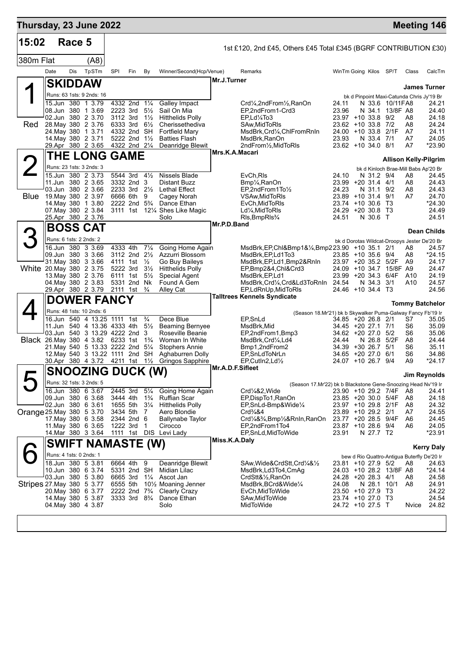| Thursday, 23 June 2022    |                         |            |                                                                                                |                      |                                                     |                                  |                                                |                  |                                                                                                 |                                            |             |                              |                                              | <b>Meeting 146</b>     |
|---------------------------|-------------------------|------------|------------------------------------------------------------------------------------------------|----------------------|-----------------------------------------------------|----------------------------------|------------------------------------------------|------------------|-------------------------------------------------------------------------------------------------|--------------------------------------------|-------------|------------------------------|----------------------------------------------|------------------------|
| 15:02                     |                         | Race 5     |                                                                                                |                      |                                                     |                                  |                                                |                  | 1st £120, 2nd £45, Others £45 Total £345 (BGRF CONTRIBUTION £30)                                |                                            |             |                              |                                              |                        |
| 380m Flat                 |                         |            | (A8)                                                                                           |                      |                                                     |                                  |                                                |                  |                                                                                                 |                                            |             |                              |                                              |                        |
|                           | Date                    | <b>Dis</b> | TpSTm                                                                                          | SPI                  | Fin                                                 | By                               | Winner/Second(Hcp/Venue)                       |                  | Remarks                                                                                         | WinTm Going Kilos SP/T                     |             |                              | Class                                        | CalcTm                 |
|                           |                         |            | <b>SKIDDAW</b>                                                                                 |                      |                                                     |                                  |                                                | Mr.J.Turner      |                                                                                                 |                                            |             |                              |                                              | <b>James Turner</b>    |
|                           |                         |            | Runs: 63 1sts: 9 2nds: 16                                                                      |                      |                                                     |                                  |                                                |                  |                                                                                                 |                                            |             |                              | bk d Pinpoint Maxi-Catunda Chris Jy'19 Br    |                        |
|                           | 15.Jun 380              |            | 1 3.79<br>08.Jun 380 1 3.69                                                                    | 2223 3rd             | 4332 2nd 11/4                                       | $5\frac{1}{2}$                   | Galley Impact<br>Sail On Mia                   |                  | Crd <sup>1</sup> / <sub>4</sub> ,2ndFrom <sup>1</sup> / <sub>2</sub> ,RanOn<br>EP,2ndFrom1-Crd3 | 24.11<br>23.96                             | N 34.1      | N 33.6 10/11 FA8<br>13/8F A8 |                                              | 24.21<br>24.40         |
|                           |                         |            | 02.Jun 380 2 3.70                                                                              | 3112 3rd             |                                                     | $1\frac{1}{2}$                   | <b>Hitthelids Polly</b>                        |                  | EP.Ld%To3                                                                                       | 23.97 +10 33.8 9/2                         |             |                              | A8                                           | 24.18                  |
| Red                       | 24. May 380             |            | 28. May 380 2 3.76<br>1 3.71                                                                   | 6333 3rd             | 4332 2nd SH                                         | $6\frac{1}{2}$                   | Cherissethediva<br><b>Fortfield Mary</b>       |                  | SAw, Mid To RIs<br>MsdBrk,Crd¼,ChlFromRnIn                                                      | $23.62 + 10.33.8$<br>24.00 +10 33.8 2/1F   |             | 7/2                          | A8<br>A7                                     | 24.24<br>24.11         |
|                           |                         |            | 14 May 380 2 3.71<br>29.Apr 380 2 3.65                                                         |                      | 5222 2nd 11/2                                       |                                  | <b>Batties Flash</b>                           |                  | MsdBrk, RanOn                                                                                   | 23.93                                      | N 33.4      | 7/1                          | A7<br>A7                                     | 24.05                  |
|                           |                         |            | <b>THE LONG GAME</b>                                                                           |                      | 4322 2nd 21/4                                       |                                  | Deanridge Blewit                               | Mrs.K.A.Macari   | 2ndFrom1/2, MidToRIs                                                                            | 23.62 +10 34.0 8/1                         |             |                              |                                              | *23.90                 |
|                           |                         |            | Runs: 23 1sts: 3 2nds: 3                                                                       |                      |                                                     |                                  |                                                |                  |                                                                                                 |                                            |             |                              | <b>Allison Kelly-Pilgrim</b>                 |                        |
| $\angle$                  |                         |            | 15.Jun 380 2 3.73                                                                              |                      | 5544 3rd                                            | $4\frac{1}{2}$                   | Nissels Blade                                  |                  | EvCh, Ris                                                                                       | 24.10                                      | N 31.2 9/4  |                              | bk d Kinloch Brae-Mill Babs Ap'20 Br<br>A8   | 24.45                  |
|                           |                         |            | 11.Jun 380 2 3.65                                                                              |                      | 3332 2nd 3                                          |                                  | Distant Buzz                                   |                  | Bmp1/ <sub>4</sub> , RanOn                                                                      | 23.99 +20 31.4                             |             | 4/1                          | A8                                           | 24.43                  |
| <b>Blue</b>               |                         |            | 03.Jun 380 2 3.66<br>19. May 380 2 3.97                                                        | 6666 6th             | 2233 3rd                                            | $2\frac{1}{2}$<br>9              | <b>Lethal Effect</b><br>Cagey Norah            |                  | EP.2ndFrom1To1/2<br>VSAw, Mid To RIs                                                            | 24.23<br>23.89 +10 31.4                    | N 31.1      | 9/2<br>9/1                   | A8<br>A7                                     | 24.43<br>24.70         |
|                           | 14. May 380             |            | 1 3.80                                                                                         |                      | 2222 2nd                                            | $5\frac{3}{4}$                   | Dance Ethan                                    |                  | EvCh, MidToRIs                                                                                  | $23.74$ +10 30.6                           |             | Т3                           |                                              | *24.30                 |
|                           |                         |            | 07. May 380 2 3.84<br>25.Apr 380 2 3.76                                                        |                      |                                                     |                                  | 3111 1st 121/4 Shes Like Magic<br>Solo         |                  | $Ld4$ , MidToRIs<br>Rls,BmpRls <sup>3</sup> /4                                                  | $24.29 + 2030.8$<br>24.51                  | N 30.6 T    | - T3                         |                                              | 24.49<br>24.51         |
|                           |                         |            | BOSS CAT                                                                                       |                      |                                                     |                                  |                                                | Mr.P.D.Band      |                                                                                                 |                                            |             |                              |                                              | <b>Dean Childs</b>     |
|                           | Runs: 6 1sts: 2 2nds: 2 |            |                                                                                                |                      |                                                     |                                  |                                                |                  |                                                                                                 |                                            |             |                              | bk d Dorotas Wildcat-Droopys Jester De'20 Br |                        |
|                           |                         |            | 16.Jun 380 3 3.69                                                                              | 4333 4th             |                                                     | $7\frac{1}{4}$                   | Going Home Again                               |                  | MsdBrk, EP, Chl&Bmp1&1/4, Bmp223.90 +10 35.1 2/1                                                |                                            |             |                              | A8                                           | 24.57                  |
|                           |                         |            | 09.Jun 380 3 3.66<br>31. May 380 3 3.66                                                        |                      | $3112$ 2nd $2\frac{1}{2}$<br>4111 1st $\frac{1}{2}$ |                                  | Azzurri Blossom<br>Go Buy Baileys              |                  | MsdBrk, EP, Ld1To3<br>MsdBrk, EP, Ld1, Bmp2&RnIn                                                | 23.85 +10 35.6 9/4<br>23.97 +20 35.2 5/2F  |             |                              | A8<br>A <sub>9</sub>                         | *24.15<br>24.17        |
| White 20 May 380 2 3.75   |                         |            |                                                                                                | 5222 3rd             |                                                     | $3\frac{1}{2}$                   | <b>Hitthelids Polly</b>                        |                  | EP,Bmp2&4,Chl&Crd3                                                                              | 24.09 +10 34.7                             |             | 15/8F A9                     |                                              | 24.47                  |
|                           |                         |            | 13. May 380 2 3.76<br>04 May 380 2 3.83                                                        | 6111 1st             | 5331 2nd                                            | $5\frac{1}{2}$<br>Nk             | Special Agent<br>Found A Gem                   |                  | MsdBrk, EP, Ld1<br>MsdBrk,Crd¼,Crd&Ld3ToRnIn                                                    | $23.99 + 20.34.3$<br>24.54                 | N 34.3      | 6/4F<br>3/1                  | A10<br>A10                                   | 24.19<br>24.57         |
|                           |                         |            | 29.Apr 380 2 3.79                                                                              | 2111 1st             |                                                     | $\frac{3}{4}$                    | Alley Cat                                      |                  | EP,LdRnUp,MidToRIs<br><b>Talltrees Kennels Syndicate</b>                                        | 24.46 +10 34.4                             |             | - T3                         |                                              | 24.56                  |
|                           |                         |            | <b>DOWER FANCY</b>                                                                             |                      |                                                     |                                  |                                                |                  |                                                                                                 |                                            |             |                              |                                              | <b>Tommy Batchelor</b> |
|                           |                         |            | Runs: 48 1sts: 10 2nds: 6<br>16.Jun 540 4 13.25 1111 1st                                       |                      |                                                     | $\frac{3}{4}$                    | Dece Blue                                      |                  | (Season 18.Mr'21) bk b Skywalker Puma-Galway Fancy Fb'19 Ir<br>EP, SnLd                         | 34.85 +20 26.8 2/1                         |             |                              | S7                                           | 35.05                  |
|                           |                         |            | 11.Jun 540 4 13.36 4333 4th                                                                    |                      |                                                     | $5\frac{1}{2}$                   | <b>Beaming Bernyee</b>                         |                  | MsdBrk, Mid                                                                                     | 34.45 +20 27.1 7/1                         |             |                              | S6                                           | 35.09                  |
|                           |                         |            | 03.Jun 540 3 13.29 4222 2nd<br>Black 26. May 380 4 3.82 6233 1st 1 <sup>3</sup> / <sub>4</sub> |                      |                                                     | 3                                | Roseville Beanie<br>Woman In White             |                  | EP,2ndFrom1,Bmp3<br>MsdBrk, Crd1/4, Ld4                                                         | $34.62 + 20.27.0$<br>24.44                 | N 26.8      | 5/2<br>5/2F                  | S <sub>6</sub><br>A8                         | 35.06<br>24.44         |
|                           |                         |            | 21. May 540 5 13.33 2222 2nd 51/4                                                              |                      |                                                     |                                  | <b>Stophers Annie</b>                          |                  | Bmp1,2ndFrom2                                                                                   | 34.39                                      | $+3026.7$   | 5/1                          | S6                                           | 35.11                  |
|                           |                         |            | 12. May 540 3 13.22 1111 2nd SH<br>30.Apr 380 4 3.72                                           | 4211 1st             |                                                     | $1\frac{1}{2}$                   | Aghaburren Dolly<br>Gringos Sapphire           |                  | EP,SnLdToNrLn<br>$EP$ , Cutln $2$ , Ld $\frac{1}{2}$                                            | 34.65 +20 27.0 6/1<br>24.07 +10 26.7 9/4   |             |                              | S6<br>A9                                     | 34.86<br>$*24.17$      |
|                           |                         |            | <b>SNOOZING DUCK (W)</b>                                                                       |                      |                                                     |                                  |                                                | Mr.A.D.F.Sifleet |                                                                                                 |                                            |             |                              |                                              |                        |
|                           |                         |            | Runs: 32 1sts: 3 2nds: 5                                                                       |                      |                                                     |                                  |                                                |                  | (Season 17.Mr'22) bk b Blackstone Gene-Snoozing Head Nv'19 Ir                                   |                                            |             |                              |                                              | Jim Reynolds           |
|                           |                         |            | 16.Jun 380 6 3.67                                                                              | 2445 3rd             |                                                     | $5\frac{1}{4}$                   | Going Home Again                               |                  | Crd1/4&2, Wide                                                                                  | 23.90 +10 29.2 7/4F                        |             |                              | A8                                           | 24.41                  |
|                           |                         |            | 09.Jun 380 6 3.68<br>02.Jun 380 6 3.61                                                         | 3444 4th<br>1655 5th |                                                     | $1\frac{3}{4}$<br>$3\frac{1}{4}$ | <b>Ruffian Scar</b><br><b>Hitthelids Polly</b> |                  | EP, Disp To 1, RanOn<br>EP,SnLd-Bmp&Wide1/4                                                     | 23.85 +20 30.0 5/4F<br>23.97 +10 29.8 2/1F |             |                              | A8<br>A8                                     | 24.18<br>24.32         |
| Orange 25. May 380 5 3.70 |                         |            |                                                                                                |                      | 3434 5th 7                                          |                                  | Aero Blondie                                   |                  | Crd3⁄4&4                                                                                        | 23.89 +10 29.2 2/1                         |             |                              | A7                                           | 24.55                  |
|                           |                         |            | 17. May 380 6 3.58<br>11. May 380 6 3.65                                                       | 1222 3rd             | 2344 2nd 6                                          | $\mathbf 1$                      | <b>Ballynabe Taylor</b><br>Cirocco             |                  | Crd1/4&3/4,Bmp1/2&RnIn,RanOn<br>EP,2ndFrom1To4                                                  | 23.77 +20 28.5 9/4F<br>23.87 +10 28.6 9/4  |             |                              | A6<br>A6                                     | 24.45<br>24.05         |
|                           |                         |            | 14. Mar 380 3 3.64                                                                             |                      |                                                     |                                  | 1111 1st DIS Levi Lady                         |                  | EP, SnLd, MidToWide                                                                             | 23.91                                      | N 27.7 T2   |                              |                                              | $*23.91$               |
|                           |                         |            | <b>SWIFT NAMASTE (W)</b>                                                                       |                      |                                                     |                                  |                                                | Miss.K.A.Daly    |                                                                                                 |                                            |             |                              |                                              | <b>Kerry Daly</b>      |
|                           | Runs: 4 1sts: 0 2nds: 1 |            |                                                                                                |                      |                                                     |                                  |                                                |                  |                                                                                                 |                                            |             |                              | bew d Rio Quattro-Antigua Buterfly De'20 Ir  |                        |
|                           |                         |            | 18.Jun 380 5 3.81<br>10.Jun 380 6 3.74                                                         | 6664 4th             | 5331 2nd SH                                         | - 9                              | Deanridge Blewit<br>Midian Lilac               |                  | SAw, Wide&CrdStt, Crd1/4&1/2<br>MsdBrk,Ld3To4,CmAg                                              | 23.81 +10 27.9 5/2                         |             | 24.03 +10 28.2 13/8F A8      | A8                                           | 24.63<br>*24.14        |
|                           |                         |            | 03.Jun 380 5 3.80                                                                              | 6665 3rd             |                                                     |                                  | 1 <sup>1</sup> / <sub>4</sub> Ascot Jan        |                  | CrdStt&½,RanOn                                                                                  | 24.28 +20 28.3 4/1                         |             |                              | A8                                           | 24.58                  |
| Stripes 27 May 380 5 3.77 |                         |            | 20. May 380 6 3.77                                                                             | 6555 5th             | 2222 2nd 7 <sup>3</sup> / <sub>4</sub>              |                                  | $10\%$ Moaning Jenner<br>Clearly Crazy         |                  | MsdBrk,BCrd&Wide¼<br>EvCh, MidToWide                                                            | 24.08<br>23.50 +10 27.9 T3                 | N 28.1 10/1 |                              | A8                                           | 24.91<br>24.22         |
|                           |                         |            | 14. May 380 5 3.87                                                                             |                      | 3333 3rd 8 <sup>3</sup> / <sub>4</sub>              |                                  | Dance Ethan                                    |                  | SAw,MidToWide                                                                                   | 23.74 +10 27.0 T3                          |             |                              |                                              | 24.54                  |
|                           |                         |            | 04 May 380 4 3.87                                                                              |                      |                                                     |                                  | Solo                                           |                  | MidToWide                                                                                       | 24.72 +10 27.5 T                           |             |                              | Nvice                                        | 24.82                  |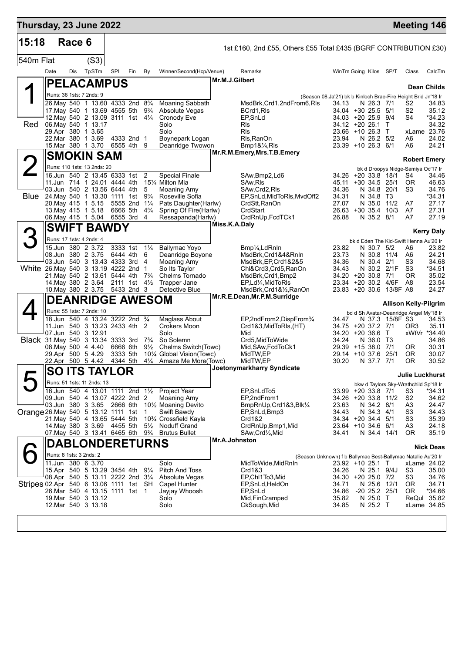| Thursday, 23 June 2022                 |                                                                                                           |        |  |       |                                |     |                                  |                                                                |                |                                                                  |                                                               |                                           |                  |                 | <b>Meeting 146</b>                       |                            |
|----------------------------------------|-----------------------------------------------------------------------------------------------------------|--------|--|-------|--------------------------------|-----|----------------------------------|----------------------------------------------------------------|----------------|------------------------------------------------------------------|---------------------------------------------------------------|-------------------------------------------|------------------|-----------------|------------------------------------------|----------------------------|
| 15:18                                  |                                                                                                           | Race 6 |  |       |                                |     |                                  |                                                                |                | 1st £160, 2nd £55, Others £55 Total £435 (BGRF CONTRIBUTION £30) |                                                               |                                           |                  |                 |                                          |                            |
| 540m Flat                              |                                                                                                           |        |  | (S3)  |                                |     |                                  |                                                                |                |                                                                  |                                                               |                                           |                  |                 |                                          |                            |
|                                        | Date                                                                                                      | Dis    |  | TpSTm | SPI                            | Fin | By                               | Winner/Second(Hcp/Venue)                                       | Mr.M.J.Gilbert | Remarks                                                          |                                                               | WinTm Going Kilos SP/T                    |                  |                 | Class                                    | CalcTm                     |
|                                        | <b> PELACAMPUS</b>                                                                                        |        |  |       |                                |     |                                  |                                                                |                |                                                                  |                                                               |                                           |                  |                 |                                          | Dean Childs                |
|                                        | Runs: 36 1sts: 7 2nds: 9                                                                                  |        |  |       |                                |     |                                  |                                                                |                |                                                                  | (Season 08.Ja'21) bk b Kinloch Brae-Fire Height Brid Jn'18 Ir |                                           |                  |                 |                                          |                            |
|                                        | 26. May 540 1 13.60 4333 2nd 83/4<br>17. May 540 1 13.69 4555 5th                                         |        |  |       |                                |     | $9\frac{3}{4}$                   | Moaning Sabbath<br>Absolute Vegas                              |                | MsdBrk, Crd1, 2ndFrom6, RIs<br>BCrd1,RIs                         | 34.13                                                         | 34.04 +30 25.5 5/1                        | N 26.3 7/1       |                 | S2<br>S2                                 | 34.83<br>35.12             |
|                                        | 12. May 540 2 13.09 3111 1st 41/4                                                                         |        |  |       |                                |     |                                  | Cronody Eve                                                    |                | EP,SnLd                                                          |                                                               | $34.03 + 20.25.9$                         |                  | 9/4             | S <sub>4</sub>                           | *34.23                     |
| Red                                    | 06. May 540 1 13.17<br>29.Apr 380 1 3.65                                                                  |        |  |       |                                |     |                                  | Solo<br>Solo                                                   |                | Rls<br>Rls                                                       |                                                               | 34.12 +20 26.1<br>23.66 +10 26.3          |                  | T<br>$\top$     |                                          | 34.32<br>xLame 23.76       |
|                                        | 22.Mar 380 1 3.69                                                                                         |        |  |       | 4333 2nd 1                     |     |                                  | Boynepark Logan                                                |                | Rls, RanOn                                                       | 23.94                                                         |                                           | N 26.2 5/2       |                 | A6                                       | 24.02                      |
|                                        | 15.Mar 380 1 3.70                                                                                         |        |  |       | 6555 4th 9                     |     |                                  | Deanridge Twowon                                               |                | Bmp1&1/4,RIs<br>Mr.R.M.Emery, Mrs.T.B.Emery                      |                                                               | 23.39 +10 26.3 6/1                        |                  |                 | A6                                       | 24.21                      |
|                                        | <b>SMOKIN SAM</b>                                                                                         |        |  |       |                                |     |                                  |                                                                |                |                                                                  |                                                               |                                           |                  |                 | <b>Robert Emery</b>                      |                            |
|                                        | Runs: 110 1sts: 13 2nds: 20<br>16.Jun 540 2 13.45 6333 1st                                                |        |  |       |                                |     | 2                                | <b>Special Finale</b>                                          |                | SAw, Bmp2, Ld6                                                   |                                                               | 34.26 +20 33.8                            |                  | 18/1            | bk d Droopys Nidge-Samiya Oc'17 Ir<br>S4 | 34.46                      |
|                                        | 11.Jun 714 1 24.01 4444 4th<br>151⁄4 Milton Mia<br>03.Jun 540 2 13.56 6444 4th<br>5<br><b>Moaning Amy</b> |        |  |       |                                |     |                                  |                                                                |                | SAw,RIs                                                          | 45.11                                                         | $+30, 34.5$                               |                  | 25/1            | 0R                                       | 46.63                      |
| <b>Blue</b>                            | 24. May 540 1 13.30 1111 1st                                                                              |        |  |       |                                |     | $9\frac{3}{4}$                   | Roseville Sofia                                                |                | SAw,Crd2,RIs<br>EP, SnLd, MidToRIs, MvdOff2                      | 34.36<br>34.31                                                |                                           | N 34.8<br>N 34.8 | 20/1<br>T3      | S <sub>3</sub>                           | 34.76<br>*34.31            |
|                                        | 20. May 415 1 5.15                                                                                        |        |  |       | 5555 2nd                       |     | $1\frac{1}{4}$                   | Pats Daughter(Harlw)                                           |                | CrdStt, RanOn                                                    | 27.07                                                         |                                           | N 35.0           | 11/2            | A7                                       | 27.17                      |
|                                        | 13. May 415 1 5.18<br>06. May 415 1 5.04                                                                  |        |  |       | 6666 5th<br>6555 3rd           |     | $4\frac{3}{4}$<br>4              | Spring Of Fire(Harlw)<br>Ressapanda(Harlw)                     |                | CrdStart<br>CrdRnUp, FcdTCk1                                     | 26.88                                                         | 26.63 +30 35.4                            | N 35.2 8/1       | 10/3            | A7<br>A7                                 | 27.31<br>27.19             |
|                                        |                                                                                                           |        |  |       | <b>SWIFT BAWDY</b>             |     |                                  |                                                                | Miss.K.A.Daly  |                                                                  |                                                               |                                           |                  |                 |                                          |                            |
|                                        | Runs: 17 1sts: 4 2nds: 4                                                                                  |        |  |       |                                |     |                                  |                                                                |                |                                                                  |                                                               |                                           |                  |                 | bk d Eden The Kid-Swift Henna Au'20 Ir   | <b>Kerry Daly</b>          |
|                                        | 15.Jun 380 2 3.72                                                                                         |        |  |       | 3333 1st                       |     | $1\frac{1}{4}$                   | <b>Ballymac Yoyo</b>                                           |                | Bmp¼,LdRnIn                                                      | 23.82                                                         |                                           | N 30.7 5/2       |                 | A6                                       | 23.82                      |
|                                        | 08.Jun 380 2 3.75<br>03.Jun 540 3 13.43 4333 3rd                                                          |        |  |       | 6444 4th                       |     | 6<br>4                           | Deanridge Boyone<br>Moaning Amy                                |                | MsdBrk,Crd1&4&RnIn                                               | 23.73<br>34.36                                                |                                           | N 30.8<br>N 30.4 | 11/4<br>2/1     | A6<br>S <sub>3</sub>                     | 24.21<br>34.68             |
| White 26. May 540 3 13.19 4222 2nd     |                                                                                                           |        |  |       |                                |     | $\mathbf 1$                      | So Its Taylor                                                  |                | MsdBrk, EP, Crd1&2&5<br>Chl&Crd3,Crd5,RanOn                      | 34.43                                                         |                                           | N 30.2           | 2/1F            | S <sub>3</sub>                           | *34.51                     |
|                                        | 21. May 540 2 13.61 5444 4th<br>14. May 380 2 3.64                                                        |        |  |       | 2111 1st                       |     | $7\frac{3}{4}$<br>$4\frac{1}{2}$ | Chelms Tornado                                                 |                | MsdBrk, Crd1, Bmp2                                               | 23.34                                                         | 34.20 +20 30.8 7/1<br>+20 30.2 4/6F       |                  |                 | 0R<br>A8                                 | 35.02<br>23.54             |
|                                        | 10. May 380 2 3.75                                                                                        |        |  |       | 5433 2nd 3                     |     |                                  | Trapper Jane<br>Detective Blue                                 |                | EP,Ld¼,MidToRIs<br>MsdBrk, Crd1&1/2, RanOn                       |                                                               | $23.83 + 20.30.6$                         |                  | 13/8F A8        |                                          | 24.27                      |
|                                        |                                                                                                           |        |  |       | <b>DEANRIDGE AWESOM</b>        |     |                                  |                                                                |                | Mr.R.E.Dean, Mr.P.M.Surridge                                     |                                                               |                                           |                  |                 | <b>Allison Kelly-Pilgrim</b>             |                            |
|                                        | Runs: 55 1sts: 7 2nds: 10                                                                                 |        |  |       |                                |     |                                  |                                                                |                |                                                                  |                                                               |                                           |                  |                 | bd d Sh Avatar-Deanridge Angel My'18 Ir  |                            |
|                                        | 11. Jun 540 3 13.23 2433 4th 2                                                                            |        |  |       | 18.Jun 540 4 13.24 3222 2nd 34 |     |                                  | Maglass About<br>Crokers Moon                                  |                | EP,2ndFrom2,DispFrom <sup>3</sup> /4<br>Crd1&3, MidToRIs, (HT)   | 34.47                                                         | 34.75 +20 37.2 7/1                        |                  | N 37.3 15/8F S3 | OR3                                      | 34.53<br>35.11             |
|                                        | 07.Jun 540 3 12.91                                                                                        |        |  |       |                                |     |                                  | Solo                                                           |                | Mid                                                              |                                                               | 34.20 +20 36.6                            |                  | $\mathsf{T}$    |                                          | xWtVr *34.40               |
| Black 31 May 540 3 13.34 3333 3rd      |                                                                                                           |        |  |       |                                |     | $7\frac{3}{4}$                   | So Solemn<br>Chelms Switch(Towc)                               |                | Crd5.MidToWide                                                   | 34.24                                                         | 29.39 +15 38.0                            | N 36.0 T3        | 7/1             |                                          | 34.86                      |
|                                        | 08.May 500 4 4.40<br>29.Apr 500 5 4.29                                                                    |        |  |       | 6666 6th<br>3333 5th           |     | $9\frac{1}{2}$                   | 101⁄4 Global Vision(Towc)                                      |                | Mid, SAw, FcdToCk1<br>MidTW,EP                                   |                                                               | 29.14 +10 37.6                            |                  | 25/1            | 0R<br>0R                                 | 30.31<br>30.07             |
|                                        | 22.Apr 500 5 4.42                                                                                         |        |  |       | 4344 5th                       |     | $4\frac{1}{4}$                   | Amaze Me More(Towc)                                            |                | MidTW,EP<br>Joetonymarkharry Syndicate                           | 30.20                                                         |                                           | N 37.7 7/1       |                 | 0R                                       | 30.52                      |
|                                        |                                                                                                           |        |  |       | <b>SO ITS TAYLOR</b>           |     |                                  |                                                                |                |                                                                  |                                                               |                                           |                  |                 | <b>Julie Luckhurst</b>                   |                            |
|                                        | Runs: 51 1sts: 11 2nds: 13                                                                                |        |  |       |                                |     |                                  |                                                                |                |                                                                  |                                                               |                                           |                  |                 | bkw d Taylors Sky-Wrathchild Sp'18 Ir    |                            |
|                                        | 16.Jun 540 4 13.01 1111 2nd 11/2<br>09.Jun 540 4 13.07 4222 2nd 2                                         |        |  |       |                                |     |                                  | Project Year<br><b>Moaning Amy</b>                             |                | EP,SnLdTo5<br>EP,2ndFrom1                                        |                                                               | 33.99 +20 33.8 7/1<br>34.26 +20 33.8 11/2 |                  |                 | S3<br>S <sub>2</sub>                     | *34.31<br>34.62            |
|                                        | 03.Jun 380 3 3.65 2666 6th                                                                                |        |  |       |                                |     |                                  | 10 <sup>1</sup> / <sub>2</sub> Moaning Devito                  |                | BmpRnUp, Crd1&3, Blk1/4                                          | 23.63                                                         |                                           | N 34.2 8/1       |                 | A <sub>3</sub>                           | 24.47                      |
| Orange 26. May 540 5 13.12 1111 1st    | 21. May 540 4 13.65 5444 5th                                                                              |        |  |       |                                |     | 1                                | Swift Bawdy<br>10 <sup>3</sup> / <sub>4</sub> Crossfield Kayla |                | EP, SnLd, Bmp3<br>Crd1&2                                         | 34.43                                                         | 34.34 +20 34.4 5/1                        | N 34.3 4/1       |                 | S <sub>3</sub><br>S3                     | 34.43<br>35.39             |
|                                        | 14. May 380 3 3.69 4455 5th                                                                               |        |  |       |                                |     | $5\frac{1}{2}$                   | <b>Noduff Grand</b>                                            |                | CrdRnUp, Bmp1, Mid                                               |                                                               | 23.64 +10 34.6 6/1                        |                  |                 | A <sub>3</sub>                           | 24.18                      |
|                                        | 07. May 540 3 13.41 6465 6th                                                                              |        |  |       |                                |     | $9\frac{3}{4}$                   | <b>Brutus Bullet</b>                                           | Mr.A.Johnston  | SAw,Crd½,Mid                                                     | 34.41                                                         |                                           |                  | N 34.4 14/1     | OR.                                      | 35.19                      |
|                                        |                                                                                                           |        |  |       | <b>DABLONDERETURNS</b>         |     |                                  |                                                                |                |                                                                  |                                                               |                                           |                  |                 |                                          | <b>Nick Deas</b>           |
|                                        | Runs: 8 1sts: 3 2nds: 2<br>11.Jun 380 6 3.70                                                              |        |  |       |                                |     |                                  | Solo                                                           |                | MidToWide, MidRnIn                                               | (Season Unknown) f b Ballymac Best-Ballymac Natalie Au'20 Ir  | 23.92 +10 25.1 T                          |                  |                 |                                          | xLame 24.02                |
|                                        | 15.Apr 540 5 13.29 3454 4th                                                                               |        |  |       |                                |     | $9\frac{1}{4}$                   | Pitch And Toss                                                 |                | Crd1&3                                                           | 34.26                                                         |                                           |                  | N 25.1 9/4J     | S3                                       | 35.00                      |
|                                        | 08.Apr 540 5 13.11 2222 2nd 31/4                                                                          |        |  |       |                                |     |                                  | Absolute Vegas                                                 |                | EP,Chl1To3,Mid                                                   |                                                               | 34.30 +20 25.0 7/2                        |                  |                 | S3                                       | 34.76                      |
| Stripes 02.Apr 540 6 13.06 1111 1st SH | 26. Mar 540 4 13.15 1111 1st 1                                                                            |        |  |       |                                |     |                                  | Capel Hunter<br>Jayjay Whoosh                                  |                | EP,SnLd,HeldOn<br>EP,SnLd                                        | 34.71<br>34.86                                                | $-20$ 25.2 25/1                           |                  | N 25.6 12/1     | OR.<br>OR.                               | 34.71<br>*34.66            |
|                                        | 19. Mar 540 3 13.12<br>12. Mar 540 3 13.18                                                                |        |  |       |                                |     |                                  | Solo<br>Solo                                                   |                | Mid, FinCramped                                                  | 35.82<br>34.85                                                |                                           | N 25.0 T         |                 |                                          | ReQul 35.82<br>xLame 34.85 |
|                                        |                                                                                                           |        |  |       |                                |     |                                  |                                                                |                | CkSough, Mid                                                     |                                                               |                                           | N 25.2 T         |                 |                                          |                            |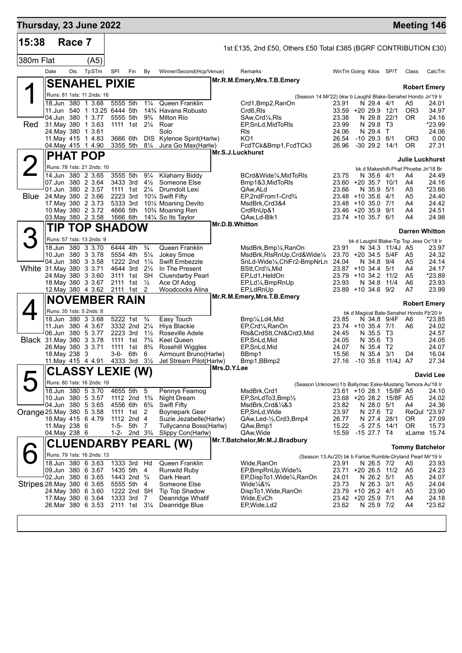| Thursday, 23 June 2022          |               |        |                                                  |                      |                                                                                  |                                  |                                                                 |                |                                                                              |                                          |                              |                                                    | <b>Meeting 146</b>                       |                 |
|---------------------------------|---------------|--------|--------------------------------------------------|----------------------|----------------------------------------------------------------------------------|----------------------------------|-----------------------------------------------------------------|----------------|------------------------------------------------------------------------------|------------------------------------------|------------------------------|----------------------------------------------------|------------------------------------------|-----------------|
| 15:38                           |               | Race 7 |                                                  |                      |                                                                                  |                                  |                                                                 |                | 1st £135, 2nd £50, Others £50 Total £385 (BGRF CONTRIBUTION £30)             |                                          |                              |                                                    |                                          |                 |
| 380m Flat                       |               |        | (A5)                                             |                      |                                                                                  |                                  |                                                                 |                |                                                                              |                                          |                              |                                                    |                                          |                 |
|                                 | Date          | Dis    | TpSTm                                            | SPI                  | Fin                                                                              | By                               | Winner/Second(Hcp/Venue)                                        |                | Remarks                                                                      | WinTm Going Kilos SP/T                   |                              |                                                    | Class                                    | CalcTm          |
|                                 |               |        | <b>SENAHEL PIXIE</b>                             |                      |                                                                                  |                                  |                                                                 |                | Mr.R.M.Emery, Mrs.T.B.Emery                                                  |                                          |                              |                                                    | <b>Robert Emery</b>                      |                 |
|                                 |               |        | Runs: 81 1sts: 11 2nds: 16                       |                      |                                                                                  |                                  |                                                                 |                | (Season 14.Mr'22) bkw b Laughil Blake-Senahel Hondo Jn'19 Ir                 |                                          |                              |                                                    |                                          |                 |
|                                 |               |        | 18.Jun 380 1 3.68<br>11.Jun 540 1 13.25 6444 5th | 5555 5th             |                                                                                  | $1\frac{1}{4}$                   | Queen Franklin<br>14 <sup>3</sup> / <sub>4</sub> Havana Robusto |                | Crd1, Bmp2, RanOn<br>Crd6,RIs                                                | 23.91<br>$33.59 + 2029.9$                | N 29.4 4/1                   | 12/1                                               | A5<br>OR <sub>3</sub>                    | 24.01<br>34.97  |
|                                 |               |        | 04.Jun 380 1 3.77                                |                      | 5555 5th                                                                         | $9\frac{3}{4}$                   | <b>Milton Rio</b>                                               |                | SAw,Crd¼,RIs                                                                 | 23.38                                    | N 29.8 22/1                  |                                                    | 0R                                       | 24.16           |
| Red                             |               |        | 31. May 380 1 3.63<br>24. May 380 1 3.61         |                      | 1111 1st 21/4                                                                    |                                  | Roar<br>Solo                                                    |                | EP, SnLd, MidToRIs                                                           | 23.99<br>24.06                           | N 29.8                       | T3                                                 |                                          | *23.99<br>24.06 |
|                                 |               |        | 11 May 415 1 4 83                                |                      | 3666 6th                                                                         | DIS.                             | Kylenoe Spirit(Harlw)                                           |                | Rls<br>KO1                                                                   | 26.54                                    | N 29.4 T<br>$-10$ 29.3 $8/1$ |                                                    | OR3                                      | 0.00            |
|                                 |               |        | 04. May 415 1 4.90                               |                      |                                                                                  | 3355 5th 81/4                    | Jura Go Max(Harlw)                                              |                | FcdTCk&Bmp1,FcdTCk3                                                          | 26.96                                    |                              | $-30$ 29.2 14/1                                    | OR.                                      | 27.31           |
|                                 |               |        | <b>PHAT POP</b>                                  |                      |                                                                                  |                                  |                                                                 |                | Mr.S.J.Luckhurst                                                             |                                          |                              |                                                    | Julie Luckhurst                          |                 |
|                                 |               |        | Runs: 78 1sts: 21 2nds: 10                       |                      |                                                                                  |                                  |                                                                 |                |                                                                              |                                          |                              |                                                    | bk d Makeshift-Phat Phoebe Jn'18 Br      |                 |
|                                 |               |        | 14.Jun 380 2 3.65<br>07.Jun 380 2 3.64           | 3555 5th             | 3433 3rd                                                                         | $9\frac{1}{4}$<br>$4\frac{1}{2}$ | Kilaharry Biddy<br>Someone Else                                 |                | BCrd&Wide¼,MidToRIs<br>Bmp1&3, MidToRIs                                      | 23.75<br>23.60 +20 35.7 10/1             | N 35.6                       | 4/1                                                | A4<br>A4                                 | 24.49<br>24.16  |
|                                 |               |        | 01.Jun 380 2 3.57                                |                      | 1111 1st                                                                         | $2\frac{1}{4}$                   | Drumdoit Lexi                                                   |                | QAw,ALd                                                                      | 23.66                                    | N 35.9                       | 5/1                                                | A5                                       | *23.66          |
| <b>Blue</b>                     |               |        | 24. May 380 2 3.66                               | 2223 3rd             |                                                                                  |                                  | 101/4 Swift Fifty                                               |                | EP,2ndFrom1-Crd3/4                                                           | 23.48 +10 35.6                           |                              | 4/1                                                | A5                                       | 24.40           |
|                                 |               |        | 17. May 380 2 3.73<br>10. May 380 2 3.72         | 5333 3rd<br>4666 5th |                                                                                  |                                  | 101/ <sub>2</sub> Moaning Devito<br>10% Moaning Ren             |                | MsdBrk,Crd3&4<br>CrdRnUp&1                                                   | 23.48 +10 35.0<br>23.46 +20 35.9 9/1     |                              | 7/1                                                | A4<br>A4                                 | 24.42<br>24.51  |
|                                 |               |        | 03. May 380 2 3.58                               |                      | 1666 6th                                                                         |                                  | 141⁄4 Solts Taylor                                              |                | QAw,Ld-Blk1                                                                  | 23.74 +10 35.7 6/1                       |                              |                                                    | A4                                       | 24.98           |
|                                 | TIP.          |        | <b>TOP SHADOW</b>                                |                      |                                                                                  |                                  |                                                                 | Mr.D.B.Whitton |                                                                              |                                          |                              |                                                    | <b>Darren Whitton</b>                    |                 |
|                                 |               |        | Runs: 57 1sts: 13 2nds: 9                        |                      |                                                                                  |                                  |                                                                 |                |                                                                              |                                          |                              |                                                    | bk d Laughil Blake-Tip Top Jess Oc'18 Ir |                 |
|                                 |               |        | 18.Jun 380 3 3.70<br>10.Jun 380 3 3.78           | 6444 4th             | 5554 4th                                                                         | $\frac{3}{4}$<br>$5\frac{1}{4}$  | Queen Franklin<br><b>Jokey Smoe</b>                             |                | MsdBrk,Bmp¼,RanOn<br>MsdBrk, RIsRnUp, Crd&Wide1/4                            | 23.91<br>23.70 +20 34.5                  | N 34.3                       | 11/4J A5<br>5/4F                                   | - A5                                     | 23.97<br>24.32  |
|                                 |               |        | 04.Jun 380 3 3.58                                |                      | 1222 2nd 11/4                                                                    |                                  | Swift Embezzle                                                  |                | SnLd-Wide1/4, ChlFr2-BmpNrLn                                                 | 24.04                                    | N 34.8                       | 9/4                                                | A5                                       | 24.14           |
| White 31. May 380 3 3.71        |               |        |                                                  |                      | 4644 3rd                                                                         | $2\frac{1}{2}$                   | In The Present                                                  |                | BStt,Crd¼,Mid                                                                | $23.87 + 10.34.4$                        |                              | 5/1                                                | A4                                       | 24.17           |
|                                 |               |        | 24. May 380 3 3.60<br>18. May 380 3 3.67         |                      | 3111 1st SH<br>2111 1st                                                          | $\frac{1}{2}$                    | <b>Cluendarby Pearl</b><br>Ace Of Adog                          |                | EP,Ld1,HeldOn<br>EP,Ld¼,BmpRnUp                                              | 23.79 +10 34.2 11/2<br>23.93             | N 34.8                       | 11/4                                               | A <sub>5</sub><br>A6                     | *23.89<br>23.93 |
|                                 |               |        | 12. May 380 4 3.62                               |                      | 2111 1st 2                                                                       |                                  | Woodcocks Alina                                                 |                | EP,LdRnUp                                                                    | 23.89 +10 34.6 9/2                       |                              |                                                    | A7                                       | 23.99           |
|                                 |               |        | <b>NOVEMBER RAIN</b>                             |                      |                                                                                  |                                  |                                                                 |                | Mr.R.M.Emery, Mrs.T.B.Emery                                                  |                                          |                              |                                                    | <b>Robert Emery</b>                      |                 |
|                                 |               |        | Runs: 35 1sts: 5 2nds: 8                         |                      |                                                                                  |                                  |                                                                 |                |                                                                              |                                          |                              |                                                    | bk d Magical Bale-Senahel Hondo Fb'20 Ir |                 |
|                                 |               |        | 18.Jun 380 3 3.68<br>11.Jun 380 4 3.67           | 5222 1st             | 3332 2nd 21/4                                                                    | $\frac{3}{4}$                    | Easy Touch<br>Hiya Blackie                                      |                | Bmp1/ <sub>4</sub> , Ld4, Mid<br>EP, Crd <sup>1</sup> / <sub>4</sub> , RanOn | 23.85<br>23.74 +10 35.4 7/1              | N 34.8 9/4F                  |                                                    | A6<br>A6                                 | *23.85<br>24.02 |
|                                 |               |        | 06.Jun 380 5 3.77                                |                      | 2223 3rd                                                                         | $1\frac{1}{2}$                   | Roseville Adele                                                 |                | RIs&CrdStt,ChI&Crd3,Mid                                                      | 24.45                                    | N 35.5                       | ТЗ                                                 |                                          | 24.57           |
| <b>Black</b> 31. May 380 3 3.78 |               |        |                                                  | 1111                 | 1st                                                                              | $7\frac{3}{4}$                   | <b>Keel Queen</b>                                               |                | EP, SnLd, Mid                                                                | 24.05                                    | N 35.6                       | ТЗ                                                 |                                          | 24.05           |
|                                 | 18. May 238 3 |        | 26. May 380 3 3.71                               | 1111<br>3-6-         | 1st<br>6th                                                                       | $8\frac{3}{4}$<br>6              | Rosehill Wiggles<br>Airmount Bruno(Harlw)                       |                | EP, SnLd, Mid<br>BBmp1                                                       | 24.07<br>15.56                           | N 35.4<br>N 35.4             | T2<br>3/1                                          | D4                                       | 24.07<br>16.04  |
|                                 |               |        | 11 May 415 4 4 91                                |                      | 4333 3rd                                                                         | $3\frac{1}{2}$                   | Jet Stream Pilot(Harlw)                                         |                | Bmp1, BBmp2                                                                  |                                          |                              | 27.16 -10 35.8 11/4J A7                            |                                          | 27.34           |
|                                 |               |        | <b>CLASSY LEXIE (W)</b>                          |                      |                                                                                  |                                  |                                                                 | Mrs.D.Y.Lee    |                                                                              |                                          |                              |                                                    |                                          | David Lee       |
|                                 |               |        | Runs: 80 1sts: 16 2nds: 19                       |                      |                                                                                  |                                  |                                                                 |                | (Season Unknown) f b Ballymac Eske-Mustang Temora Au'18 Ir                   |                                          |                              |                                                    |                                          |                 |
|                                 |               |        | 18.Jun 380 5 3.70                                |                      | 4655 5th                                                                         | 5                                | Pennys Fearnog                                                  |                | MsdBrk, Crd1                                                                 |                                          |                              | 23.61 +10 28.1 15/8F A5<br>23.68 +20 28.2 15/8F A5 |                                          | 24.10           |
|                                 |               |        | 10.Jun 380 5 3.57<br>04.Jun 380 5 3.65           |                      | 1112 2nd 1 <sup>3</sup> / <sub>4</sub><br>4556 6th 6 <sup>3</sup> / <sub>4</sub> |                                  | Night Dream<br><b>Swift Fifty</b>                               |                | EP, SnLdTo3, Bmp1/2<br>MsdBrk,Crd&¼&3                                        | 23.82                                    | N 28.0 5/1                   |                                                    | A4                                       | 24.02<br>24.36  |
| Orange 25. May 380 5 3.58       |               |        |                                                  |                      | 1111 1st 2                                                                       |                                  | Boynepark Geer                                                  |                | EP,SnLd,Wide                                                                 | 23.97                                    | N 27.6 T2                    |                                                    |                                          | ReQul *23.97    |
|                                 | 11. May 238 6 |        | 18. May 415 6 4.79                               | $1 - 5 -$            | 1112 2nd 4<br>5th 7                                                              |                                  | Suzie Jezabelle(Harlw)<br>Tullycanna Boss(Harlw)                |                | QAw,Led-1/2,Crd3,Bmp4<br>QAw,Bmp1                                            | 26.77<br>15.22                           | N 27.4 28/1<br>$-5$ 27.5     | 14/1                                               | 0R<br><b>OR</b>                          | 27.09<br>15.73  |
|                                 | 04. May 238 6 |        |                                                  | $1 - 2 -$            |                                                                                  | 2nd $3\frac{3}{4}$               | Slippy Con(Harlw)                                               |                | QAw, Wide                                                                    | 15.59                                    | $-15$ 27.7 T4                |                                                    |                                          | xLame 15.74     |
|                                 |               |        |                                                  |                      |                                                                                  |                                  | <b>CLUENDARBY PEARL (W)</b>                                     |                | Mr.T.Batchelor, Mr.M.J.Bradbury                                              |                                          |                              |                                                    | <b>Tommy Batchelor</b>                   |                 |
|                                 |               |        | Runs: 79 1sts: 16 2nds: 13                       |                      |                                                                                  |                                  |                                                                 |                | (Season 13.Au'20) bk b Farloe Rumble-Dryland Pearl Mr'19 Ir                  |                                          |                              |                                                    |                                          |                 |
|                                 |               |        | 18.Jun 380 6 3.63                                |                      | 1333 3rd                                                                         | Hd                               | Queen Franklin                                                  |                | Wide, RanOn                                                                  | 23.91                                    | N 26.5 7/2                   |                                                    | A5                                       | 23.93           |
|                                 |               |        | 09.Jun 380 6 3.67<br>02.Jun 380 6 3.65           |                      | 1435 5th 4<br>1443 2nd <sup>3</sup> / <sub>4</sub>                               |                                  | Runwild Ruby<br>Dark Heart                                      |                | EP, BmpRnUp, Wide <sup>3</sup> /4<br>EP,DispTo1,Wide¼,RanOn                  | 23.71 +20 26.5 11/2<br>24.01             | N 26.2 5/1                   |                                                    | A5<br>A <sub>5</sub>                     | 24.23<br>24.07  |
| Stripes 28 May 380 6 3.65       |               |        |                                                  |                      | 5555 5th 4                                                                       |                                  | Someone Else                                                    |                | Wide¼&¾                                                                      | 23.73                                    | N 26.3 3/1                   |                                                    | A <sub>5</sub>                           | 24.04           |
|                                 |               |        | 24. May 380 6 3.60<br>17 May 380 6 3.64          |                      | 1222 2nd SH<br>1333 3rd                                                          | 7                                | Tip Top Shadow<br>Deanridge Whatif                              |                | DispTo1, Wide, RanOn<br>Wide, EvCh                                           | 23.79 +10 26.2 4/1<br>23.42 +20 25.9 7/1 |                              |                                                    | A <sub>5</sub><br>A4                     | 23.90<br>24.18  |
|                                 |               |        | 26.Mar 380 6 3.53                                |                      | 2111 1st 31/4                                                                    |                                  | Deanridge Blue                                                  |                | EP, Wide, Ld2                                                                | 23.62                                    | N 25.9 7/2                   |                                                    | A4                                       | *23.62          |
|                                 |               |        |                                                  |                      |                                                                                  |                                  |                                                                 |                |                                                                              |                                          |                              |                                                    |                                          |                 |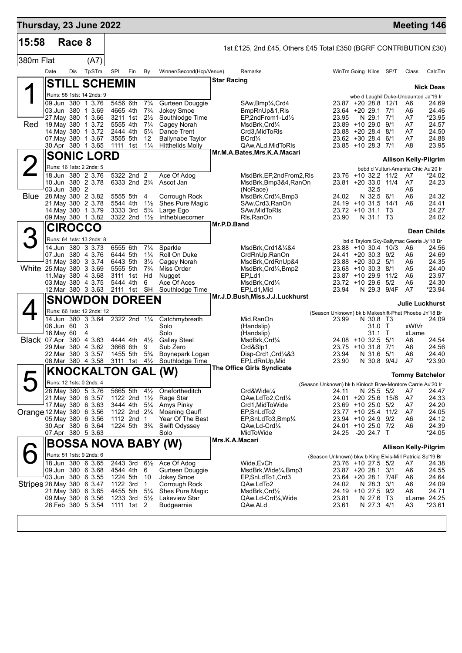| Thursday, 23 June 2022         |      |              |                                                 |                      |                         |                                  |                                                    |                    |                                                                  |                                                            |                |                                          |                        | <b>Meeting 146</b>                              |                    |
|--------------------------------|------|--------------|-------------------------------------------------|----------------------|-------------------------|----------------------------------|----------------------------------------------------|--------------------|------------------------------------------------------------------|------------------------------------------------------------|----------------|------------------------------------------|------------------------|-------------------------------------------------|--------------------|
| 15:58                          |      | Race 8       |                                                 |                      |                         |                                  |                                                    |                    | 1st £125, 2nd £45, Others £45 Total £350 (BGRF CONTRIBUTION £30) |                                                            |                |                                          |                        |                                                 |                    |
| 380m Flat                      |      |              | (A7)                                            |                      |                         |                                  |                                                    |                    |                                                                  |                                                            |                |                                          |                        |                                                 |                    |
|                                | Date | Dis          | TpSTm                                           | <b>SPI</b>           | Fin                     | By                               | Winner/Second(Hcp/Venue)                           |                    | Remarks                                                          |                                                            |                |                                          | WinTm Going Kilos SP/T | Class                                           | CalcTm             |
|                                |      |              | <b>STILL SCHEMIN</b>                            |                      |                         |                                  |                                                    | <b>Star Racing</b> |                                                                  |                                                            |                |                                          |                        |                                                 |                    |
|                                |      |              | Runs: 58 1sts: 14 2nds: 9                       |                      |                         |                                  |                                                    |                    |                                                                  |                                                            |                |                                          |                        |                                                 | <b>Nick Deas</b>   |
|                                |      |              | 09.Jun 380 1 3.76                               | 5456 6th             |                         | $7\frac{3}{4}$                   | Gurteen Douggie                                    |                    | SAw, Bmp <sup>1</sup> / <sub>4</sub> , Crd4                      |                                                            |                |                                          | 23.87 +20 28.8 12/1    | wbe d Laughil Duke-Undaunted Ja'19 Ir<br>A6     | 24.69              |
|                                |      |              | 03.Jun 380 1 3.69                               | 4665 4th             |                         | $7\frac{3}{4}$                   | Jokey Smoe                                         |                    | BmpRnUp&1,RIs                                                    |                                                            |                | 23.64 +20 29.1 7/1                       |                        | A6                                              | 24.46              |
| Red                            |      |              | 27. May 380 1 3.66<br>19 May 380 1 3.72         | 3211 1st<br>5555 4th |                         | $2\frac{1}{2}$<br>$7\frac{1}{4}$ | Southlodge Time<br>Cagey Norah                     |                    | EP,2ndFrom1-Ld1/2<br>MsdBrk,Crd1⁄4                               |                                                            | 23.95          | N 29.1 7/1<br>23.89 +10 29.0             | 9/1                    | A7<br>A7                                        | *23.95<br>24.57    |
|                                |      |              | 14 May 380 1 3.72                               | 2444 4th             |                         | $5\frac{1}{4}$                   | Dance Trent                                        |                    | Crd3, MidToRIs                                                   |                                                            |                | 23.88 +20 28.4 8/1                       |                        | A7                                              | 24.50              |
|                                |      |              | 07 May 380 1 3.67<br>30.Apr 380 1 3.65          | 3555 5th<br>1111     | 1st                     | 12<br>$1\frac{1}{4}$             | <b>Ballynabe Taylor</b><br><b>Hitthelids Molly</b> |                    | BCrd <sup>1/4</sup><br>QAw, ALd, MidToRIs                        |                                                            |                | 23.62 +30 28.4 6/1<br>23.85 +10 28.3 7/1 |                        | A7<br>A8                                        | 24.88<br>23.95     |
|                                |      |              | <b>SONIC LORD</b>                               |                      |                         |                                  |                                                    |                    | Mr.M.A.Bates, Mrs.K.A.Macari                                     |                                                            |                |                                          |                        |                                                 |                    |
|                                |      |              | Runs: 16 1sts: 2 2nds: 5                        |                      |                         |                                  |                                                    |                    |                                                                  |                                                            |                |                                          |                        | <b>Allison Kelly-Pilgrim</b>                    |                    |
|                                |      |              | 18.Jun 380 2 3.76                               |                      | 5322 2nd 2              |                                  | Ace Of Adog                                        |                    | MsdBrk, EP, 2nd From 2, RIs                                      |                                                            |                |                                          | 23.76 +10 32.2 11/2    | bebd d Vulturi-Amanita Chic Au'20 Ir<br>A7      | *24.02             |
|                                |      |              | 10.Jun 380 2 3.78                               |                      | 6333 2nd 23/4           |                                  | Ascot Jan                                          |                    | MsdBrk,Bmp3&4,RanOn                                              |                                                            |                |                                          | 23.81 +20 33.0 11/4    | A7                                              | 24.23              |
| Blue                           |      | 03.Jun 380 2 | 28. May 380 2 3.82                              | 5555 5th             |                         | 4                                | Corrough Rock                                      |                    | (NoRace)<br>MsdBrk, Crd1/4, Bmp3                                 |                                                            | 24.02          | 32.5<br>N 32.5 6/1                       |                        | A6<br>A6                                        | 24.32              |
|                                |      |              | 21. May 380 2 3.78                              | 5544 4th             |                         | $1\frac{1}{2}$                   | Shes Pure Magic                                    |                    | SAw, Crd3, RanOn                                                 |                                                            |                | 24.19 +10 31.5                           | 14/1                   | A6                                              | 24.41              |
|                                |      |              | 14 May 380 1 3.79<br>09. May 380 1 3.82         | 3333 3rd             | 3322 2nd 11/2           | $5\frac{3}{4}$                   | Large Ego<br>Inthebluecorner                       |                    | SAw, Mid To RIs<br>Rls, RanOn                                    |                                                            | 23.90          | 23.72 +10 31.1<br>N 31.1 T3              | Т3                     |                                                 | 24.27<br>24.02     |
|                                |      |              | <b>CIROCCO</b>                                  |                      |                         |                                  |                                                    | Mr.P.D.Band        |                                                                  |                                                            |                |                                          |                        |                                                 |                    |
| 3                              |      |              | Runs: 64 1sts: 13 2nds: 8                       |                      |                         |                                  |                                                    |                    |                                                                  |                                                            |                |                                          |                        |                                                 | <b>Dean Childs</b> |
|                                |      |              | 14.Jun 380 3 3.73                               | 6555 6th             |                         | $7\frac{1}{4}$                   | Sparkle                                            |                    | MsdBrk, Crd1&1/4&4                                               |                                                            |                |                                          | 23.88 +10 30.4 10/3    | bd d Taylors Sky-Ballymac Georia Jy'18 Br<br>A6 | 24.56              |
|                                |      |              | 07 Jun 380 4 3.76                               | 6444 5th             |                         | $1\frac{1}{4}$                   | Roll On Duke                                       |                    | CrdRnUp, RanOn                                                   |                                                            |                | 24.41 +20 30.3 9/2                       |                        | A6                                              | 24.69              |
| White 25 May 380 3 3.69        |      |              | 31 May 380 3 3.74                               | 6443 5th<br>5555 5th |                         | $3\frac{1}{2}$<br>$7\frac{3}{4}$ | Cagey Norah<br>Miss Order                          |                    | MsdBrk, CrdRnUp&4<br>MsdBrk,Crd¼,Bmp2                            |                                                            |                | 23.88 +20 30.2 5/1<br>23.68 +10 30.3 8/1 |                        | A6<br>A5                                        | 24.35<br>24.40     |
|                                |      |              | 11 May 380 4 3.68                               | 3111 1st             |                         | Hd                               | Nugget                                             |                    | EP,Ld1                                                           |                                                            |                | 23.87 +10 29.9                           | 11/2                   | A6                                              | 23.97              |
|                                |      |              | 03 May 380 4 3.75<br>12. Mar 380 3 3.63         | 5444 4th             | 2111 1st SH             | 6                                | Ace Of Aces<br>Southlodge Time                     |                    | MsdBrk, Crd1/4<br>EP,Ld1,Mid                                     |                                                            | 23.94          | 23.72 +10 29.6 5/2<br>N 29.3             | 9/4F                   | A6<br>A7                                        | 24.30<br>*23.94    |
|                                |      |              | <b>SNOWDON DOREEN</b>                           |                      |                         |                                  |                                                    |                    | Mr.J.D.Bush,Miss.J.J.Luckhurst                                   |                                                            |                |                                          |                        |                                                 |                    |
|                                |      |              |                                                 |                      |                         |                                  |                                                    |                    |                                                                  |                                                            |                |                                          |                        | Julie Luckhurst                                 |                    |
|                                |      |              | Runs: 66 1sts: 12 2nds: 12<br>14.Jun 380 3 3.64 |                      | 2322 2nd 11/4           |                                  | Catchmybreath                                      |                    | Mid, RanOn                                                       | (Season Unknown) bk b Makeshift-Phat Phoebe Jn'18 Br       | 23.99          | N 30.8 T3                                |                        |                                                 | 24.09              |
|                                |      | 06.Jun 60    | 3                                               |                      |                         |                                  | Solo                                               |                    | (Handslip)                                                       |                                                            |                | 31.0 T                                   |                        | xWtVr                                           |                    |
| <b>Black 07.Apr 380 4 3.63</b> |      | 16. May 60   | 4                                               | 4444 4th             |                         | $4\frac{1}{2}$                   | Solo<br><b>Galley Steel</b>                        |                    | (Handslip)<br>MsdBrk, Crd1/4                                     |                                                            |                | 31.1 T<br>24.08 +10 32.5 5/1             |                        | xLame<br>A6                                     | 24.54              |
|                                |      |              | 29. Mar 380 4 3.62                              | 3666 6th             |                         | 9                                | Sub Zero                                           |                    | Crd&Slp1                                                         |                                                            |                | 23.75 +10 31.8 7/1                       |                        | A6                                              | 24.56              |
|                                |      |              | 22.Mar 380 3 3.57<br>08.Mar 380 4 3.58          | 1455 5th<br>3111 1st |                         | $5\frac{3}{4}$<br>$4\frac{1}{2}$ | Boynepark Logan<br>Southlodge Time                 |                    | Disp-Crd1,Crd1/4&3<br>EP,LdRnUp,Mid                              |                                                            | 23.94<br>23.90 | N 31.6 5/1<br>N 30.8 9/4J                |                        | A6<br>A7                                        | 24.40<br>*23.90    |
|                                |      |              |                                                 |                      |                         |                                  | <b>KNOCKALTON GAL (W)</b>                          |                    | The Office Girls Syndicate                                       |                                                            |                |                                          |                        |                                                 |                    |
|                                |      |              | Runs: 12 1sts: 0 2nds: 4                        |                      |                         |                                  |                                                    |                    |                                                                  |                                                            |                |                                          |                        | <b>Tommy Batchelor</b>                          |                    |
|                                |      |              | 26. May 380 5 3.76                              | 5665 5th             |                         | $4\frac{1}{2}$                   | Onefortheditch                                     |                    | Crd&Wide1/4                                                      | (Season Unknown) bk b Kinloch Brae-Montore Carrie Au'20 Ir | 24.11          | N 25.5 5/2                               |                        | A7                                              | 24.47              |
|                                |      |              | 21. May 380 6 3.57                              |                      | 1122 2nd $1\frac{1}{2}$ |                                  | Rage Star                                          |                    | QAw,LdTo2,Crd1/4                                                 |                                                            |                |                                          | 24.01 +20 25.6 15/8    | A7                                              | 24.33              |
| Orange 12. May 380 6 3.56      |      |              | 17. May 380 6 3.63                              | 3444 4th             | 1122 2nd 21/4           | $5\frac{1}{4}$                   | Amys Pinky<br><b>Moaning Gauff</b>                 |                    | Crd1, MidTo Wide<br>EP, SnLdTo2                                  |                                                            |                | 23.69 +10 25.0 5/2                       | 23.77 +10 25.4 11/2    | A7<br>A7                                        | 24.20<br>24.05     |
|                                |      |              | 05. May 380 6 3.56                              |                      | 1112 2nd 1              |                                  | Year Of The Best                                   |                    | EP, SnLdTo3, Bmp1/4                                              |                                                            |                | 23.94 +10 24.9 9/2                       |                        | A6                                              | 24.12              |
|                                |      |              | 30.Apr 380 6 3.64<br>07.Apr 380 5 3.63          |                      | 1224 5th $3\frac{3}{4}$ |                                  | Swift Odyssey<br>Solo                              |                    | QAw,Ld-Crd1/4<br>MidToWide                                       |                                                            |                | 24.01 +10 25.0 7/2<br>24.25 -20 24.7 T   |                        | A6                                              | 24.39<br>$*24.05$  |
|                                |      |              |                                                 |                      |                         |                                  | <b>BOSSA NOVA BABY (W)</b>                         | Mrs.K.A.Macari     |                                                                  |                                                            |                |                                          |                        |                                                 |                    |
|                                |      |              | Runs: 51 1sts: 9 2nds: 6                        |                      |                         |                                  |                                                    |                    |                                                                  |                                                            |                |                                          |                        | <b>Allison Kelly-Pilgrim</b>                    |                    |
|                                |      |              | 18.Jun 380 6 3.65                               | 2443 3rd             |                         | $6\frac{1}{2}$                   | Ace Of Adog                                        |                    | Wide,EvCh                                                        | (Season Unknown) bkw b King Elvis-Mill Patricia Sp'19 Br   |                | 23.76 +10 27.5 5/2                       |                        | A7                                              | 24.38              |
|                                |      |              | 09.Jun 380 6 3.68                               | 4544 4th             |                         | 6                                | Gurteen Douggie                                    |                    | MsdBrk,Wide¼,Bmp3                                                |                                                            |                | 23.87 +20 28.1 3/1                       |                        | A6                                              | 24.55              |
| Stripes 28 May 380 6 3.47      |      |              | 03.Jun 380 6 3.55                               | 1224 5th<br>1122 3rd |                         | 10<br>$\mathbf{1}$               | <b>Jokey Smoe</b><br>Corrough Rock                 |                    | EP, SnLdTo1, Crd3<br>QAw,LdTo2                                   |                                                            | 24.02          | N 28.3 3/1                               | 23.64 +20 28.1 7/4F    | A6<br>A6                                        | 24.64<br>24.09     |
|                                |      |              | 21. May 380 6 3.65                              | 4455 5th             |                         | $5\frac{1}{4}$                   | Shes Pure Magic                                    |                    | MsdBrk, Crd1/2                                                   |                                                            |                | 24.19 +10 27.5 9/2                       |                        | A6                                              | 24.71              |
|                                |      |              | 09. May 380 6 3.56                              | 1233 3rd             |                         | $5\frac{1}{2}$                   | Lakeview Star                                      |                    | QAw,Ld-Crd¼,Wide                                                 |                                                            | 23.81<br>23.61 | N 27.6 T3                                |                        | xLame 24.25                                     |                    |
|                                |      |              | 26.Feb 380 5 3.54                               |                      | 1111 1st 2              |                                  | Budgearnie                                         |                    | QAw,ALd                                                          |                                                            |                | N 27.3 4/1                               |                        | A3                                              | *23.61             |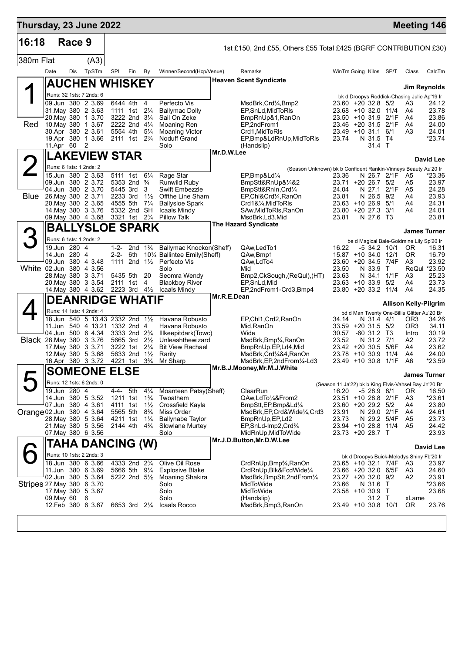| Thursday, 23 June 2022    |      |              |                                                              |           |                                                  |                                  |                                                     |             |                                                                    |                                         |                           |                | <b>Meeting 146</b>                                    |                       |
|---------------------------|------|--------------|--------------------------------------------------------------|-----------|--------------------------------------------------|----------------------------------|-----------------------------------------------------|-------------|--------------------------------------------------------------------|-----------------------------------------|---------------------------|----------------|-------------------------------------------------------|-----------------------|
| 16:18                     |      | Race 9       |                                                              |           |                                                  |                                  |                                                     |             | 1st £150, 2nd £55, Others £55 Total £425 (BGRF CONTRIBUTION £30)   |                                         |                           |                |                                                       |                       |
| 380m Flat                 |      |              | (A3)                                                         |           |                                                  |                                  |                                                     |             |                                                                    |                                         |                           |                |                                                       |                       |
|                           | Date | Dis          | TpSTm                                                        | SPI       | Fin                                              | By                               | Winner/Second(Hcp/Venue)                            |             | Remarks                                                            | WinTm Going Kilos SP/T                  |                           |                | Class                                                 | CalcTm                |
|                           |      |              | <b>AUCHEN WHISKEY</b>                                        |           |                                                  |                                  |                                                     |             | <b>Heaven Scent Syndicate</b>                                      |                                         |                           |                |                                                       |                       |
|                           |      |              |                                                              |           |                                                  |                                  |                                                     |             |                                                                    |                                         |                           |                | Jim Reynolds                                          |                       |
|                           |      |              | Runs: 32 1sts: 7 2nds: 6<br>09.Jun 380 2 3.69                |           | 6444 4th                                         | $\overline{4}$                   | Perfecto Vis                                        |             | MsdBrk,Crd¼,Bmp2                                                   | 23.60 +20 32.8 5/2                      |                           |                | bk d Droopys Roddick-Chasing Julie Ap'19 Ir<br>A3     | 24.12                 |
|                           |      |              | 31. May 380 2 3.63                                           |           | 1111 1st 21/4                                    |                                  | <b>Ballymac Dolly</b>                               |             | EP, SnLd, Mid To RIs                                               | 23.68 +10 32.0 11/4                     |                           |                | A4                                                    | 23.78                 |
|                           |      |              | 20. May 380 1 3.70                                           |           | 3222 2nd 31/4                                    |                                  | Sail On Zeke                                        |             | BmpRnUp&1,RanOn                                                    | $23.50 + 10.31.9$                       |                           | 2/1F           | A4                                                    | 23.86                 |
| Red                       |      |              | 10. May 380 1 3.67<br>30.Apr 380 2 3.61                      |           | 2222 2nd 41/4<br>5554 4th                        | $5\frac{1}{4}$                   | <b>Moaning Ren</b><br>Moaning Victor                |             | EP,2ndFrom1<br>Crd1,MidToRIs                                       | 23.46 +20 31.5 2/1F<br>$23.49$ +10 31.1 |                           | 6/1            | A4<br>A3                                              | 24.00<br>24.01        |
|                           |      |              | 19.Apr 380 1 3.66                                            |           | 2111 1st 2 <sup>3</sup> / <sub>4</sub>           |                                  | <b>Noduff Grand</b>                                 |             | EP,Bmp&LdRnUp,MidToRIs                                             | 23.74                                   | N 31.5 T4                 |                |                                                       | $*23.74$              |
|                           |      | 11.Apr 60    | $\overline{2}$                                               |           |                                                  |                                  | Solo                                                | Mr.D.W.Lee  | (Handslip)                                                         |                                         | 31.4 T                    |                |                                                       |                       |
|                           |      |              | <b>LAKEVIEW STAR</b>                                         |           |                                                  |                                  |                                                     |             |                                                                    |                                         |                           |                |                                                       | David Lee             |
|                           |      |              | Runs: 6 1sts: 1 2nds: 2                                      |           |                                                  |                                  |                                                     |             | (Season Unknown) bk b Confident Rankin-Vinneys Beauty Au'20 Ir     |                                         |                           |                |                                                       |                       |
|                           |      |              | 15.Jun 380 2 3.63<br>09.Jun 380 2 3.72                       |           | 5111 1st                                         | $6\frac{1}{4}$                   | Rage Star<br>Runwild Ruby                           |             | EP,Bmp&Ld1/4<br>BmpStt&RnUp&1/4&2                                  | 23.36                                   |                           | N 26.7 2/1F    | A5                                                    | *23.36                |
|                           |      |              | 04.Jun 380 2 3.70                                            |           | 5353 2nd <sup>3</sup> / <sub>4</sub><br>5445 3rd | 3                                | Swift Embezzle                                      |             | BmpStt&RnIn,Crd¼                                                   | 23.71 +20 26.7<br>24.04                 | N 27.1                    | 5/2<br>2/1F    | A5<br>A5                                              | 23.97<br>24.28        |
| <b>Blue</b>               |      |              | 26. May 380 2 3.71                                           | 2233 3rd  |                                                  | $1\frac{1}{2}$                   | Offthe Line Sham                                    |             | EP, Chl&Crd1/4, RanOn                                              | 23.81                                   | N 26.5                    | 9/2            | A4                                                    | 23.93                 |
|                           |      |              | 20. May 380 2 3.65<br>14. May 380 3 3.76                     | 4555 5th  | 5332 2nd SH                                      | $7\frac{1}{4}$                   | <b>Ballysloe Spark</b><br>Icaals Mindy              |             | Crd1&1⁄4, MidToRIs<br>SAw, MidToRIs, RanOn                         | $23.63 + 10.26.9$<br>23.80 +20 27.3 3/1 |                           | 5/1            | A4<br>A4                                              | 24.31<br>24.01        |
|                           |      |              | 09. May 380 4 3.68                                           |           | 3321 1st                                         | $2\frac{3}{4}$                   | Pillow Talk                                         |             | MsdBrk,Ld3,Mid                                                     | 23.81                                   | N 27.6 T3                 |                |                                                       | 23.81                 |
|                           |      |              | <b>BALLYSLOE SPARK</b>                                       |           |                                                  |                                  |                                                     |             | <b>The Hazard Syndicate</b>                                        |                                         |                           |                | <b>James Turner</b>                                   |                       |
|                           |      |              | Runs: 6 1sts: 1 2nds: 2                                      |           |                                                  |                                  |                                                     |             |                                                                    |                                         |                           |                |                                                       |                       |
|                           |      | 19.Jun 280 4 |                                                              | $1 - 2 -$ | 2 <sub>nd</sub>                                  | $1\frac{3}{4}$                   | Ballymac Knockon(Sheff)                             |             | QAw,LedTo1                                                         | 16.22                                   | -5 34.2 10/1              |                | be d Magical Bale-Goldmine Lily Sp'20 Ir<br>0R        | 16.31                 |
|                           |      | 14.Jun 280 4 |                                                              | 2-2-      | 6th                                              |                                  | 10% Ballintee Emily(Sheff)                          |             | QAw, Bmp1                                                          | 15.87 +10 34.0 12/1                     |                           |                | 0R                                                    | 16.79                 |
| White 02.Jun 380 4 3.56   |      |              | 09.Jun 380 4 3.48                                            |           | 1111 2nd $1\frac{1}{2}$                          |                                  | Perfecto Vis<br>Solo                                |             | QAw,LdTo4<br>Mid                                                   | 23.60 +20 34.5<br>23.50                 | N 33.9                    | 7/4F<br>$\top$ | A3                                                    | 23.92<br>ReQul *23.50 |
|                           |      |              | 28. May 380 3 3.71                                           |           | 5435 5th                                         | 20                               | Seomra Wendy                                        |             | Bmp2,CkSough, (ReQuI), (HT)                                        | 23.63                                   | N 34.1                    | 1/1F           | A3                                                    | 25.23                 |
|                           |      |              | 20. May 380 3 3.54                                           |           | 2111 1st                                         | 4                                | Blackboy River                                      |             | EP,SnLd,Mid                                                        | 23.63 +10 33.9                          |                           | 5/2            | A4                                                    | 23.73<br>24.35        |
|                           |      |              | 14. May 380 4 3.62                                           |           | 2223 3rd 41/2                                    |                                  | Icaals Mindy                                        | Mr.R.E.Dean | EP,2ndFrom1-Crd3,Bmp4                                              | 23.80 +20 33.2 11/4                     |                           |                | A4                                                    |                       |
|                           |      |              | <b>DEANRIDGE WHATIF</b>                                      |           |                                                  |                                  |                                                     |             |                                                                    |                                         |                           |                | <b>Allison Kelly-Pilgrim</b>                          |                       |
|                           |      |              | Runs: 14 1sts: 4 2nds: 4<br>18.Jun 540 5 13.43 2332 2nd 11/2 |           |                                                  |                                  | Havana Robusto                                      |             | EP, Chl1, Crd2, RanOn                                              | 34.14                                   | N 31.4 4/1                |                | bd d Man Twenty One-Billis Glitter Au'20 Br<br>OR3    | 34.26                 |
|                           |      |              | 11.Jun 540 4 13.21 1332 2nd 4                                |           |                                                  |                                  | Havana Robusto                                      |             | Mid,RanOn                                                          | $33.59 + 20.31.5$ 5/2                   |                           |                | OR <sub>3</sub>                                       | 34.11                 |
|                           |      |              | 04.Jun 500 6 4.34                                            |           | 3333 2nd 2 <sup>3</sup> / <sub>4</sub>           |                                  | Illkeepitdark(Towc)                                 |             | Wide                                                               | 30.57                                   | $-60$ 31.2 T <sub>3</sub> |                | Intro                                                 | 30.19                 |
| Black 28. May 380 3 3.76  |      |              | 17. May 380 3 3.71                                           |           | 5665 3rd 21/2<br>3222 1st                        | $2\frac{1}{4}$                   | Unleashthewizard<br><b>Bit View Rachael</b>         |             | MsdBrk,Bmp¼,RanOn<br>BmpRnUp, EP, Ld4, Mid                         | 23.52<br>23.42 +20 30.5                 | N 31.2 7/1                | 5/6F           | A2<br>A4                                              | 23.72<br>23.62        |
|                           |      |              | 12. May 380 5 3.68                                           |           | 5633 2nd 11/2                                    |                                  | Rarity                                              |             | MsdBrk,Crd¼&4,RanOn                                                | 23.78                                   | $+10.30.9$                | 11/4           | A4                                                    | 24.00                 |
|                           |      |              | 16.Apr 380 3 3.72                                            |           | 4221 1st                                         | $3\frac{3}{4}$                   | Mr Sharp                                            |             | MsdBrk,EP,2ndFrom¼-Ld3<br>Mr.B.J.Mooney, Mr.M.J. White             | 23.49 +10 30.8 1/1F                     |                           |                | A6                                                    | *23.59                |
|                           |      |              | <b>SOMEONE ELSE</b>                                          |           |                                                  |                                  |                                                     |             |                                                                    |                                         |                           |                | <b>James Turner</b>                                   |                       |
|                           |      |              | Runs: 12 1sts: 6 2nds: 0                                     |           |                                                  |                                  |                                                     |             |                                                                    |                                         |                           |                | (Season 11.Ja'22) bk b King Elvis-Vahsel Bay Jn'20 Br |                       |
|                           |      | 19.Jun 280 4 | 14.Jun 380 5 3.52                                            | $4 - 4 -$ | 5th                                              | $4\frac{1}{4}$<br>$1\frac{3}{4}$ | Moanteen Patsy(Sheff)                               |             | ClearRun<br>QAw,LdTo1/4&From2                                      | 16.20<br>23.51 +10 28.8 2/1F            | $-528.98/1$               |                | 0R                                                    | 16.50<br>$*23.61$     |
|                           |      |              | 07.Jun 380 4 3.61                                            |           | 1211 1st<br>4111 1st                             | $1\frac{1}{2}$                   | Twoathem<br>Crossfield Kayla                        |             | BmpStt, EP, Bmp&Ld <sup>1/4</sup>                                  | 23.60 +20 29.2 5/2                      |                           |                | A3<br>A4                                              | 23.80                 |
| Orange 02.Jun 380 4 3.64  |      |              |                                                              | 5565 5th  |                                                  | $8\frac{3}{4}$                   | Miss Order                                          |             | MsdBrk,EP,Crd&Wide¼,Crd3                                           | 23.91                                   | N 29.0                    | 2/1F           | A4                                                    | 24.61                 |
|                           |      |              | 28. May 380 5 3.64<br>21. May 380 5 3.56                     |           | 4211 1st<br>2144 4th                             | $1\frac{1}{4}$<br>$4\frac{3}{4}$ | <b>Ballynabe Taylor</b><br>Slowlane Murtey          |             | BmpRnUp, EP, Ld2<br>EP, SnLd-Imp2, Crd <sup>3</sup> / <sub>4</sub> | 23.73<br>23.94 +10 28.8 11/4            | N 29.2 5/4F               |                | A5<br>A5                                              | 23.73<br>24.42        |
|                           |      |              | 07. May 380 6 3.56                                           |           |                                                  |                                  | Solo                                                |             | MidRnUp,MidToWide                                                  | 23.73 +20 28.7 T                        |                           |                |                                                       | 23.93                 |
|                           |      |              | TAHA DANCING (W)                                             |           |                                                  |                                  |                                                     |             | Mr.J.D.Button, Mr.D.W.Lee                                          |                                         |                           |                |                                                       |                       |
|                           |      |              | Runs: 10 1sts: 2 2nds: 3                                     |           |                                                  |                                  |                                                     |             |                                                                    |                                         |                           |                |                                                       | David Lee             |
|                           |      |              | 18.Jun 380 6 3.66                                            |           | 4333 2nd 2 <sup>3</sup> / <sub>4</sub>           |                                  | Olive Oil Rose                                      |             | CrdRnUp,Bmp <sup>3</sup> / <sub>4</sub> ,RanOn                     | 23.65 +10 32.1 7/4F                     |                           |                | bk d Droopys Buick-Melodys Shiny Fb'20 Ir<br>A3       | 23.97                 |
|                           |      |              | 11.Jun 380 6 3.69                                            |           | 5666 5th 91/4                                    |                                  | <b>Explosive Blake</b>                              |             | CrdRnUp,Blk&FcdWide¼                                               | 23.66 +20 32.0 6/5F                     |                           |                | A3                                                    | 24.60                 |
| Stripes 27 May 380 6 3.70 |      |              | 02.Jun 380 5 3.64                                            |           | 5222 2nd $5\frac{1}{2}$                          |                                  | Moaning Shakira<br>Solo                             |             | MsdBrk, BmpStt, 2nd From 1/4<br>MidToWide                          | 23.27 +20 32.0 9/2<br>23.66             | N 31.6 T                  |                | A2                                                    | 23.91<br>*23.66       |
|                           |      |              | 17. May 380 5 3.67                                           |           |                                                  |                                  | Solo                                                |             | MidToWide                                                          | 23.58 +10 30.9 T                        |                           |                |                                                       | 23.68                 |
|                           |      | 09. May 60   | 6                                                            |           |                                                  |                                  | Solo                                                |             | (Handslip)                                                         |                                         | 31.2 T                    |                | xLame                                                 |                       |
|                           |      |              | 12.Feb 380 6 3.67                                            |           |                                                  |                                  | 6653 3rd 2 <sup>1</sup> / <sub>4</sub> Icaals Rocco |             | MsdBrk,Bmp3,RanOn                                                  | 23.49 +10 30.8 10/1                     |                           |                | OR.                                                   | 23.76                 |
|                           |      |              |                                                              |           |                                                  |                                  |                                                     |             |                                                                    |                                         |                           |                |                                                       |                       |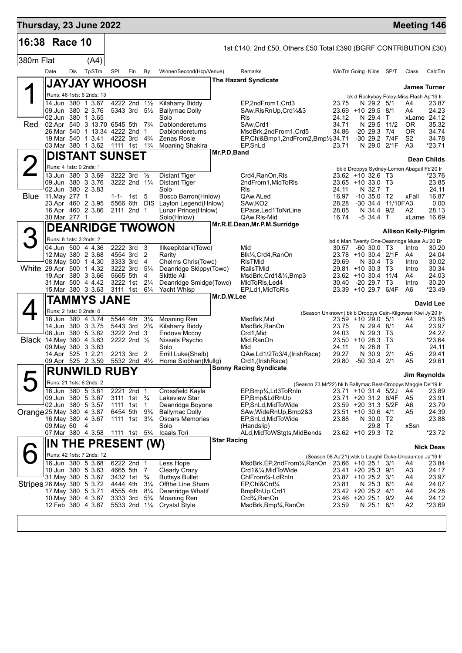|             |               | 16:38 Race 10                                                                                                            |     |                                                         |                                  |                                                                            |             | 1st £140, 2nd £50, Others £50 Total £390 (BGRF CONTRIBUTION £30)                                               |                                                 |                                   |                         |                                                      |                                        |
|-------------|---------------|--------------------------------------------------------------------------------------------------------------------------|-----|---------------------------------------------------------|----------------------------------|----------------------------------------------------------------------------|-------------|----------------------------------------------------------------------------------------------------------------|-------------------------------------------------|-----------------------------------|-------------------------|------------------------------------------------------|----------------------------------------|
| 380m Flat   |               | (A4)                                                                                                                     |     |                                                         |                                  |                                                                            |             |                                                                                                                |                                                 |                                   |                         |                                                      |                                        |
|             | Date          | TpSTm<br>Dis                                                                                                             | SPI | Fin                                                     | By                               | Winner/Second(Hcp/Venue)                                                   |             | Remarks                                                                                                        | WinTm Going Kilos SP/T                          |                                   |                         | Class                                                | CalcTm                                 |
|             |               | <b>JAYJAY WHOOSH</b>                                                                                                     |     |                                                         |                                  |                                                                            |             | <b>The Hazard Syndicate</b>                                                                                    |                                                 |                                   |                         |                                                      | <b>James Turner</b>                    |
|             |               | Runs: 46 1sts: 6 2nds: 13                                                                                                |     |                                                         |                                  |                                                                            |             |                                                                                                                |                                                 |                                   |                         | bk d Rockybay Foley-Miss Flash Ap'19 Ir              |                                        |
| Red         |               | 14.Jun 380 1 3.67<br>09.Jun 380 2 3.76<br>02.Jun 380 1 3.65<br>02.Apr 540 3 13.70 6545 5th 7 <sup>3</sup> / <sub>4</sub> |     | 4222 2nd 11/2<br>5343 3rd 5 <sup>1</sup> / <sub>2</sub> |                                  | <b>Kilaharry Biddy</b><br><b>Ballymac Dolly</b><br>Solo<br>Dablondereturns |             | EP,2ndFrom1,Crd3<br>SAw, RIsRnUp, Crd1/4&3<br><b>R</b> ls<br>SAw, Crd1                                         | 23.75<br>23.69 +10 29.5 8/1<br>24.12<br>34.71   | N 29.2 5/1<br>N 29.4 T<br>N 29.5  | 11/2                    | A4<br>A4<br>0R                                       | 23.87<br>24.23<br>xLame 24.12<br>35.32 |
|             |               | 26.Mar 540 1 13.34 4222 2nd 1<br>19. Mar 540 1 3.41                                                                      |     | 4222 3rd 4 <sup>3</sup> / <sub>4</sub>                  |                                  | Dablondereturns<br>Zenas Rosie                                             |             | MsdBrk,2ndFrom1,Crd5<br>EP, Chl&Bmp1, 2nd From 2, Bmp <sup>1</sup> / <sub>2</sub> 34.71                        | 34.86                                           | $-20$ 29.3 $7/4$<br>-30 29.2 7/4F |                         | OR.<br>S <sub>2</sub>                                | 34.74<br>34.78                         |
|             |               | 03. Mar 380 1 3.62                                                                                                       |     | 1111 1st 1 <sup>3</sup> / <sub>4</sub>                  |                                  | Moaning Shakira                                                            |             | EP, SnLd                                                                                                       | 23.71                                           | N 29.0                            | 2/1F                    | A3                                                   | $*23.71$                               |
|             |               | <b>DISTANT SUNSET</b>                                                                                                    |     |                                                         |                                  |                                                                            | Mr.P.D.Band |                                                                                                                |                                                 |                                   |                         |                                                      | Dean Childs                            |
|             |               | Runs: 4 1sts: 0 2nds: 1                                                                                                  |     |                                                         |                                  |                                                                            |             |                                                                                                                |                                                 |                                   |                         | bk d Droopys Sydney-Lemon Abagail Fb'20 Ir           |                                        |
|             |               | 13.Jun 380 3 3.69<br>09.Jun 380 3 3.76<br>02.Jun 380 2 3.83                                                              |     | 3222 3rd<br>3222 2nd 11/4                               | $\frac{1}{2}$                    | <b>Distant Tiger</b><br><b>Distant Tiger</b><br>Solo                       |             | Crd4, RanOn, RIs<br>2ndFrom1, MidToRIs<br><b>R</b> ls                                                          | 23.62 +10 32.6 T3<br>23.65 +10 33.0 T3<br>24.11 | N 32.7 T                          |                         |                                                      | *23.76<br>23.85<br>24.11               |
| <b>Blue</b> | 11. May 277 1 | 23.Apr 460 2 3.95                                                                                                        |     | $1 - 1 - 1$ st 5                                        |                                  | Bosco Barron(Hnlow)<br>5566 6th DIS Layton Legend(Hnlow)                   |             | QAw, ALed<br>SAw, KO <sub>2</sub>                                                                              | 16.97<br>28.28                                  | $-10, 35.0$                       | T2<br>-30 34.4 11/10FA3 | xFall                                                | 16.87<br>0.00                          |
|             |               | 16.Apr 460 2 3.86<br>30.Mar 277 1                                                                                        |     | 2111 2nd 1                                              |                                  | Lunar Prince(Hnlow)<br>Solo(Hnlow)                                         |             | EPace, Led1ToNrLine<br>QAw, RIs-Mid                                                                            | 28.05<br>16.74                                  | N 34.4<br>$-534.4$ T              | 9/2                     | A2                                                   | 28.13<br>xLame 16.69                   |
|             |               | <b>DEANRIDGE TWOWON</b>                                                                                                  |     |                                                         |                                  |                                                                            |             | Mr.R.E.Dean, Mr.P.M.Surridge                                                                                   |                                                 |                                   |                         |                                                      |                                        |
|             |               |                                                                                                                          |     |                                                         |                                  |                                                                            |             |                                                                                                                |                                                 |                                   |                         | <b>Allison Kelly-Pilgrim</b>                         |                                        |
|             |               | Runs: 8 1sts: 3 2nds: 2<br>04.Jun 500 4 4.36                                                                             |     | 2222 3rd                                                | 3                                | Illkeepitdark(Towc)                                                        |             | Mid                                                                                                            | 30.57                                           | $-60, 30.0, 73$                   |                         | bd d Man Twenty One-Deanridge Muse Au'20 Br<br>Intro | 30.20                                  |
|             |               | 12. May 380 2 3.68                                                                                                       |     | 4554 3rd                                                | $\overline{2}$                   | Rarity                                                                     |             | Blk1/ <sub>4</sub> , Crd4, RanOn                                                                               | 23.78 +10 30.4 2/1F                             |                                   |                         | A4                                                   | 24.04                                  |
|             |               | 08. May 500 1 4.30<br>White 29.Apr 500 1 4.32                                                                            |     | 3333 3rd<br>3222 3rd                                    | $\overline{4}$<br>$5\frac{1}{4}$ | Chelms Chris(Towc)<br>Deanridge Skippy(Towc)                               |             | <b>RIsTMid</b><br>RailsTMid                                                                                    | 29.69<br>29.81 +10 30.3 T3                      | N 30.4                            | Т3                      | Intro<br>Intro                                       | 30.02<br>30.34                         |
|             |               | 19.Apr 380 3 3.66                                                                                                        |     | 5665 5th                                                | 4                                | Skittle Ali                                                                |             | MsdBrk, Crd1&1/4, Bmp3                                                                                         | $23.62 + 10.30.4$                               |                                   | 11/4                    | A4                                                   | 24.03                                  |
|             |               | 31. Mar 500 4 4.42<br>15.Mar 380 3 3.63                                                                                  |     | 3222 1st<br>3111 1st                                    | $2\frac{1}{4}$<br>$6\frac{1}{4}$ | Deanridge Smidge(Towc)<br><b>Yacht Whisp</b>                               |             | MidToRIs, Led4<br>EP,Ld1,MidToRIs                                                                              | 30.40<br>23.39 +10 29.7 6/4F                    | $-20$ 29.7 T <sub>3</sub>         |                         | Intro<br>A6                                          | 30.20<br>$*23.49$                      |
|             |               | <b>TAMMYS JANE</b>                                                                                                       |     |                                                         |                                  |                                                                            | Mr.D.W.Lee  |                                                                                                                |                                                 |                                   |                         |                                                      |                                        |
|             |               | Runs: 2 1sts: 0 2nds: 0                                                                                                  |     |                                                         |                                  |                                                                            |             |                                                                                                                |                                                 |                                   |                         |                                                      | <b>David Lee</b>                       |
|             |               | 18.Jun 380 4 3.74                                                                                                        |     | 5544 4th                                                | $3\frac{1}{4}$                   | Moaning Ren                                                                |             | (Season Unknown) bk b Droopys Cain-Kilgowan Kiwi Jy'20 Ir<br>MsdBrk, Mid                                       | 23.59 +10 29.0 5/1                              |                                   |                         | A4                                                   | 23.95                                  |
|             |               | 14.Jun 380 3 3.75                                                                                                        |     | 5443 3rd 2 <sup>3</sup> / <sub>4</sub>                  |                                  | Kilaharry Biddy                                                            |             | MsdBrk, RanOn                                                                                                  | 23.75                                           | N 29.4 8/1                        |                         | A4                                                   | 23.97                                  |
|             |               | 08.Jun 380 5 3.82<br><b>Black</b> 14 May 380 4 3.63                                                                      |     | 3222 2nd 3<br>2222 2nd $\frac{1}{2}$                    |                                  | Endova Mccoy<br>Nissels Psycho                                             |             | Crd1,Mid<br>Mid, RanOn                                                                                         | 24.03<br>$23.50 + 1028.3$                       | N 29.3 T3                         | ТЗ                      |                                                      | 24.27<br>*23.64                        |
|             |               | 09. May 380 3 3.83                                                                                                       |     |                                                         |                                  | Solo                                                                       |             | Mid                                                                                                            | 24.11                                           | N 28.8                            | T                       |                                                      | 24.11                                  |
|             |               | 14.Apr 525 1 2.21<br>09.Apr 525 2 3.59                                                                                   |     | 2213 3rd 2<br>5532 2nd 41/2                             |                                  | Errill Luke(Shelb)<br>Home Siobhan(Mullg)                                  |             | QAw,Ld1/2To3/4,(IrishRace)<br>Crd1,(IrishRace)                                                                 | 29.27<br>29.80                                  | N 30.9<br>$-50$ 30.4 2/1          | 2/1                     | A <sub>5</sub><br>A <sub>5</sub>                     | 29.41<br>29.61                         |
|             |               | <b>RUNWILD</b>                                                                                                           |     | <b>RUBY</b>                                             |                                  |                                                                            |             | <b>Sonny Racing Syndicate</b>                                                                                  |                                                 |                                   |                         |                                                      |                                        |
|             |               | Runs: 21 1sts: 6 2nds: 2                                                                                                 |     |                                                         |                                  |                                                                            |             |                                                                                                                |                                                 |                                   |                         | <b>Jim Reynolds</b>                                  |                                        |
|             |               | 16.Jun 380 5 3.61                                                                                                        |     | 2221 2nd 1                                              |                                  | Crossfield Kayla                                                           |             | (Season 23.Mr'22) bk b Ballymac Best-Droopys Maggie De'19 Ir<br>EP,Bmp1/ <sub>4</sub> ,Ld3ToRnIn               | 23.71 +10 31.4 5/2J                             |                                   |                         | A4                                                   | 23.89                                  |
|             |               | 09.Jun 380 5 3.67                                                                                                        |     | 3111 1st <sup>3</sup> / <sub>4</sub>                    |                                  | Lakeview Star                                                              |             | EP,Bmp&LdRnUp                                                                                                  | 23.71 +20 31.2 6/4F                             |                                   |                         | A5                                                   | 23.91                                  |
|             |               | 02.Jun 380 5 3.57                                                                                                        |     | 1111 1st 1<br>6454 5th 9 <sup>3</sup> / <sub>4</sub>    |                                  | Deanridge Boyone                                                           |             | EP, SnLd, MidToWide                                                                                            | 23.59 +20 31.3 5/2F                             |                                   |                         | A6                                                   | 23.79                                  |
|             |               | Orange 25 May 380 4 3.87<br>16. May 380 4 3.67                                                                           |     | 1111 1st 31/ <sub>4</sub>                               |                                  | <b>Ballymac Dolly</b><br><b>Oscars Memories</b>                            |             | SAw, WideRnUp, Bmp2&3<br>EP,SnLd,MidToWide                                                                     | 23.51 +10 30.6 4/1<br>23.88                     | N 30.0 T2                         |                         | A5                                                   | 24.39<br>23.88                         |
|             | 09.May 60     | 4                                                                                                                        |     |                                                         |                                  | Solo                                                                       |             | (Handslip)                                                                                                     |                                                 | 29.8 T                            |                         | xSsn                                                 |                                        |
|             |               | 07. Mar 380 4 3.58                                                                                                       |     | 1111 1st 5 <sup>3</sup> / <sub>4</sub>                  |                                  | Icaals Tori                                                                | Star Racing | ALd, MidToWStgts, MidBends                                                                                     | 23.62 +10 29.3 T2                               |                                   |                         |                                                      | $*23.72$                               |
|             |               | IN THE PRESENT (W)                                                                                                       |     |                                                         |                                  |                                                                            |             |                                                                                                                |                                                 |                                   |                         |                                                      | <b>Nick Deas</b>                       |
|             |               | Runs: 42 1sts: 7 2nds: 12<br>16.Jun 380 5 3.68                                                                           |     | 6222 2nd 1                                              |                                  | Less Hope                                                                  |             | (Season 08.Au'21) wbk b Laughil Duke-Undaunted Ja'19 Ir<br>MsdBrk, EP, 2nd From 1/4, RanOn 23.66 + 10 25.1 3/1 |                                                 |                                   |                         |                                                      |                                        |
|             |               | 10.Jun 380 5 3.63                                                                                                        |     | 4665 5th 7                                              |                                  | <b>Clearly Crazy</b>                                                       |             | Crd1&¼,MidToWide                                                                                               | 23.41 +20 25.3 9/1                              |                                   |                         | A4<br>A3                                             | 23.84<br>24.17                         |
|             |               | 31. May 380 5 3.67                                                                                                       |     | 3432 1st <sup>3</sup> / <sub>4</sub>                    |                                  | <b>Buttsys Bullet</b>                                                      |             | ChlFrom <sup>3</sup> / <sub>4</sub> -LdRnIn                                                                    | 23.87 +10 25.2 3/1                              |                                   |                         | A4                                                   | 23.97                                  |
|             |               | Stripes 26. May 380 5 3.72<br>17. May 380 5 3.71                                                                         |     | 4444 4th<br>4555 4th                                    | $3\frac{1}{4}$<br>$8\frac{1}{4}$ | Offthe Line Sham<br>Deanridge Whatif                                       |             | EP,Chl&Crd1⁄4<br>BmpRnUp, Crd1                                                                                 | 23.81<br>23.42 +20 25.2 4/1                     | N 25.3 6/1                        |                         | A4<br>A4                                             | 24.07<br>24.28                         |
|             |               | 10. May 380 4 3.67                                                                                                       |     | 3333 3rd                                                | $5\frac{3}{4}$                   | Moaning Ren                                                                |             | Crd <sup>3</sup> / <sub>4</sub> , RanOn                                                                        | 23.46 +20 25.1 9/2                              |                                   |                         | A4                                                   | 24.12                                  |
|             |               | 12.Feb 380 4 3.67                                                                                                        |     | 5533 2nd 11/4                                           |                                  | <b>Crystal Style</b>                                                       |             | MsdBrk, Bmp1/4, RanOn                                                                                          | 23.59                                           | N 25.1 8/1                        |                         | A2                                                   | *23.69                                 |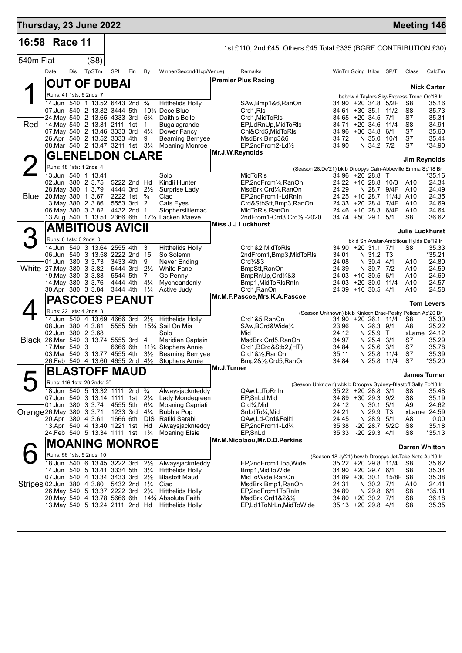| Thursday, 23 June 2022                  |                         |     |                                                                                           |                      |     |                                  |                                                                          |                 |                                                                                   |                                                                                     |                                 |                         | <b>Meeting 146</b>                            |                    |
|-----------------------------------------|-------------------------|-----|-------------------------------------------------------------------------------------------|----------------------|-----|----------------------------------|--------------------------------------------------------------------------|-----------------|-----------------------------------------------------------------------------------|-------------------------------------------------------------------------------------|---------------------------------|-------------------------|-----------------------------------------------|--------------------|
| 16:58                                   | Race 11                 |     |                                                                                           |                      |     |                                  |                                                                          |                 | 1st £110, 2nd £45, Others £45 Total £335 (BGRF CONTRIBUTION £30)                  |                                                                                     |                                 |                         |                                               |                    |
| 540m Flat                               |                         |     | (S8)                                                                                      |                      |     |                                  |                                                                          |                 |                                                                                   |                                                                                     |                                 |                         |                                               |                    |
|                                         | Date                    | Dis | TpSTm                                                                                     | SPI                  | Fin | By                               | Winner/Second(Hcp/Venue)                                                 |                 | Remarks                                                                           | WinTm Going Kilos SP/T                                                              |                                 |                         | Class                                         | CalcTm             |
|                                         |                         |     | <b>OUT OF DUBAI</b>                                                                       |                      |     |                                  |                                                                          |                 | <b>Premier Plus Racing</b>                                                        |                                                                                     |                                 |                         |                                               |                    |
|                                         |                         |     | Runs: 41 1sts: 6 2nds: 7                                                                  |                      |     |                                  |                                                                          |                 |                                                                                   |                                                                                     |                                 |                         | bebdw d Taylors Sky-Express Trend Oc'18 Ir    | <b>Nick Carter</b> |
|                                         |                         |     | 14.Jun 540 1 13.52 6443 2nd                                                               |                      |     | $\frac{3}{4}$                    | <b>Hitthelids Holly</b>                                                  |                 | SAw, Bmp1&6, RanOn                                                                | 34.90 +20 34.8 5/2F                                                                 |                                 |                         | S8                                            | 35.16              |
|                                         |                         |     | 07.Jun 540 2 13.82 3444 5th<br>24. May 540 2 13.65 4333 3rd                               |                      |     | $5\frac{3}{4}$                   | 10% Dece Blue<br>Daithis Belle                                           |                 | Crd1,RIs<br>Crd1, MidToRIs                                                        | 34.61<br>34.65 +20 34.5 7/1                                                         | +30 35.1                        | 11/2                    | S8<br>S7                                      | 35.73<br>35.31     |
| Red                                     |                         |     | 14. May 540 2 13.31 2111 1st                                                              |                      |     | 1                                | Bugalagrande                                                             |                 | EP,LdRnUp,MidToRIs                                                                | 34.71                                                                               | $+20, 34.6$                     | 11/4                    | S <sub>8</sub>                                | 34.91              |
|                                         |                         |     | 07. May 540 2 13.46 3333 3rd<br>26.Apr 540 2 13.52 3333 4th                               |                      |     | $4\frac{1}{4}$<br>9              | Dower Fancy<br><b>Beaming Bernyee</b>                                    |                 | Chl&Crd5, MidToRIs<br>MsdBrk,Bmp3&6                                               | $34.96 + 30.34.8$<br>34.72                                                          | N 35.0 10/1                     | 6/1                     | S7<br>S7                                      | 35.60<br>35.44     |
|                                         |                         |     | 08. Mar 540 2 13.47 3211 1st 31/4                                                         |                      |     |                                  | <b>Moaning Monroe</b>                                                    |                 | EP,2ndFrom2-Ld1/2                                                                 | 34.90                                                                               | N 34.2 7/2                      |                         | S7                                            | *34.90             |
|                                         |                         |     | <b>GLENELDON CLARE</b>                                                                    |                      |     |                                  |                                                                          | Mr.J.W.Reynolds |                                                                                   |                                                                                     |                                 |                         | Jim Reynolds                                  |                    |
|                                         |                         |     | Runs: 18 1sts: 1 2nds: 4                                                                  |                      |     |                                  |                                                                          |                 |                                                                                   | (Season 28.De'21) bk b Droopys Cain-Abbeville Emma Sp'18 Br                         |                                 |                         |                                               |                    |
|                                         | 02.Jun 380 2 3.75       |     | 13.Jun 540 1 13.41                                                                        | 5222 2nd Hd          |     |                                  | Solo<br>Kindii Hunter                                                    |                 | MidToRIs<br>EP,2ndFrom1/4,RanOn                                                   | 34.96 +20 28.8 T<br>24.22 +10 28.8                                                  |                                 | 10/3                    | A10                                           | *35.16<br>24.34    |
|                                         | 28. May 380 1 3.79      |     |                                                                                           | 4444 3rd             |     | $2\frac{1}{2}$                   | Surprise Lady                                                            |                 | MsdBrk,Crd¼,RanOn                                                                 | 24.29                                                                               |                                 | N 28.7 9/4F             | A10                                           | 24.49              |
| Blue                                    | 20. May 380 1 3.67      |     | 13. May 380 2 3.86                                                                        | 2222 1st<br>5553 3rd |     | $\frac{3}{4}$<br>2               | Ciao<br>Cats Eyes                                                        |                 | EP,2ndFrom1-LdRnIn<br>Crd&StbStt,Bmp3,RanOn                                       | 24.25 +10 28.7<br>24.33 +20 28.4 7/4F                                               |                                 | 11/4J                   | A10<br>A10                                    | 24.35<br>24.69     |
|                                         |                         |     | 06. May 380 3 3.82                                                                        | 4432 2nd             |     | $\overline{1}$                   | Stopherslitlemac                                                         |                 | MidToRIs.RanOn                                                                    | 24.46 +10 28.3                                                                      |                                 | 6/4F                    | A10                                           | 24.64              |
|                                         |                         |     | 13.Aug 540 1 13.51 2366 6th                                                               |                      |     |                                  | 171⁄4 Lacken Maeve                                                       |                 | 2ndFrom1-Crd3,Crd1/2,-2020<br>Miss.J.J.Luckhurst                                  | $34.74$ +50 29.1                                                                    |                                 | 5/1                     | S <sub>8</sub>                                | 36.62              |
|                                         |                         |     | <b>AMBITIOUS AVICII</b>                                                                   |                      |     |                                  |                                                                          |                 |                                                                                   |                                                                                     |                                 |                         | <b>Julie Luckhurst</b>                        |                    |
|                                         | Runs: 6 1sts: 0 2nds: 0 |     | 14.Jun 540 3 13.64 2555 4th                                                               |                      |     | 3                                | <b>Hitthelids Holly</b>                                                  |                 | Crd1&2, MidToRIs                                                                  | 34.90 +20 31.1 7/1                                                                  |                                 |                         | bk d Sh Avatar-Ambitious Hylda De'19 Ir<br>S8 | 35.33              |
|                                         |                         |     | 06.Jun 540 3 13.58 2222 2nd 15                                                            |                      |     |                                  | So Solemn                                                                |                 | 2ndFrom1,Bmp3,MidToRIs                                                            | 34.01                                                                               | N 31.2 T3                       |                         |                                               | $*35.21$           |
| White 27 May 380 3 3 82                 |                         |     | 01.Jun 380 3 3.73                                                                         | 3433 4th<br>5444 3rd |     | 9<br>$2\frac{1}{2}$              | Never Ending<br><b>White Fane</b>                                        |                 | Crd <sub>4</sub> 83<br>BmpStt, RanOn                                              | 24.08<br>24.39                                                                      | N 30.4 4/1<br>N 30.7 7/2        |                         | A10<br>A10                                    | 24.80<br>24.59     |
|                                         |                         |     | 19. May 380 3 3.83                                                                        | 5544 5th             |     | $\overline{7}$                   | Go Penny                                                                 |                 | BmpRnUp, Crd <sup>1</sup> /4&3                                                    | $24.03 + 10.30.5$                                                                   |                                 | 6/1                     | A10                                           | 24.69              |
|                                         |                         |     | 14 May 380 3 3.76<br>30.Apr 380 3 3.84                                                    | 4444 4th<br>3444 4th |     | $4\frac{1}{4}$<br>$1\frac{1}{4}$ | Myoneandonly<br>Active Judy                                              |                 | Bmp1, MidToRIsRnIn<br>Crd1, RanOn                                                 | 24.03<br>24.39                                                                      | $+20$ 30.0 11/4<br>+10 30.5 4/1 |                         | A10<br>A10                                    | 24.57<br>24.58     |
|                                         |                         |     | <b>PASCOES PEANUT</b>                                                                     |                      |     |                                  |                                                                          |                 | Mr.M.F.Pascoe, Mrs.K.A.Pascoe                                                     |                                                                                     |                                 |                         |                                               | <b>Tom Levers</b>  |
|                                         |                         |     | Runs: 22 1sts: 4 2nds: 3                                                                  |                      |     |                                  |                                                                          |                 |                                                                                   | (Season Unknown) bk b Kinloch Brae-Pesky Pelican Ap'20 Br                           |                                 |                         |                                               |                    |
|                                         | 08.Jun 380 4 3.81       |     | 14.Jun 540 4 13.69 4666 3rd                                                               | 5555 5th             |     | $2\frac{1}{2}$                   | <b>Hitthelids Holly</b><br>15% Sail On Mia                               |                 | Crd1&5, RanOn<br>SAw, BCrd&Wide1/4                                                | 34.90 +20 26.1<br>23.96                                                             | N 26.3 9/1                      | 11/4                    | S8<br>A8                                      | 35.30<br>25.22     |
|                                         | 02.Jun 380 2 3.68       |     |                                                                                           |                      |     |                                  | Solo                                                                     |                 | Mid                                                                               | 24.12                                                                               | N 25.9                          | $\top$                  | xLame 24.12                                   |                    |
|                                         | 17.Mar 540              |     | Black 26.Mar 540 3 13.74 5555 3rd<br>-3                                                   | 6666 6th             |     | 4                                | Meridian Captain<br>11% Stophers Annie                                   |                 | MsdBrk,Crd5,RanOn<br>Crd1,BCrd&Stb2,(HT)                                          | 34.97<br>34.84                                                                      | N 25.4 3/1<br>N 25.6            | 3/1                     | S7<br>S7                                      | 35.29<br>35.78     |
|                                         |                         |     | 03. Mar 540 3 13.77 4555 4th                                                              |                      |     | $3\frac{1}{2}$                   | <b>Beaming Bernyee</b>                                                   |                 | Crd1&1/ <sub>2</sub> , RanOn                                                      | 35.11                                                                               | N 25.8                          | 11/4                    | S7                                            | 35.39              |
|                                         |                         |     | 26.Feb 540 4 13.60 4655 2nd 4½<br><b>BLASTOFF MAUD</b>                                    |                      |     |                                  | <b>Stophers Annie</b>                                                    | Mr.J.Turner     | Bmp2&1/ <sub>2</sub> ,Crd5,RanOn                                                  | 34.84                                                                               | N 25.8                          | 11/4                    | S7                                            | *35.20             |
|                                         |                         |     |                                                                                           |                      |     |                                  |                                                                          |                 |                                                                                   |                                                                                     |                                 |                         | <b>James Turner</b>                           |                    |
|                                         |                         |     | Runs: 116 1sts: 20 2nds: 20<br>18.Jun 540 5 13.32 1111 2nd 3/4                            |                      |     |                                  | Alwaysjacknteddy                                                         |                 | QAw,LdToRnIn                                                                      | (Season Unknown) wbk b Droopys Sydney-Blastoff Sally Fb'18 Ir<br>35.22 +20 28.8 3/1 |                                 |                         | S8                                            | 35.48              |
|                                         |                         |     | 07.Jun 540 3 13.14 1111 1st 21/4                                                          |                      |     |                                  | Lady Mondegreen                                                          |                 | EP, SnLd, Mid                                                                     | 34.89 +30 29.3 9/2                                                                  |                                 |                         | S8                                            | 35.19              |
| Orange 26. May 380 3 3.71               |                         |     | 01.Jun 380 3 3.74                                                                         | 4555 5th<br>1233 3rd |     | $6\frac{1}{4}$<br>$4\frac{3}{4}$ | <b>Moaning Capriati</b><br><b>Bubble Pop</b>                             |                 | Crd <sup>1</sup> / <sub>4</sub> , Mid<br>SnLdTo <sup>1</sup> / <sub>4</sub> , Mid | 24.12<br>24.21                                                                      | N 30.1 5/1<br>N 29.9            | Т3                      | A9<br>xLame 24.59                             | 24.62              |
|                                         | 20.Apr 380 4 3.61       |     |                                                                                           | 1666 6th             |     | <b>DIS</b>                       | Rafiki Sarabi                                                            |                 | QAw,Ld-Crd&Fell1                                                                  | 24.45                                                                               | N 28.9                          | 5/1                     | A8                                            | 0.00               |
|                                         |                         |     | 13.Apr 540 4 13.40 1221 1st<br>24. Feb 540 5 13.34 1111 1st 1 <sup>3</sup> / <sub>4</sub> |                      |     | Hd                               | Alwaysjacknteddy<br>Moaning Elsie                                        |                 | $EP, 2ndFrom 1-Ld3/4$<br>EP, SnLd                                                 | 35.38<br>35.33                                                                      | $-20$ 29.3 $4/1$                | -20 28.7 5/2C           | S8<br>S8                                      | 35.18<br>*35.13    |
|                                         |                         |     | <b>MOANING MONROE</b>                                                                     |                      |     |                                  |                                                                          |                 | Mr.M.Nicolaou, Mr.D.D.Perkins                                                     |                                                                                     |                                 |                         | <b>Darren Whitton</b>                         |                    |
|                                         |                         |     | Runs: 56 1sts: 5 2nds: 10                                                                 |                      |     |                                  |                                                                          |                 |                                                                                   | (Season 18.Jy'21) bew b Droopys Jet-Take Note Au'19 Ir                              |                                 |                         |                                               |                    |
|                                         |                         |     | 18.Jun 540 6 13.45 3222 3rd                                                               |                      |     | $2\frac{1}{2}$                   | Alwaysjacknteddy                                                         |                 | EP,2ndFrom1To5, Wide                                                              | 35.22 +20 29.8 11/4                                                                 |                                 |                         | S8                                            | 35.62              |
|                                         |                         |     | 14.Jun 540 5 13.41 3334 5th<br>07.Jun 540 4 13.34 3433 3rd                                |                      |     | $3\frac{1}{4}$<br>$2\frac{1}{2}$ | <b>Hitthelids Holly</b><br><b>Blastoff Maud</b>                          |                 | Bmp1, MidToWide<br>MidToWide,RanOn                                                | 34.90 +20 29.7 6/1                                                                  |                                 | 34.89 +30 30.1 15/8F S8 | S8                                            | 35.34<br>35.38     |
| Stripes 02.Jun 380 4 3.80 5432 2nd 11/4 |                         |     |                                                                                           |                      |     |                                  | Ciao                                                                     |                 | MsdBrk,Bmp1,RanOn                                                                 | 24.31                                                                               | N 30.2 7/1                      |                         | A10                                           | 24.41              |
|                                         |                         |     | 26. May 540 5 13.37 2222 3rd<br>20. May 540 4 13.78 5666 6th                              |                      |     | $2\frac{3}{4}$                   | <b>Hitthelids Holly</b><br>14 <sup>3</sup> / <sub>4</sub> Absolute Faith |                 | EP,2ndFrom1ToRnIn<br>MsdBrk,Crd1&2&½                                              | 34.89<br>34.80 +20 30.2 7/1                                                         | N 29.8 6/1                      |                         | S8<br>S <sub>8</sub>                          | $*35.11$<br>36.18  |
|                                         |                         |     | 13. May 540 5 13.24 2111 2nd Hd                                                           |                      |     |                                  | <b>Hitthelids Holly</b>                                                  |                 | EP,Ld1ToNrLn,MidToWide                                                            | 35.13 +20 29.8 4/1                                                                  |                                 |                         | S8                                            | 35.35              |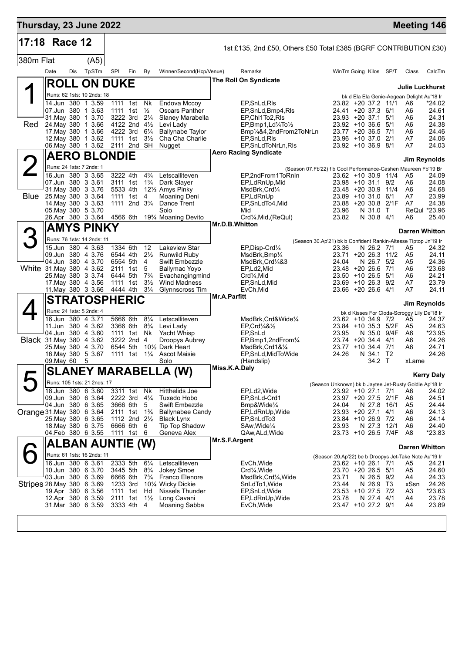| Thursday, 23 June 2022     |                                          |     |        |      |                                        |                                  |                                                                  |                     |                                                                  |                                                                 |                           |                      |                                             | <b>Meeting 146</b>    |
|----------------------------|------------------------------------------|-----|--------|------|----------------------------------------|----------------------------------|------------------------------------------------------------------|---------------------|------------------------------------------------------------------|-----------------------------------------------------------------|---------------------------|----------------------|---------------------------------------------|-----------------------|
| 17:18 Race 12              |                                          |     |        |      |                                        |                                  |                                                                  |                     | 1st £135, 2nd £50, Others £50 Total £385 (BGRF CONTRIBUTION £30) |                                                                 |                           |                      |                                             |                       |
| 380m Flat                  |                                          |     | (A5)   |      |                                        |                                  |                                                                  |                     |                                                                  |                                                                 |                           |                      |                                             |                       |
|                            | Date                                     | Dis | TpSTm  | SPI  | Fin                                    | By                               | Winner/Second(Hcp/Venue)                                         |                     | Remarks                                                          | WinTm Going Kilos SP/T                                          |                           |                      | Class                                       | CalcTm                |
|                            | <b>ROLL ON DUKE</b>                      |     |        |      |                                        |                                  |                                                                  |                     | The Roll On Syndicate                                            |                                                                 |                           |                      | <b>Julie Luckhurst</b>                      |                       |
|                            | Runs: 62 1sts: 10 2nds: 18               |     |        |      |                                        |                                  |                                                                  |                     |                                                                  |                                                                 |                           |                      | bk d Ela Ela Genie-Aegean Delight Au'18 Ir  |                       |
|                            | 14.Jun 380                               |     | 1 3.59 |      | 1111 1st                               | Nk                               | Endova Mccoy                                                     |                     | EP, SnLd, RIs                                                    | 23.82 +20 37.2 11/1                                             |                           |                      | A6                                          | $*24.02$              |
|                            | 07.Jun 380 1 3.63<br>31. May 380         |     | 1 3.70 |      | 1111 1st<br>3222 3rd                   | $\frac{1}{2}$<br>$2\frac{1}{4}$  | <b>Oscars Panther</b><br>Slaney Marabella                        |                     | EP, SnLd, Bmp4, RIs<br>EP.Chl1To2,RIs                            | $24.41 + 20.37.3$<br>$23.93 + 20.37.1$                          |                           | 6/1<br>5/1           | A6<br>A6                                    | 24.61<br>24.31        |
| Red                        | 24. May 380 1 3.66                       |     |        |      | 4122 2nd 41/2                          |                                  | Levi Lady                                                        |                     | EP, Bmp1, Ld/4To/2                                               | $23.92 + 10.36.6$                                               |                           | 5/1                  | A6                                          | 24.38                 |
|                            | 17. May 380                              |     | 1 3.66 |      | 4222 3rd                               | $6\frac{1}{4}$                   | <b>Ballynabe Taylor</b>                                          |                     | Bmp1/4&4,2ndFrom2ToNrLn                                          | $23.77 + 2036.5$                                                |                           | 7/1                  | A6                                          | 24.46                 |
|                            | 12. May 380 1 3.62<br>06 May 380 1 3.62  |     |        |      | 1111 1st<br>2111 2nd                   | $3\frac{1}{2}$<br>SH             | Cha Cha Charlie<br>Nugget                                        |                     | EP, SnLd, RIs<br>EP, SnLdToNrLn, RIs                             | 23.96 +10 37.0 2/1<br>23.92 +10 36.9                            |                           | 8/1                  | A7<br>A7                                    | 24.06<br>24.03        |
|                            | <b>AERO BLONDIE</b>                      |     |        |      |                                        |                                  |                                                                  |                     | <b>Aero Racing Syndicate</b>                                     |                                                                 |                           |                      |                                             | Jim Reynolds          |
|                            | Runs: 24 1sts: 7 2nds: 1                 |     |        |      |                                        |                                  |                                                                  |                     | (Season 07.Fb'22) f b Cool Performance-Cashen Maureen Fb'19 Br   |                                                                 |                           |                      |                                             |                       |
|                            | 16.Jun 380 3 3.65                        |     |        |      | 3222 4th                               | $4\frac{3}{4}$                   | Letscalliteven                                                   |                     | EP,2ndFrom1ToRnIn                                                | 23.62 +10 30.9 11/4                                             |                           |                      | A5                                          | 24.09                 |
|                            | 07.Jun 380 3 3.61<br>31 May 380 3 3 76   |     |        |      | 3111 1st<br>5533 4th                   | $1\frac{3}{4}$                   | Dark Slayer<br>121/ <sub>2</sub> Amys Pinky                      |                     | EP,LdRnUp,Mid<br>MsdBrk,Crd1⁄4                                   | $23.98 + 10.31.1$<br>23.48 +20 30.9                             |                           | 9/2<br>11/4          | A6<br>A6                                    | 24.08<br>24.68        |
| Blue                       | 25 May 380 3 3.64                        |     |        | 1111 | 1st                                    | 4                                | <b>Moaning Deni</b>                                              |                     | EP,LdRnUp                                                        | $23.89 + 10.31.0$                                               |                           | 6/1                  | A7                                          | 23.99                 |
|                            | 14. May 380 3 3.63<br>05 May 380 5 3.70  |     |        |      | 1111 2nd 3 <sup>3</sup> / <sub>4</sub> |                                  | Dance Trent<br>Solo                                              |                     | EP, SnLdTo4, Mid<br>Mid                                          | $23.88 + 2030.8$<br>23.96                                       | N 31.0                    | 2/1F<br>$\mathsf{T}$ | A7                                          | 24.38<br>ReQul *23.96 |
|                            | 26.Apr 380 3 3.64                        |     |        |      | 4566 6th                               |                                  | 19% Moaning Devito                                               |                     | Crd1⁄4, Mid, (ReQul)                                             | 23.82                                                           | N 30.8 4/1                |                      | A6                                          | 25.40                 |
|                            | AMYS PINKY                               |     |        |      |                                        |                                  |                                                                  | Mr.D.B.Whitton      |                                                                  |                                                                 |                           |                      | <b>Darren Whitton</b>                       |                       |
|                            | Runs: 76 1sts: 14 2nds: 11               |     |        |      |                                        |                                  |                                                                  |                     |                                                                  | (Season 30.Ap'21) bk b Confident Rankin-Altesse Tiptop Jn'19 Ir |                           |                      |                                             |                       |
|                            | 15.Jun 380                               |     | 4 3.63 |      | 1334 6th                               | 12                               | <b>Lakeview Star</b>                                             |                     | EP, Disp-Crd1/4                                                  | 23.36                                                           | N 26.2 7/1                |                      | A5                                          | 24.32                 |
|                            | 09.Jun 380 4 3.76<br>04.Jun 380 4 3.70   |     |        |      | 6544 4th<br>6554 5th                   | $2\frac{1}{2}$<br>4              | Runwild Ruby<br><b>Swift Embezzle</b>                            |                     | MsdBrk,Bmp1⁄4<br>MsdBrk,Crd¼&3                                   | 23.71<br>24.04                                                  | $+20$ 26.3 11/2<br>N 26.7 | 5/2                  | A5<br>A5                                    | 24.11<br>24.36        |
|                            | White 31. May 380 4 3.62                 |     |        |      | 2111 1st                               | 5                                | Ballymac Yoyo                                                    |                     | EP,Ld2,Mid                                                       | $23.48 + 20.266$                                                |                           | 7/1                  | A6                                          | *23.68                |
|                            | 25. May 380 3 3.74<br>17 May 380 4 3.56  |     |        |      | 6444 5th<br>1111 1st                   | $7\frac{3}{4}$<br>$3\frac{1}{2}$ | Evachangingmind<br><b>Wind Madness</b>                           |                     | $Crd4$ , Mid<br>EP,SnLd,Mid                                      | $23.50 + 10.26.5$<br>23.69 +10 26.3 9/2                         |                           | 5/1                  | A6<br>A7                                    | 24.21<br>23.79        |
|                            | 11. May 380 3 3.66                       |     |        |      | 4444 4th                               | $3\frac{1}{4}$                   | Glynnscross Tim                                                  |                     | EvCh, Mid                                                        | 23.66 +20 26.6 4/1                                              |                           |                      | A7                                          | 24.11                 |
|                            | <b>STRATOSPHERIC</b>                     |     |        |      |                                        |                                  |                                                                  | <b>Mr.A.Parfitt</b> |                                                                  |                                                                 |                           |                      |                                             | <b>Jim Reynolds</b>   |
|                            | Runs: 24 1sts: 5 2nds: 4                 |     |        |      |                                        |                                  |                                                                  |                     |                                                                  |                                                                 |                           |                      | bk d Kisses For Cloda-Scroggy Lily De'18 Ir |                       |
|                            | 16.Jun 380 4 3.71                        |     |        |      | 5666 6th                               | $8\frac{1}{4}$                   | Letscalliteven                                                   |                     | MsdBrk,Crd&Wide1/4                                               | 23.62 +10 34.9 7/2                                              |                           |                      | A5                                          | 24.37<br>24.63        |
|                            | 11.Jun 380 4 3.62<br>04.Jun 380 4 3.60   |     |        |      | 3366 6th<br>1111 1st                   | $8\frac{3}{4}$<br>Nk             | Levi Lady<br>Yacht Whisp                                         |                     | EP Crd $\frac{1}{4}$ & $\frac{1}{2}$<br>EP, SnLd                 | 23.84<br>23.95                                                  | +10 35.3 5/2F<br>N 35.0   | 9/4F                 | A5<br>A6                                    | *23.95                |
|                            | <b>Black</b> 31 May 380 4 3.62           |     |        |      | 3222 2nd 4                             |                                  | Droopys Aubrey                                                   |                     | EP,Bmp1,2ndFrom1/4                                               | 23.74 +20 34.4 4/1                                              |                           |                      | A6                                          | 24.26                 |
|                            | 25. May 380 4 3.70<br>16. May 380 5 3.67 |     |        |      | 6544 5th<br>1111 1st 11/ <sub>4</sub>  |                                  | 10 <sup>1</sup> / <sub>2</sub> Dark Heart<br><b>Ascot Maisie</b> |                     | MsdBrk,Crd1&1⁄4<br>EP, SnLd, MidToWide                           | 23.77 +10 34.4 7/1<br>24.26                                     | N 34.1 T2                 |                      | A6                                          | 24.71<br>24.26        |
|                            | 09.May 60                                |     | 5      |      |                                        |                                  | Solo                                                             |                     | (Handslip)                                                       |                                                                 | 34.2 T                    |                      | xLame                                       |                       |
|                            | $\overline{a}$ i a nifv naa              |     |        |      |                                        |                                  | <b>SLANEY MARABELLA (W)</b>                                      | Miss.K.A.Daly       |                                                                  |                                                                 |                           |                      |                                             | <b>Kerry Daly</b>     |
|                            | Runs: 105 1sts: 21 2nds: 17              |     |        |      |                                        |                                  |                                                                  |                     |                                                                  | (Season Unknown) bk b Jaytee Jet-Rusty Goldie Ap'18 Ir          |                           |                      |                                             |                       |
|                            | 18.Jun 380 6 3.60<br>09.Jun 380 6 3.64   |     |        |      | $3311$ 1st<br>2222 3rd 41/4            | Nk                               | Hitthelids Joe<br>Tuxedo Hobo                                    |                     | EP,Ld2,Wide<br>EP,SnLd-Crd1                                      | 23.92 +10 27.1 7/1<br>23.97 +20 27.5 2/1F                       |                           |                      | A6                                          | 24.02<br>24.51        |
|                            | 04.Jun 380 6 3.65                        |     |        |      | 3666 6th                               | - 5                              | Swift Embezzle                                                   |                     | Bmp&Wide¼                                                        | 24.04                                                           | N 27.8 16/1               |                      | A6<br>A5                                    | 24.44                 |
| Orange 31. May 380 6 3.64  |                                          |     |        |      | 2111 1st                               | $1\frac{3}{4}$                   | <b>Ballynabee Candy</b>                                          |                     | EP,LdRnUp,Wide                                                   | 23.93 +20 27.1                                                  |                           | 4/1                  | A6                                          | 24.13                 |
|                            | 25. May 380 6 3.65<br>18. May 380 6 3.75 |     |        |      | 1112 2nd 21/2<br>6666 6th              | 6                                | <b>Black Lynx</b><br><b>Tip Top Shadow</b>                       |                     | EP,SnLdTo3<br>SAw, Wide <sup>1/4</sup>                           | 23.84 +10 26.9 7/2<br>23.93                                     | N 27.3                    | 12/1                 | A6<br>A6                                    | 24.14<br>24.40        |
|                            | 04.Feb 380 6 3.55                        |     |        |      | 1111 1st                               | 6                                | Geneva Alex                                                      |                     | QAw,ALd,Wide                                                     | 23.73 +10 26.5 7/4F                                             |                           |                      | A8                                          | *23.83                |
|                            | ALBAN AUNTIE (W)                         |     |        |      |                                        |                                  |                                                                  | Mr.S.F.Argent       |                                                                  |                                                                 |                           |                      | <b>Darren Whitton</b>                       |                       |
|                            | Runs: 61 1sts: 16 2nds: 11               |     |        |      |                                        |                                  |                                                                  |                     |                                                                  | (Season 20.Ap'22) be b Droopys Jet-Take Note Au'19 Ir           |                           |                      |                                             |                       |
|                            | 16.Jun 380 6 3.61<br>10.Jun 380 6 3.70   |     |        |      | 2333 5th<br>3445 5th                   | $6\frac{1}{4}$<br>$8\frac{3}{4}$ | Letscalliteven<br>Jokey Smoe                                     |                     | EvCh, Wide<br>Crd <sub>4</sub> , Wide                            | 23.62 +10 26.1 7/1<br>23.70 +20 26.5 5/1                        |                           |                      | A5<br>A5                                    | 24.21<br>24.60        |
|                            | 03.Jun 380 6 3.69                        |     |        |      | 6666 6th                               | $7\frac{3}{4}$                   | Franco Elenore                                                   |                     | MsdBrk, Crd1/4, Wide                                             | 23.71                                                           | N 26.5 9/2                |                      | A4                                          | 24.33                 |
| Stripes 28. May 380 6 3.69 |                                          |     |        |      | 1233 3rd                               |                                  | 10¼ Wicky Dickie                                                 |                     | SnLdTo1, Wide                                                    | 23.44                                                           | N 26.9 T3                 |                      | xSsn                                        | 24.26                 |
|                            | 19.Apr 380 6 3.56<br>12.Apr 380 6 3.59   |     |        |      | 1111 1st<br>2111 1st                   | Hd<br>$1\frac{1}{2}$             | Nissels Thunder<br>Long Cavani                                   |                     | EP,SnLd,Wide<br>EP,LdRnUp,Wide                                   | 23.53 +10 27.5 7/2<br>23.78                                     | N 27.4 4/1                |                      | A3<br>A4                                    | $*23.63$<br>23.78     |
|                            | 31.Mar 380 6 3.59                        |     |        |      | 3333 4th                               | 4                                | Moaning Sabba                                                    |                     | EvCh, Wide                                                       | 23.47 +10 27.2 9/1                                              |                           |                      | A4                                          | 23.89                 |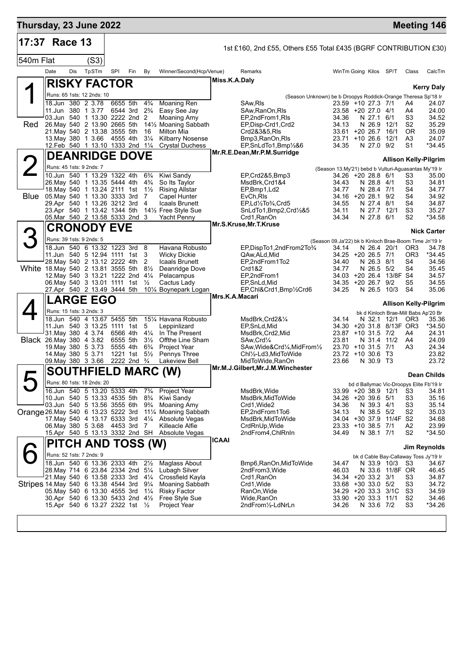| 17:37 Race 13                        |                                                                         |            |       |                                      |     |                                  |                                                               |                | 1st £160, 2nd £55, Others £55 Total £435 (BGRF CONTRIBUTION £30)                                         |                                                                 |                                  |                         |                                  |                                          |
|--------------------------------------|-------------------------------------------------------------------------|------------|-------|--------------------------------------|-----|----------------------------------|---------------------------------------------------------------|----------------|----------------------------------------------------------------------------------------------------------|-----------------------------------------------------------------|----------------------------------|-------------------------|----------------------------------|------------------------------------------|
| 540m Flat                            |                                                                         |            | (S3)  |                                      |     |                                  |                                                               |                |                                                                                                          |                                                                 |                                  |                         |                                  |                                          |
|                                      | Date                                                                    | <b>Dis</b> | TpSTm | SPI                                  | Fin | By                               | Winner/Second(Hcp/Venue)                                      |                | Remarks                                                                                                  | WinTm Going Kilos SP/T                                          |                                  |                         | Class                            | CalcTm                                   |
|                                      | <b>RISKY FACTOR</b>                                                     |            |       |                                      |     |                                  |                                                               | Miss.K.A.Daly  |                                                                                                          |                                                                 |                                  |                         |                                  |                                          |
|                                      |                                                                         |            |       |                                      |     |                                  |                                                               |                |                                                                                                          |                                                                 |                                  |                         |                                  | <b>Kerry Daly</b>                        |
|                                      | Runs: 65 1sts: 12 2nds: 10<br>18.Jun 380 2 3.78                         |            |       | 6655 5th                             |     | $4\frac{3}{4}$                   | Moaning Ren                                                   |                | (Season Unknown) be b Droopys Roddick-Orange Theresa Sp'18 Ir<br>SAw, RIs                                | 23.59 +10 27.3 7/1                                              |                                  |                         | A4                               | 24.07                                    |
|                                      | 11.Jun 380 1 3.77                                                       |            |       | 6544 3rd                             |     | $2\frac{3}{4}$                   | Easy See Jay                                                  |                | SAw, RanOn, RIs                                                                                          | 23.58 +20 27.0 4/1                                              |                                  |                         | A4                               | 24.00                                    |
|                                      | 03.Jun 540 1 13.30 2222 2nd 2                                           |            |       |                                      |     |                                  | <b>Moaning Amy</b>                                            |                | EP,2ndFrom1,RIs                                                                                          | 34.36                                                           | N 27.1 6/1                       |                         | S <sub>3</sub>                   | 34.52                                    |
| Red                                  | 26. May 540 2 13.90 2665 5th<br>21. May 540 2 13.38 3555 5th            |            |       |                                      |     | 16                               | 141/ <sub>2</sub> Moaning Sabbath<br><b>Milton Mia</b>        |                | EP, Disp-Crd1, Crd2<br>Crd2&3&5,RIs                                                                      | 34.13<br>33.61 +20 26.7                                         | N 26.9 12/1                      | 16/1                    | S2<br>0R                         | 35.29<br>35.09                           |
|                                      | 13. May 380 1 3.66 4555 4th                                             |            |       |                                      |     | $3\frac{1}{4}$                   | <b>Kilbarry Nosense</b>                                       |                | Bmp3, RanOn, RIs                                                                                         | 23.71 +10 26.6                                                  |                                  | 12/1                    | A3                               | 24.07                                    |
|                                      | 12.Feb 540 1 13.10 1333 2nd 11/4                                        |            |       |                                      |     |                                  | <b>Crystal Duchess</b>                                        |                | EP, SnLdTo1, Bmp <sup>1</sup> / <sub>2</sub> &6                                                          | 34.35                                                           | N 27.0                           | 9/2                     | S1                               | $*34.45$                                 |
|                                      | <b>DEANRIDGE DOVE</b>                                                   |            |       |                                      |     |                                  |                                                               |                | Mr.R.E.Dean, Mr.P.M.Surridge                                                                             |                                                                 |                                  |                         |                                  | <b>Allison Kelly-Pilgrim</b>             |
|                                      | Runs: 45 1sts: 9 2nds: 7                                                |            |       |                                      |     |                                  |                                                               |                |                                                                                                          | (Season 13.My'21) bebd b Vulturi-Aguasantas My'19 Ir            |                                  |                         |                                  |                                          |
|                                      | 10.Jun 540 1 13.29 1322 4th                                             |            |       |                                      |     | $6\frac{3}{4}$                   | Kiwi Sandy                                                    |                | EP,Crd2&5,Bmp3                                                                                           | 34.26 +20 28.8 6/1                                              |                                  |                         | S3                               | 35.00                                    |
|                                      | 26. May 540 1 13.35 5444 4th<br>18. May 540 1 13.24 2111 1st            |            |       |                                      |     | $4\frac{3}{4}$<br>$1\frac{1}{2}$ | So Its Taylor<br><b>Rising Allstar</b>                        |                | MsdBrk, Crd1&4<br>EP,Bmp1,Ld2                                                                            | 34.43<br>34.77                                                  | N 28.8 4/1<br>N 28.4 7/1         |                         | S <sub>3</sub><br>S4             | 34.81<br>34.77                           |
| <b>Blue</b>                          | 05. May 540 1 13.30 3333 3rd                                            |            |       |                                      |     | 7                                | Capel Hunter                                                  |                | EvCh, RIs                                                                                                | 34.16 +20 28.1 9/2                                              |                                  |                         | S <sub>4</sub>                   | 34.92                                    |
|                                      | 29.Apr 540 1 13.26 3212 3rd                                             |            |       |                                      |     | $\overline{4}$                   | Icaals Brunett                                                |                | EP,Ld1/2To3/4,Crd5                                                                                       | 34.55                                                           | N 27.4 8/1                       |                         | S <sub>4</sub>                   | 34.87                                    |
|                                      | 23.Apr 540 1 13.42 1344 5th<br>05. Mar 540 2 13.58 5333 2nd 3           |            |       |                                      |     |                                  | 141/ <sub>2</sub> Free Style Sue<br><b>Yacht Penny</b>        |                | SnLdTo1,Bmp2,Crd1/2&5<br>Crd1, RanOn                                                                     | 34.11<br>34.34                                                  | N 27.7 12/1<br>N 27.8 6/1        |                         | S <sub>3</sub><br>S <sub>2</sub> | 35.27<br>*34.58                          |
|                                      | <b>CRONODY EVE</b>                                                      |            |       |                                      |     |                                  |                                                               |                | Mr.S.Kruse, Mr.T.Kruse                                                                                   |                                                                 |                                  |                         |                                  |                                          |
|                                      | Runs: 39 1sts: 9 2nds: 5                                                |            |       |                                      |     |                                  |                                                               |                |                                                                                                          |                                                                 |                                  |                         |                                  | <b>Nick Carter</b>                       |
|                                      | 18.Jun 540 6 13.32 1223 3rd                                             |            |       |                                      |     | - 8                              | Havana Robusto                                                |                | EP, DispTo1, 2nd From 2To 3/4                                                                            | (Season 09.Ja'22) bk b Kinloch Brae-Boom Time Jn'19 Ir<br>34.14 | N 26.4 20/1                      |                         | OR <sub>3</sub>                  | 34.78                                    |
|                                      | 11.Jun 540 5 12.94 1111 1st                                             |            |       |                                      |     | 3                                | <b>Wicky Dickie</b>                                           |                | QAw, ALd, Mid                                                                                            | 34.25 +20 26.5 7/1                                              |                                  |                         | OR3                              | *34.45                                   |
|                                      | 28. May 540 2 13.12 2222 4th<br>White 18. May 540 2 13.81 3555 5th 81/2 |            |       |                                      |     | 2                                | Icaals Brunett<br>Deanridge Dove                              |                | EP,2ndFrom1To2<br>Crd1&2                                                                                 | 34.40<br>34.77                                                  | N 26.3 8/1<br>N 26.5 5/2         |                         | S4<br>S4                         | 34.56<br>35.45                           |
|                                      | 12. May 540 3 13.21 1222 2nd 41/4                                       |            |       |                                      |     |                                  | Pelacampus                                                    |                | EP,2ndFrom1                                                                                              | $34.03 + 20.26.4$                                               |                                  | 13/8F S4                |                                  | 34.57                                    |
|                                      | 06. May 540 3 13.01 1111 1st 1/2                                        |            |       |                                      |     |                                  | Cactus Lady                                                   |                | EP, SnLd, Mid                                                                                            | 34.35 +20 26.7 9/2                                              |                                  |                         | S <sub>5</sub>                   | 34.55                                    |
|                                      | 27.Apr 540 2 13.49 3444 5th                                             |            |       |                                      |     |                                  | 101⁄4 Boynepark Logan                                         | Mrs.K.A.Macari | EP, Chl&Crd1, Bmp1/2Crd6                                                                                 | 34.25                                                           | N 26.5 10/3                      |                         | S <sub>4</sub>                   | 35.06                                    |
|                                      | <b>LARGE EGO</b>                                                        |            |       |                                      |     |                                  |                                                               |                |                                                                                                          |                                                                 |                                  |                         |                                  | <b>Allison Kelly-Pilgrim</b>             |
|                                      | Runs: 15 1sts: 3 2nds: 3                                                |            |       |                                      |     |                                  |                                                               |                |                                                                                                          |                                                                 |                                  |                         |                                  | bk d Kinloch Brae-Mill Babs Ap'20 Br     |
|                                      | 18.Jun 540 4 13.67 5455 5th<br>11. Jun 540 3 13.25 1111 1st             |            |       |                                      |     | 5                                | 151/4 Havana Robusto<br>Leppinlizard                          |                | MsdBrk, Crd2&1/4<br>EP, SnLd, Mid                                                                        | 34.14<br>34.30                                                  | N 32.1 12/1                      | +20 31.8 8/13F OR3      | OR3                              | 35.36<br>*34.50                          |
|                                      | 31 May 380 4 3.74                                                       |            |       | 6566 4th                             |     | $4\frac{1}{4}$                   | In The Present                                                |                | MsdBrk, Crd2, Mid                                                                                        | 23.87 +10 31.5 7/2                                              |                                  |                         | A4                               | 24.31                                    |
|                                      | Black 26 May 380 4 3.82                                                 |            |       | 6555 5th                             |     | $3\frac{1}{2}$<br>$6\frac{3}{4}$ | Offthe Line Sham<br><b>Project Year</b>                       |                | SAw, Crd <sup>1</sup> / <sub>4</sub>                                                                     | 23.81<br>23.70 +10 31.5                                         | N 31.4                           | 11/2                    | A4                               | 24.09                                    |
|                                      | 19. May 380 5 3.73<br>14. May 380 5 3.71                                |            |       | 5555 4th<br>1221 1st                 |     | $5\frac{1}{2}$                   | Pennys Three                                                  |                | SAw, Wide&Crd <sup>1</sup> / <sub>4</sub> , MidFrom <sup>1</sup> / <sub>2</sub><br>Chl1/2-Ld3, MidToWide | 23.72 +10 30.6                                                  |                                  | 7/1<br><b>T3</b>        | A <sub>3</sub>                   | 24.34<br>23.82                           |
|                                      | 09. May 380 3 3.66                                                      |            |       | 2222 2nd <sup>3</sup> / <sub>4</sub> |     |                                  | <b>Lakeview Bell</b>                                          |                | MidToWide, RanOn                                                                                         | 23.66                                                           | N 30.9 T3                        |                         |                                  | 23.72                                    |
|                                      |                                                                         |            |       |                                      |     |                                  | <b>SOUTHFIELD MARC (W)</b>                                    |                | Mr.M.J.Gilbert, Mr.J.M. Winchester                                                                       |                                                                 |                                  |                         |                                  | <b>Dean Childs</b>                       |
|                                      | Runs: 80 1sts: 18 2nds: 20                                              |            |       |                                      |     |                                  |                                                               |                |                                                                                                          |                                                                 |                                  |                         |                                  | bd d Ballymac Vic-Droopys Elite Fb'19 Ir |
| L                                    | 16.Jun 540 5 13.20 5333 4th                                             |            |       |                                      |     | $7\frac{3}{4}$                   | <b>Project Year</b>                                           |                | MsdBrk, Wide                                                                                             |                                                                 | 33.99 +20 38.9 12/1              |                         | S3                               | 34.81                                    |
|                                      | 10.Jun 540 5 13.33 4535 5th<br>03.Jun 540 5 13.56 3555 6th              |            |       |                                      |     | $8\frac{3}{4}$                   | Kiwi Sandy                                                    |                | MsdBrk, MidToWide                                                                                        | 34.26 +20 39.6 5/1                                              |                                  |                         | S <sub>3</sub>                   | 35.16                                    |
| Orange 26. May 540 6 13.23 5222 3rd  |                                                                         |            |       |                                      |     | $9\frac{3}{4}$                   | Moaning Amy<br>11 <sup>1</sup> / <sub>4</sub> Moaning Sabbath |                | Crd1, Wide2<br>EP,2ndFrom1To6                                                                            | 34.36<br>34.13                                                  | N 39.3 4/1<br>N 38.5 5/2         |                         | S <sub>3</sub><br>S <sub>2</sub> | 35.14<br>35.03                           |
|                                      | 17. May 540 4 13.17 6333 3rd                                            |            |       |                                      |     | $4\frac{1}{4}$                   | Absolute Vegas                                                |                | MsdBrk,MidToWide                                                                                         |                                                                 |                                  | 34.04 +30 37.9 11/4F S2 |                                  | 34.68                                    |
|                                      | 06. May 380 5 3.68<br>15.Apr 540 5 13.13 3332 2nd SH                    |            |       | 4453 3rd                             |     | - 7                              | Killeacle Alfie<br>Absolute Vegas                             |                | CrdRnUp, Wide<br>2ndFrom4, ChlRnIn                                                                       | 34.49                                                           | 23.33 +10 38.5 7/1<br>N 38.1 7/1 |                         | A2<br>S <sub>2</sub>             | 23.99<br>$*34.50$                        |
|                                      |                                                                         |            |       |                                      |     |                                  |                                                               | <b>ICAAI</b>   |                                                                                                          |                                                                 |                                  |                         |                                  |                                          |
|                                      | PITCH AND TOSS (W)                                                      |            |       |                                      |     |                                  |                                                               |                |                                                                                                          |                                                                 |                                  |                         |                                  | Jim Reynolds                             |
|                                      | Runs: 52 1sts: 7 2nds: 9                                                |            |       |                                      |     |                                  |                                                               |                |                                                                                                          |                                                                 |                                  |                         |                                  | bk d Cable Bay-Callaway Toss Jy'19 Ir    |
|                                      | 18.Jun 540 6 13.36 2333 4th<br>28. May 714 6 23.84 2334 2nd 51/4        |            |       |                                      |     | $2\frac{1}{2}$                   | <b>Maglass About</b><br>Lubagh Silver                         |                | Bmp6, RanOn, MidTo Wide<br>2ndFrom3, Wide                                                                | 34.47<br>46.03                                                  | N 33.9 10/3                      | N 33.6 11/8F OR         | S3                               | 34.67<br>46.45                           |
|                                      | 21. May 540 6 13.58 2333 3rd 41/4                                       |            |       |                                      |     |                                  | Crossfield Kayla                                              |                | Crd1, RanOn                                                                                              | 34.34 +20 33.2 3/1                                              |                                  |                         | S <sub>3</sub>                   | 34.87                                    |
| Stripes 14. May 540 6 13.38 4544 3rd | 05. May 540 6 13.30 4555 3rd                                            |            |       |                                      |     | $9\frac{1}{4}$<br>$1\frac{1}{4}$ | Moaning Sabbath<br><b>Risky Factor</b>                        |                | Crd1, Wide<br>RanOn, Wide                                                                                | 33.68 +30 33.0 5/2                                              |                                  | 34.29 +20 33.3 3/1C     | S <sub>3</sub><br>S <sub>3</sub> | 34.72<br>34.59                           |
|                                      | 30.Apr 540 6 13.30 5433 2nd 41/2                                        |            |       |                                      |     |                                  | Free Style Sue                                                |                | Wide,RanOn                                                                                               | 33.90 +20 33.3 11/1                                             |                                  |                         | S <sub>2</sub>                   | 34.46                                    |
|                                      | 15.Apr 540 6 13.27 2322 1st 1/2                                         |            |       |                                      |     |                                  | Project Year                                                  |                | 2ndFrom½-LdNrLn                                                                                          | 34.26                                                           | N 33.6 7/2                       |                         | S <sub>3</sub>                   | *34.26                                   |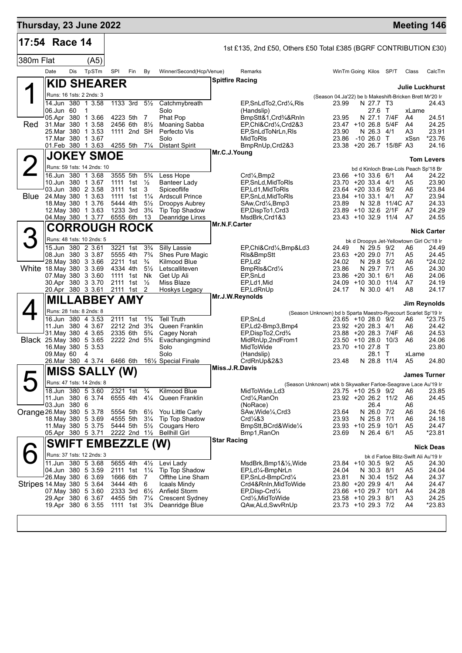| Thursday, 23 June 2022    |                                          |     |                           |                                                    |     |                                  |                                               | <b>Meeting 146</b>                                                                                                                |                |
|---------------------------|------------------------------------------|-----|---------------------------|----------------------------------------------------|-----|----------------------------------|-----------------------------------------------|-----------------------------------------------------------------------------------------------------------------------------------|----------------|
| 17:54 Race 14             |                                          |     |                           |                                                    |     |                                  |                                               | 1st £135, 2nd £50, Others £50 Total £385 (BGRF CONTRIBUTION £30)                                                                  |                |
| 380m Flat                 |                                          |     | (A5)                      |                                                    |     |                                  |                                               |                                                                                                                                   |                |
|                           | Date                                     | Dis | TpSTm                     | SPI                                                | Fin | By                               | Winner/Second(Hcp/Venue)                      | Remarks<br>WinTm Going Kilos SP/T<br>Class<br>CalcTm                                                                              |                |
|                           |                                          |     | <b>KID SHEARER</b>        |                                                    |     |                                  |                                               | <b>Spitfire Racing</b>                                                                                                            |                |
|                           |                                          |     |                           |                                                    |     |                                  |                                               | <b>Julie Luckhurst</b>                                                                                                            |                |
|                           | Runs: 16 1sts: 2 2nds: 3<br>14.Jun 380   |     | 1 3.58                    | 1133 3rd                                           |     | $5\frac{1}{2}$                   | Catchmybreath                                 | (Season 04.Ja'22) be b Makeshift-Bricken Brett Mr'20 Ir<br>23.99<br>EP, SnLdTo2, Crd1/4, RIs<br>N 27.7 T3                         | 24.43          |
|                           | 06.Jun 60                                |     | 1                         |                                                    |     |                                  | Solo                                          | 27.6<br>(Handslip)<br>$\top$<br>xLame                                                                                             |                |
|                           | 05.Apr 380                               |     | 1 3.66                    | 4223 5th                                           |     | 7                                | Phat Pop                                      | 7/4F<br>BmpStt&1,Crd <sup>3</sup> /4&RnIn<br>23.95<br>N 27.1<br>A4                                                                | 24.51          |
| Red                       | 31.Mar 380<br>25.Mar 380                 |     | 1 3.58<br>1 3.53          | 2456 6th<br>1111 2nd SH                            |     | $8\frac{1}{2}$                   | Moaning Sabba<br>Perfecto Vis                 | 24.25<br>EP.Chl&Crd1/4,Crd2&3<br>23.47 +10 26.8<br>5/4F<br>A4<br>23.91<br>23.90<br>N 26.3<br>4/1<br>A3<br>EP, SnLdToNrLn, RIs     |                |
|                           | 17. Mar 380 1 3.67                       |     |                           |                                                    |     |                                  | Solo                                          | *23.76<br>MidToRIs<br>23.86<br>$-10, 26.0$ T<br>xSsn                                                                              |                |
|                           | 01.Feb 380 1 3.63                        |     |                           | 4255 5th                                           |     | $7\frac{1}{4}$                   | Distant Spirit                                | 23.38 +20 26.7 15/8F A3<br>BmpRnUp, Crd2&3                                                                                        | 24.16          |
|                           |                                          |     | <b>JOKEY SMOE</b>         |                                                    |     |                                  |                                               | Mr.C.J.Young<br>Tom Levers                                                                                                        |                |
|                           | Runs: 59 1sts: 14 2nds: 10               |     |                           |                                                    |     |                                  |                                               | bd d Kinloch Brae-Lols Peach Sp'18 Br                                                                                             |                |
|                           | 16.Jun 380 1 3.68                        |     |                           | 3555 5th                                           |     | $5\frac{3}{4}$                   | Less Hope                                     | 23.66 +10 33.6 6/1<br>Crd <sub>4</sub> , Bmp2<br>A4                                                                               | 24.22          |
|                           | 10.Jun 380 1 3.67                        |     |                           | 1111 1st                                           |     | $\frac{1}{2}$                    | Banteer Lady                                  | 23.90<br>EP, SnLd, MidToRIs<br>23.70 +20 33.4 4/1<br>A5                                                                           |                |
| Blue                      | 03.Jun 380 2 3.58<br>24. May 380         |     | 1 3.63                    | 3111 1st<br>1111 1st                               |     | 3<br>$1\frac{1}{4}$              | Spiceoflife<br><b>Ardscull Prince</b>         | $*23.84$<br>23.64 +20 33.6 9/2<br>A6<br>EP,Ld1,MidToRIs<br>23.94<br>23.84 +10 33.1<br>4/1<br>A7<br>EP, SnLd, MidToRIs             |                |
|                           | 18. May 380 1 3.76                       |     |                           | 5444 4th                                           |     | $5\frac{1}{2}$                   | Droopys Aubrey                                | 23.89<br>N 32.8<br>11/4C A7<br>SAw, Crd <sup>1</sup> / <sub>4</sub> , Bmp3                                                        | 24.33          |
|                           | 12. May 380 1 3.63                       |     |                           | 1233 3rd<br>6555 6th                               |     | $3\frac{3}{4}$                   | Tip Top Shadow                                | 23.89 +10 32.6<br>2/1F<br>A7<br>24.29<br>EP, Disp To 1, Crd3<br>24.55<br>A7                                                       |                |
|                           | 04. May 380 1 3.77                       |     |                           |                                                    |     | 13                               | Deanridge Linxs                               | MsdBrk, Crd1&3<br>23.43 +10 32.9 11/4<br>Mr.N.F.Carter                                                                            |                |
|                           |                                          |     | <b>CORROUGH ROCK</b>      |                                                    |     |                                  |                                               | <b>Nick Carter</b>                                                                                                                |                |
|                           |                                          |     | Runs: 48 1sts: 10 2nds: 5 |                                                    |     |                                  |                                               | bk d Droopys Jet-Yellowtown Girl Oc'18 Ir                                                                                         |                |
|                           | 15.Jun 380 2 3.61<br>08.Jun 380 3 3.87   |     |                           | 3221 1st<br>5555 4th                               |     | $3\frac{3}{4}$<br>$7\frac{3}{4}$ | Silly Lassie<br>Shes Pure Magic               | 24.49<br>N 29.5 9/2<br>EP,Chl&Crd¼,Bmp&Ld3<br>A6<br>23.63 +20 29.0 7/1<br>A5<br>RIs&BmpStt                                        | 24.49<br>24.45 |
|                           | 28. May 380 3 3.66                       |     |                           | 2211 1st                                           |     | $\frac{3}{4}$                    | Kilmood Blue                                  | 24.02<br>N 29.8<br>5/2<br>A6<br>*24.02<br>EP,Ld2                                                                                  |                |
| White 18. May 380 3 3.69  |                                          |     |                           | 4334 4th                                           |     | $5\frac{1}{2}$                   | Letscalliteven                                | 23.86<br>N 29.7 7/1<br>A5<br>BmpRIs&Crd1⁄4                                                                                        | 24.30          |
|                           | 07. May 380 3 3.60<br>30.Apr 380 3 3.70  |     |                           | 1111 1st<br>2111 1st                               |     | Nk<br>$\frac{1}{2}$              | Get Up Ali<br>Miss Blaze                      | 24.06<br>EP, SnLd<br>23.86 +20 30.1<br>6/1<br>A6<br>EP,Ld1,Mid<br>24.09<br>$+10.30.0$<br>11/4<br>A7                               | 24.19          |
|                           | 20.Apr 380 3 3.61                        |     |                           | 2111 1st                                           |     | 2                                | Hoskys Legacy                                 | 24.17<br>EP,LdRnUp<br>24.17<br>N 30.0 4/1<br>A8                                                                                   |                |
|                           |                                          |     | <b>MILLABBEY AMY</b>      |                                                    |     |                                  |                                               | Mr.J.W.Reynolds                                                                                                                   |                |
|                           | Runs: 28 1sts: 8 2nds: 8                 |     |                           |                                                    |     |                                  |                                               | Jim Reynolds                                                                                                                      |                |
|                           | 16.Jun 380 4 3.53                        |     |                           | 2111 1st                                           |     | $1\frac{3}{4}$                   | <b>Tell Truth</b>                             | (Season Unknown) bd b Sparta Maestro-Ryecourt Scarlet Sp'19 Ir<br>EP, SnLd<br>23.65 +10 28.0 9/2<br>A6<br>*23.75                  |                |
|                           | 11.Jun 380 4 3.67                        |     |                           | 2212 2nd 3 <sup>3</sup> / <sub>4</sub>             |     |                                  | Queen Franklin                                | EP,Ld2-Bmp3,Bmp4<br>23.92 +20 28.3 4/1<br>A6                                                                                      | 24.42          |
| Black 25 May 380 5 3.65   | 31 May 380 4 3.65                        |     |                           | 2335 6th<br>2222 2nd 5 <sup>3</sup> / <sub>4</sub> |     | $5\frac{3}{4}$                   | Cagey Norah<br>Evachangingmind                | EP, Disp To 2, Crd <sup>3</sup> / <sub>4</sub><br>23.88 +20 28.3 7/4F<br>A6<br>MidRnUp,2ndFrom1<br>$23.50 + 1028.0$<br>10/3<br>A6 | 24.53<br>24.06 |
|                           | 16. May 380 5 3.53                       |     |                           |                                                    |     |                                  | Solo                                          | 23.80<br>MidToWide<br>23.70 +10 27.8<br>T                                                                                         |                |
|                           | 09. May 60                               |     | 4                         |                                                    |     |                                  | Solo                                          | T<br>(Handslip)<br>28.1<br>xLame                                                                                                  |                |
|                           | 26.Mar 380 4 3.74                        |     |                           | 6466 6th                                           |     |                                  | 16 <sup>1</sup> / <sub>2</sub> Special Finale | CrdRnUp&2&3<br>N 28.8 11/4<br>23.48<br>A5<br>Miss.J.R.Davis                                                                       | 24.80          |
|                           | <b>MISS SALLY (W)</b>                    |     |                           |                                                    |     |                                  |                                               | <b>James Turner</b>                                                                                                               |                |
|                           |                                          |     | Runs: 47 1sts: 14 2nds: 8 |                                                    |     |                                  |                                               | (Season Unknown) wbk b Skywalker Farloe-Seagrave Lace Au'19 Ir                                                                    |                |
|                           | 18.Jun 380 5 3.60<br>11.Jun 380 6 3.74   |     |                           | 2321 1st<br>6555 4th                               |     | $\frac{3}{4}$<br>$4\frac{1}{4}$  | Kilmood Blue<br>Queen Franklin                | MidToWide,Ld3<br>23.75 +10 25.9 9/2<br>A6<br>Crd1/ <sub>4</sub> , RanOn<br>23.92 +20 26.2 11/2<br>A6                              | 23.85<br>24.45 |
|                           | 03.Jun 380 6                             |     |                           |                                                    |     |                                  |                                               | (NoRace)<br>26.4<br>A6                                                                                                            |                |
| Orange 26. May 380 5 3.78 |                                          |     |                           | 5554 5th                                           |     | $6\frac{1}{2}$                   | You Little Carly                              | SAw, Wide <sup>1</sup> / <sub>4</sub> , Crd3<br>N 26.0 7/2<br>23.64<br>A6                                                         | 24.16          |
|                           | 18. May 380 5 3.69<br>11. May 380 5 3.75 |     |                           | 4555 5th<br>5444 5th                               |     | $3\frac{1}{4}$<br>$5\frac{1}{2}$ | Tip Top Shadow<br>Cougars Hero                | 23.93<br>N 25.8 7/1<br>Crd <sub>4</sub> 83<br>A6<br>BmpStt, BCrd&Wide1/4<br>23.93 +10 25.9 10/1<br>A5                             | 24.18<br>24.47 |
|                           | 05.Apr 380 5 3.71                        |     |                           | 2222 2nd $1\frac{1}{2}$                            |     |                                  | <b>Bellhill Girl</b>                          | N 26.4 6/1<br>*23.81<br>Bmp1, RanOn<br>23.69<br>A5                                                                                |                |
|                           |                                          |     | <b>SWIFT EMBEZZLE (W)</b> |                                                    |     |                                  |                                               | <b>Star Racing</b>                                                                                                                |                |
|                           |                                          |     | Runs: 37 1sts: 12 2nds: 3 |                                                    |     |                                  |                                               | <b>Nick Deas</b>                                                                                                                  |                |
|                           | 11.Jun 380 5 3.68                        |     |                           | 5655 4th                                           |     | $4\frac{1}{2}$                   | Levi Lady                                     | bk d Farloe Blitz-Swift Ali Au'19 Ir<br>MsdBrk,Bmp1&½,Wide<br>23.84 +10 30.5 9/2<br>A5                                            | 24.30          |
|                           | 104.Jun 380 5 3.59                       |     |                           | 2111 1st 11/ <sub>4</sub>                          |     |                                  | Tip Top Shadow                                | EP,Ld¼-BmpNrLn<br>24.04<br>N 30.3 8/1<br>A5                                                                                       | 24.04          |
|                           | 26. May 380 6 3.69                       |     |                           | 1666 6th                                           |     | 7                                | Offthe Line Sham                              | 23.81<br>EP, SnLd-BmpCrd1/4<br>N 30.4 15/2<br>A4                                                                                  | 24.37          |
| Stripes 14 May 380 5 3.64 | 07. May 380 5 3.60                       |     |                           | 3444 4th<br>2333 3rd                               |     | 6<br>$6\frac{1}{2}$              | Icaals Mindy<br><b>Anfield Storm</b>          | 23.80 +20 29.9 4/1<br>Crd4&RnIn,MidToWide<br>A4<br>23.66 +10 29.7 10/1<br>24.28<br>EP, Disp-Crd1/4<br>A4                          | 24.47          |
|                           | 29.Apr 380 6 3.67                        |     |                           | 4455 5th                                           |     | $7\frac{1}{4}$                   | Crescent Sydney                               | 24.25<br>Crd1/ <sub>2</sub> , MidTo Wide<br>23.58 +10 29.3 8/1<br>A3                                                              |                |
|                           | 19.Apr 380 6 3.55                        |     |                           | 1111 1st                                           |     | $3\frac{3}{4}$                   | Deanridge Blue                                | *23.83<br>QAw, ALd, SwvRnUp<br>23.73 +10 29.3 7/2<br>A4                                                                           |                |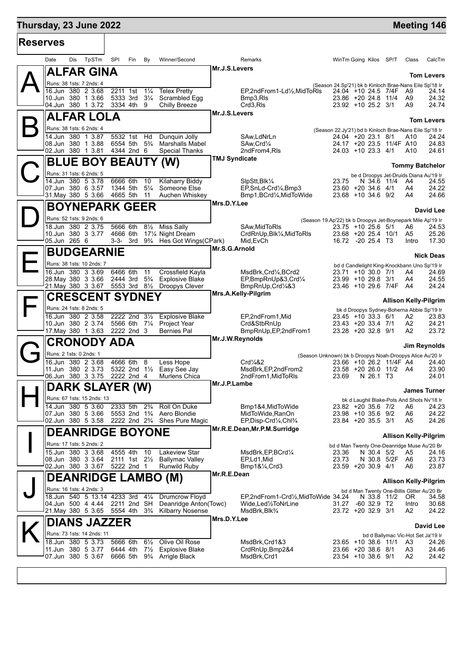| <b>Reserves</b> |                                                                       |          |                                                       |                      |                                                                         |                      |                                                    |                                                                                      |                           |             |                                                       |
|-----------------|-----------------------------------------------------------------------|----------|-------------------------------------------------------|----------------------|-------------------------------------------------------------------------|----------------------|----------------------------------------------------|--------------------------------------------------------------------------------------|---------------------------|-------------|-------------------------------------------------------|
|                 | TpSTm<br>Date<br>Dis                                                  | SPI      | Fin                                                   | By                   | Winner/Second                                                           |                      | Remarks                                            | WinTm Going Kilos SP/T                                                               |                           | Class       | CalcTm                                                |
|                 | ALFAR GINA                                                            |          |                                                       |                      |                                                                         | Mr.J.S.Levers        |                                                    |                                                                                      |                           |             | <b>Tom Levers</b>                                     |
|                 | Runs: 38 1sts: 7 2nds: 4                                              |          |                                                       |                      |                                                                         |                      |                                                    | (Season 24.Sp'21) bk b Kinloch Brae-Nans Eile Sp'18 Ir                               |                           |             |                                                       |
|                 | 16.Jun 380 2 3.68<br>10.Jun 380 1 3.66                                |          | 2211 1st<br>5333 3rd 31/4                             | $1\frac{1}{4}$       | <b>Telex Pretty</b><br>Scrambled Egg                                    |                      | EP,2ndFrom1-Ld1/2,MidToRIs<br>Bmp3,RIs             | 24.04 +10 24.5 7/4F<br>23.86 +20 24.8 11/4                                           |                           | A9<br>A9    | 24.14<br>24.32                                        |
|                 | 04.Jun 380 1 3.72                                                     |          | 3334 4th                                              | 9                    | Chilly Breeze                                                           |                      | Crd3,RIs                                           | 23.92 +10 25.2 3/1                                                                   |                           | A9          | 24.74                                                 |
|                 | ALFAR LOLA                                                            |          |                                                       |                      |                                                                         | Mr.J.S.Levers        |                                                    |                                                                                      |                           |             | <b>Tom Levers</b>                                     |
|                 | Runs: 38 1sts: 6 2nds: 4                                              |          |                                                       |                      |                                                                         |                      |                                                    | (Season 22.Jy'21) bd b Kinloch Brae-Nans Eile Sp'18 Ir                               |                           |             |                                                       |
|                 | 14.Jun 380 1 3.87<br>08.Jun 380 1 3.88                                |          | 5532 1st Hd<br>6554 5th 5 <sup>3</sup> / <sub>4</sub> |                      | Dunguin Jolly<br><b>Marshalls Mabel</b>                                 |                      | SAw,LdNrLn<br>SAw, Crd <sup>1</sup> / <sub>4</sub> | 24.04 +20 23.1 8/1<br>24.17 +20 23.5 11/4F A10                                       |                           | A10         | 24.24<br>24.83                                        |
|                 | 02.Jun 380 1 3.81                                                     |          | 4344 2nd 6                                            |                      | Special Thanks                                                          |                      | 2ndFrom4,RIs                                       | 24.03 +10 23.3 4/1                                                                   |                           | A10         | 24.61                                                 |
|                 | <b>BLUE BOY BEAUTY</b>                                                |          |                                                       |                      | (W)                                                                     | <b>TMJ Syndicate</b> |                                                    |                                                                                      |                           |             | <b>Tommy Batchelor</b>                                |
|                 | Runs: 31 1sts: 6 2nds: 5                                              |          |                                                       |                      |                                                                         |                      |                                                    |                                                                                      |                           |             | be d Droopys Jet-Druids Diana Au'19 Ir                |
|                 | 14.Jun 380 5 3.78<br>07.Jun 380 6 3.57                                |          | 6666 6th<br>1344 5th                                  | 10<br>$5\frac{1}{4}$ | <b>Kilaharry Biddy</b><br>Someone Else                                  |                      | SlpStt, Blk1/4<br>EP, SnLd-Crd1/4, Bmp3            | 23.75<br>23.60 +20 34.6 4/1                                                          | N 34.6 11/4               | A4<br>A4    | 24.55<br>24.22                                        |
|                 | 31. May 380 5 3.66                                                    |          | 4665 5th 11                                           |                      | Auchen Whiskey                                                          |                      | Bmp1,BCrd1⁄4,MidToWide                             | 23.68 +10 34.6 9/2                                                                   |                           | A4          | 24.66                                                 |
|                 | <b>BOYNEPARK GEER</b>                                                 |          |                                                       |                      |                                                                         | Mrs.D.Y.Lee          |                                                    |                                                                                      |                           |             |                                                       |
|                 | Runs: 52 1sts: 9 2nds: 6                                              |          |                                                       |                      |                                                                         |                      |                                                    | (Season 19.Ap'22) bk b Droopys Jet-Boynepark Mile Ap'19 Ir                           |                           |             | David Lee                                             |
|                 | 18.Jun 380 2 3.75                                                     |          | 5666 6th                                              | $8\frac{1}{2}$       | <b>Miss Sally</b>                                                       |                      | SAw.MidToRIs                                       | 23.75 +10 25.6 5/1                                                                   |                           | A6          | 24.53                                                 |
|                 | 10.Jun 380 3 3.77<br>05.Jun 265 6                                     |          | 4666 6th<br>3-3- 3rd                                  |                      | 171/4 Night Dream<br>93⁄4 Hes Got Wings(CPark)                          |                      | CrdRnUp, Blk1/4, MidToRIs<br>Mid, EvCh             | 23.68 +20 25.4 10/1<br>16.72 -20 25.4 T3                                             |                           | A5<br>Intro | 25.26<br>17.30                                        |
|                 | <b>BUDGEARNIE</b>                                                     |          |                                                       |                      |                                                                         | Mr.S.G.Arnold        |                                                    |                                                                                      |                           |             |                                                       |
|                 | Runs: 38 1sts: 10 2nds: 7                                             |          |                                                       |                      |                                                                         |                      |                                                    |                                                                                      |                           |             | <b>Nick Deas</b>                                      |
|                 | 16.Jun 380 3 3.69                                                     |          | 6466 6th                                              | 11                   | Crossfield Kayla                                                        |                      | MsdBrk, Crd1/4, BCrd2                              | 23.71 +10 30.0 7/1                                                                   |                           | A4          | bd d Candlelight King-Knockbann Uno Sp'19 Ir<br>24.69 |
|                 | 28. May 380 3 3.66<br>21. May 380 3 3.67 5553 3rd 81/2 Droopys Clever |          |                                                       |                      | 2444 3rd 5 <sup>3</sup> / <sub>4</sub> Explosive Blake                  |                      | EP,BmpRnUp&3,Crd1/4<br>BmpRnUp, Crd1/4&3           | 23.99 +10 29.8 3/1<br>23.46 +10 29.6 7/4F                                            |                           | A4<br>A4    | 24.55<br>24.24                                        |
|                 | <b>CRESCENT SYDNEY</b>                                                |          |                                                       |                      |                                                                         |                      | Mrs.A.Kelly-Pilgrim                                |                                                                                      |                           |             |                                                       |
|                 |                                                                       |          |                                                       |                      |                                                                         |                      |                                                    |                                                                                      |                           |             | <b>Allison Kelly-Pilgrim</b>                          |
|                 | Runs: 24 1sts: 8 2nds: 5<br>16.Jun 380 2 3.58                         |          | 2222 2nd 31/2                                         |                      | <b>Explosive Blake</b>                                                  |                      | EP,2ndFrom1,Mid                                    | 23.45 +10 33.3 6/1                                                                   |                           | A2          | bk d Droopys Sydney-Boherna Abbie Sp'19 Ir<br>23.83   |
|                 | 10.Jun 380 2 3.74                                                     |          | 5566 6th 71/4                                         |                      | <b>Project Year</b>                                                     |                      | Crd&StbRnUp                                        | 23.43 +20 33.4 7/1                                                                   |                           | A2          | 24.21                                                 |
|                 | 17 May 380 1 3.63                                                     |          | 2222 2nd 3                                            |                      | <b>Bernies Pal</b>                                                      | Mr.J.W.Reynolds      | BmpRnUp, EP, 2nd From 1                            | 23.28 +20 32.8 9/1                                                                   |                           | A2          | 23.72                                                 |
|                 | <b>CRONODY ADA</b>                                                    |          |                                                       |                      |                                                                         |                      |                                                    |                                                                                      |                           |             | Jim Reynolds                                          |
|                 | Runs: 2 1sts: 0 2nds: 1<br>$380$ 2 3.68<br>16.Jun                     |          | 4666 6th                                              | 8                    | Less Hope                                                               |                      | Crd <sup>1</sup> / <sub>4</sub> &2                 | (Season Unknown) bk b Droopys Noah-Droopys Alice Au'20 Ir<br>23.66 +10 26.2 11/4F A4 |                           |             | 24.40                                                 |
|                 | 11.Jun 380 2 3.73                                                     |          |                                                       |                      | 5322 2nd 11/2 Easy See Jay                                              |                      | MsdBrk, EP, 2nd From 2                             | 23.58 +20 26.0 11/2 A4                                                               |                           |             | 23.90                                                 |
|                 | 06.Jun 380 3 3.75                                                     |          | 2222 2nd 4                                            |                      | <b>Murlens Chica</b>                                                    | Mr.J.P.Lambe         | 2ndFrom1, MidToRIs                                 | 23.69                                                                                | N 26.1 T3                 |             | 24.01                                                 |
|                 | <b>DARK SLAYER (W)</b>                                                |          |                                                       |                      |                                                                         |                      |                                                    |                                                                                      |                           |             | <b>James Turner</b>                                   |
|                 | Runs: 67 1sts: 15 2nds: 13<br>14.Jun 380 5 3.60                       |          | 2333 5th 2 <sup>3</sup> / <sub>4</sub>                |                      |                                                                         |                      |                                                    |                                                                                      |                           |             | bk d Laughil Blake-Pots And Shots Nv'18 Ir            |
|                 | 07.Jun 380 5 3.66                                                     |          |                                                       |                      | Roll On Duke<br>5553 2nd 1 <sup>3</sup> / <sub>4</sub> Aero Blondie     |                      | Bmp1&4, MidToWide<br>MidToWide, RanOn              | 23.82 +20 35.6 7/2<br>23.98 +10 35.6 9/2                                             |                           | A6<br>A6    | 24.23<br>24.22                                        |
|                 | 02.Jun 380 5 3.58                                                     |          |                                                       |                      | 2222 2nd 2 <sup>3</sup> / <sub>4</sub> Shes Pure Magic                  |                      | EP, Disp-Crd1/4, Chl3/4                            | 23.84 +20 35.5 3/1                                                                   |                           | A5          | 24.26                                                 |
|                 | <b>DEANRIDGE BOYONE</b>                                               |          |                                                       |                      |                                                                         |                      | Mr.R.E.Dean, Mr.P.M.Surridge                       |                                                                                      |                           |             | <b>Allison Kelly-Pilgrim</b>                          |
|                 | Runs: 17 1sts: 5 2nds: 2                                              |          |                                                       |                      |                                                                         |                      |                                                    | bd d Man Twenty One-Deanridge Muse Au'20 Br                                          |                           |             |                                                       |
|                 | 15.Jun 380 3 3.68<br>08.Jun 380 3 3.64                                |          | 4555 4th                                              | 10                   | <b>Lakeview Star</b><br>2111 1st 21/ <sub>2</sub> Ballymac Valley       |                      | MsdBrk, EP, BCrd1/4<br>EP.Ld1, Mid                 | 23.36<br>23.73                                                                       | N 30.4 5/2<br>N 30.8 5/2F | A5<br>A6    | 24.16<br>23.73                                        |
|                 | 02.Jun 380 3 3.67                                                     |          | 5222 2nd 1                                            |                      | <b>Runwild Ruby</b>                                                     |                      | $Bmp1&\frac{1}{4}Crd3$                             | 23.59 +20 30.9 4/1                                                                   |                           | A6          | 23.87                                                 |
|                 | <b>DEANRIDGE LAMBO (M)</b>                                            |          |                                                       |                      |                                                                         | Mr.R.E.Dean          |                                                    |                                                                                      |                           |             | <b>Allison Kelly-Pilgrim</b>                          |
|                 | Runs: 16 1sts: 4 2nds: 3                                              |          |                                                       |                      |                                                                         |                      |                                                    |                                                                                      |                           |             | bd d Man Twenty One-Billis Glitter Au'20 Br           |
|                 | 18.Jun 540 5 13.14 4233 3rd                                           |          |                                                       | $4\frac{1}{4}$       | <b>Drumcrow Floyd</b>                                                   |                      | EP,2ndFrom1-Crd½,MidToWide 34.24                   |                                                                                      | N 33.8 11/2               | OR.         | 34.58                                                 |
|                 | 04.Jun 500 4 4.44<br>21.May 380 5 3.65                                |          | 2211 2nd SH<br>5554 4th 3 <sup>3</sup> / <sub>4</sub> |                      | Deanridge Anton(Towc)<br><b>Kilbarry Nosense</b>                        |                      | Wide,Led½ToNrLine<br>MsdBrk, Blk <sup>3</sup> /4   | 31.27<br>23.72 +20 32.9 3/1                                                          | $-6032.9$ T2              | Intro<br>A2 | 30.68<br>24.22                                        |
|                 | <b>DIANS JAZZER</b>                                                   |          |                                                       |                      |                                                                         | Mrs.D.Y.Lee          |                                                    |                                                                                      |                           |             |                                                       |
|                 | Runs: 73 1sts: 14 2nds: 11                                            |          |                                                       |                      |                                                                         |                      |                                                    |                                                                                      |                           |             | David Lee<br>bd d Ballymac Vic-Hot Set Ja'19 Ir       |
|                 | 18.Jun 380 5 3.73                                                     |          | 5666 6th                                              | $6\frac{1}{2}$       | Olive Oil Rose                                                          |                      | MsdBrk, Crd1&3                                     | 23.65 +10 38.6 11/1                                                                  |                           | A3          | 24.26                                                 |
|                 | 11.Jun 380 5 3.77<br>07.Jun 380 5 3.67                                | 6444 4th |                                                       | $7\frac{1}{2}$       | Explosive Blake<br>6666 5th 9 <sup>3</sup> / <sub>4</sub> Arrigle Black |                      | CrdRnUp, Bmp2&4<br>MsdBrk, Crd1                    | 23.66 +20 38.6 8/1<br>23.54 +10 38.6 9/1                                             |                           | A3<br>A2    | 24.46<br>24.42                                        |
|                 |                                                                       |          |                                                       |                      |                                                                         |                      |                                                    |                                                                                      |                           |             |                                                       |
|                 |                                                                       |          |                                                       |                      |                                                                         |                      |                                                    |                                                                                      |                           |             |                                                       |